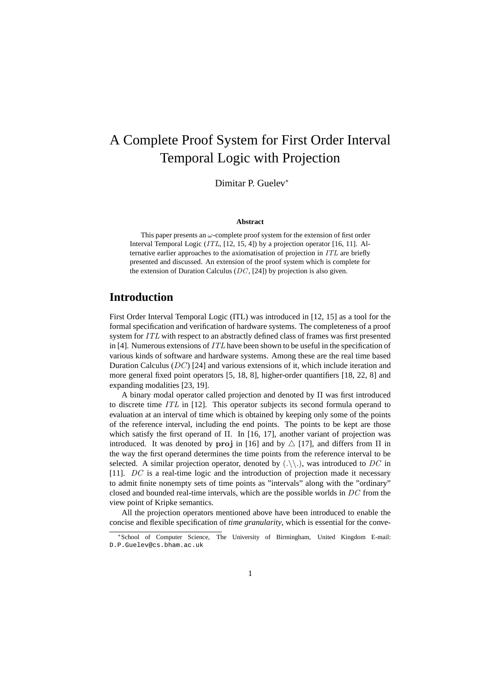# A Complete Proof System for First Order Interval Temporal Logic with Projection

Dimitar P. Guelev<sup>∗</sup>

#### **Abstract**

This paper presents an  $\omega$ -complete proof system for the extension of first order Interval Temporal Logic (ITL, [12, 15, 4]) by a projection operator [16, 11]. Alternative earlier approaches to the axiomatisation of projection in ITL are briefly presented and discussed. An extension of the proof system which is complete for the extension of Duration Calculus  $(DC, [24])$  by projection is also given.

# **Introduction**

First Order Interval Temporal Logic (ITL) was introduced in [12, 15] as a tool for the formal specification and verification of hardware systems. The completeness of a proof system for ITL with respect to an abstractly defined class of frames was first presented in [4]. Numerous extensions of ITL have been shown to be useful in the specification of various kinds of software and hardware systems. Among these are the real time based Duration Calculus  $(DC)$  [24] and various extensions of it, which include iteration and more general fixed point operators [5, 18, 8], higher-order quantifiers [18, 22, 8] and expanding modalities [23, 19].

A binary modal operator called projection and denoted by Π was first introduced to discrete time ITL in [12]. This operator subjects its second formula operand to evaluation at an interval of time which is obtained by keeping only some of the points of the reference interval, including the end points. The points to be kept are those which satisfy the first operand of  $\Pi$ . In [16, 17], another variant of projection was introduced. It was denoted by proj in [16] and by  $\triangle$  [17], and differs from  $\Pi$  in the way the first operand determines the time points from the reference interval to be selected. A similar projection operator, denoted by  $(\cdot \setminus \cdot)$ , was introduced to DC in [11]. DC is a real-time logic and the introduction of projection made it necessary to admit finite nonempty sets of time points as "intervals" along with the "ordinary" closed and bounded real-time intervals, which are the possible worlds in DC from the view point of Kripke semantics.

All the projection operators mentioned above have been introduced to enable the concise and flexible specification of *time granularity*, which is essential for the conve-

<sup>∗</sup>School of Computer Science, The University of Birmingham, United Kingdom E-mail: D.P.Guelev@cs.bham.ac.uk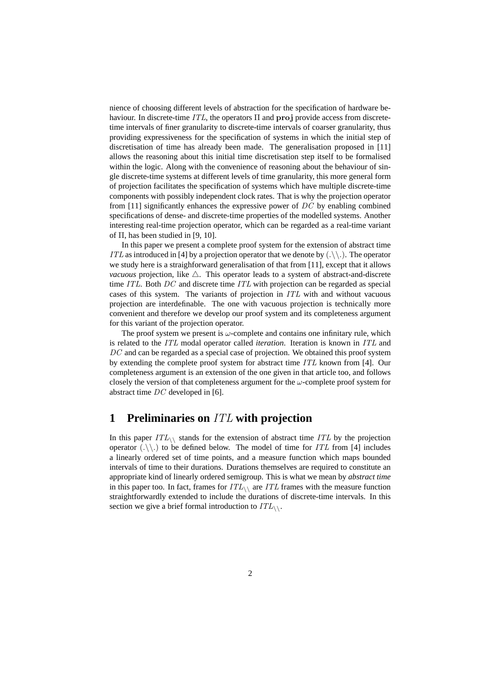nience of choosing different levels of abstraction for the specification of hardware behaviour. In discrete-time  $ITL$ , the operators  $\Pi$  and proj provide access from discretetime intervals of finer granularity to discrete-time intervals of coarser granularity, thus providing expressiveness for the specification of systems in which the initial step of discretisation of time has already been made. The generalisation proposed in [11] allows the reasoning about this initial time discretisation step itself to be formalised within the logic. Along with the convenience of reasoning about the behaviour of single discrete-time systems at different levels of time granularity, this more general form of projection facilitates the specification of systems which have multiple discrete-time components with possibly independent clock rates. That is why the projection operator from [11] significantly enhances the expressive power of  $DC$  by enabling combined specifications of dense- and discrete-time properties of the modelled systems. Another interesting real-time projection operator, which can be regarded as a real-time variant of Π, has been studied in [9, 10].

In this paper we present a complete proof system for the extension of abstract time ITL as introduced in [4] by a projection operator that we denote by  $(\cdot \setminus \cdot)$ . The operator we study here is a straighforward generalisation of that from [11], except that it allows *vacuous* projection, like  $\triangle$ . This operator leads to a system of abstract-and-discrete time ITL. Both DC and discrete time ITL with projection can be regarded as special cases of this system. The variants of projection in ITL with and without vacuous projection are interdefinable. The one with vacuous projection is technically more convenient and therefore we develop our proof system and its completeness argument for this variant of the projection operator.

The proof system we present is  $\omega$ -complete and contains one infinitary rule, which is related to the ITL modal operator called *iteration*. Iteration is known in ITL and  $DC$  and can be regarded as a special case of projection. We obtained this proof system by extending the complete proof system for abstract time ITL known from [4]. Our completeness argument is an extension of the one given in that article too, and follows closely the version of that completeness argument for the  $\omega$ -complete proof system for abstract time DC developed in [6].

# **1 Preliminaries on** ITL **with projection**

In this paper  $ITL_{\wedge}$  stands for the extension of abstract time ITL by the projection operator  $(\cdot \setminus \cdot)$  to be defined below. The model of time for ITL from [4] includes a linearly ordered set of time points, and a measure function which maps bounded intervals of time to their durations. Durations themselves are required to constitute an appropriate kind of linearly ordered semigroup. This is what we mean by *abstract time* in this paper too. In fact, frames for  $ITL_{\wedge}$  are ITL frames with the measure function straightforwardly extended to include the durations of discrete-time intervals. In this section we give a brief formal introduction to  $ITL_{\wedge}$ .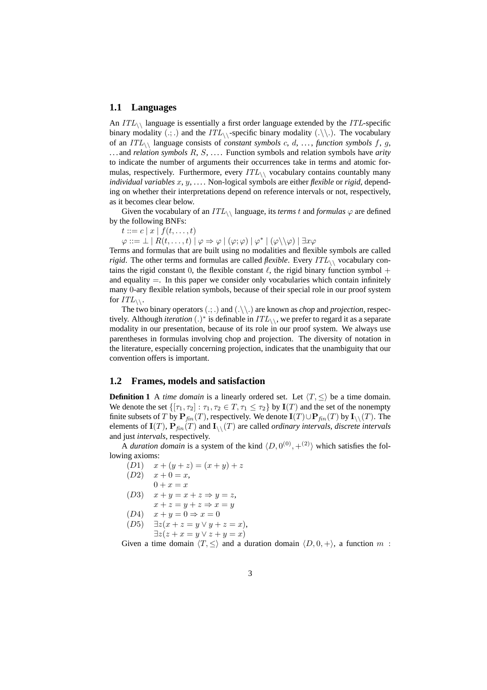#### **1.1 Languages**

An  $ITL_{\wedge}$  language is essentially a first order language extended by the ITL-specific binary modality  $(.;.)$  and the  $ITL_{\setminus}$ -specific binary modality  $(.\setminus).$  The vocabulary of an  $ITL_{\setminus}$  language consists of *constant symbols* c, d, ..., *function symbols* f, g, . . . and *relation symbols* R, S, . . . . Function symbols and relation symbols have *arity* to indicate the number of arguments their occurrences take in terms and atomic formulas, respectively. Furthermore, every  $ITL_{\wedge}$  vocabulary contains countably many *individual variables* x, y, . . . . Non-logical symbols are either *flexible* or *rigid*, depending on whether their interpretations depend on reference intervals or not, respectively, as it becomes clear below.

Given the vocabulary of an  $ITL_{\wedge}$  language, its *terms* t and *formulas*  $\varphi$  are defined by the following BNFs:

 $t ::= c | x | f(t, \ldots, t)$ 

 $\varphi ::= \bot \mid R(t, \ldots, t) \mid \varphi \Rightarrow \varphi \mid (\varphi; \varphi) \mid \varphi^* \mid (\varphi \setminus \setminus \varphi) \mid \exists x \varphi$ 

Terms and formulas that are built using no modalities and flexible symbols are called *rigid*. The other terms and formulas are called *flexible*. Every  $ITL_{\setminus\setminus}$  vocabulary contains the rigid constant 0, the flexible constant  $\ell$ , the rigid binary function symbol + and equality  $=$ . In this paper we consider only vocabularies which contain infinitely many 0-ary flexible relation symbols, because of their special role in our proof system for  $ITL_{\backslash\backslash}$ .

The two binary operators (.; .) and (.\\.) are known as *chop* and *projection*, respectively. Although *iteration* (.)<sup>\*</sup> is definable in  $ITL_{\setminus\setminus}$ , we prefer to regard it as a separate modality in our presentation, because of its role in our proof system. We always use parentheses in formulas involving chop and projection. The diversity of notation in the literature, especially concerning projection, indicates that the unambiguity that our convention offers is important.

### **1.2 Frames, models and satisfaction**

**Definition 1** A *time domain* is a linearly ordered set. Let  $\langle T, \leq \rangle$  be a time domain. We denote the set  $\{[\tau_1, \tau_2] : \tau_1, \tau_2 \in T, \tau_1 \leq \tau_2\}$  by  $\mathbf{I}(T)$  and the set of the nonempty finite subsets of T by  $\mathbf{P}_{fin}(T)$ , respectively. We denote  $\mathbf{I}(T) \cup \mathbf{P}_{fin}(T)$  by  $\mathbf{I}_{\setminus}(T)$ . The elements of  $I(T)$ ,  $P_{fin}(T)$  and  $I_{\setminus}$  (T) are called *ordinary intervals*, *discrete intervals* and just *intervals*, respectively.

A *duration domain* is a system of the kind  $\langle D, 0^{(0)}, +^{(2)} \rangle$  which satisfies the following axioms:

 $(D1)$   $x + (y + z) = (x + y) + z$  $(D2)$   $x + 0 = x$ ,  $0 + x = x$ (D3)  $x + y = x + z \Rightarrow y = z$ ,  $x + z = y + z \Rightarrow x = y$  $(D4)$   $x + y = 0 \Rightarrow x = 0$ (D5)  $\exists z(x + z = y \lor y + z = x),$  $\exists z(z + x = y \vee z + y = x)$ 

Given a time domain  $\langle T, \leq \rangle$  and a duration domain  $\langle D, 0, + \rangle$ , a function m :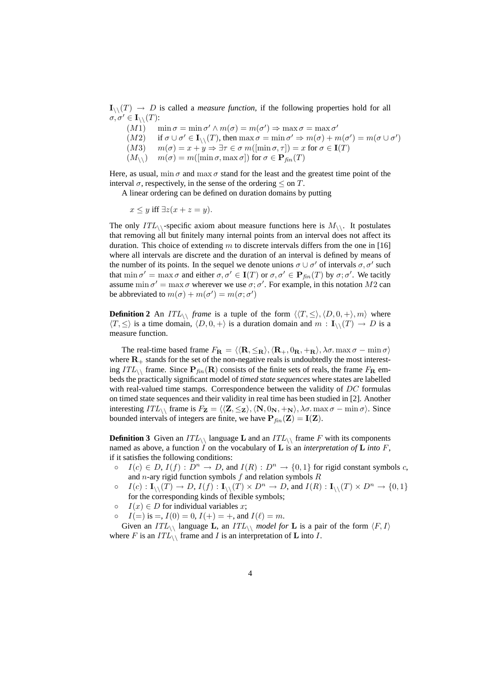$I_{\wedge}(T) \to D$  is called a *measure function*, if the following properties hold for all  $\sigma, \sigma' \in \mathbf{I}_{\setminus}(\mathbf{T})$ :

(M1)  $\min \sigma = \min \sigma' \wedge m(\sigma) = m(\sigma') \Rightarrow \max \sigma = \max \sigma'$  $(M2)$  if  $\sigma \cup \sigma' \in I_{\setminus}(\mathcal{T})$ , then  $\max \sigma = \min \sigma' \Rightarrow m(\sigma) + m(\sigma') = m(\sigma \cup \sigma')$ (M3)  $m(\sigma) = x + y \Rightarrow \exists \tau \in \sigma \ m([\min \sigma, \tau]) = x \text{ for } \sigma \in \mathbf{I}(T)$ 

 $(M_{\setminus})$   $m(\sigma) = m(\text{min }\sigma, \text{max }\sigma)$  for  $\sigma \in \mathbf{P}_{fin}(T)$ 

Here, as usual,  $\min \sigma$  and  $\max \sigma$  stand for the least and the greatest time point of the interval  $\sigma$ , respectively, in the sense of the ordering  $\leq$  on T.

A linear ordering can be defined on duration domains by putting

 $x \leq y$  iff  $\exists z(x+z=y)$ .

The only  $ITL_{\setminus}$ -specific axiom about measure functions here is  $M_{\setminus}$ . It postulates that removing all but finitely many internal points from an interval does not affect its duration. This choice of extending  $m$  to discrete intervals differs from the one in [16] where all intervals are discrete and the duration of an interval is defined by means of the number of its points. In the sequel we denote unions  $\sigma \cup \sigma'$  of intervals  $\sigma, \sigma'$  such that  $\min \sigma' = \max \sigma$  and either  $\sigma, \sigma' \in I(T)$  or  $\sigma, \sigma' \in P_{fin}(T)$  by  $\sigma, \sigma'$ . We tacitly assume  $\min \sigma' = \max \sigma$  wherever we use  $\sigma$ ;  $\sigma'$ . For example, in this notation M2 can be abbreviated to  $m(\sigma) + m(\sigma') = m(\sigma; \sigma')$ 

**Definition 2** An  $ITL_{\setminus}$  *frame* is a tuple of the form  $\langle T, \leq \rangle$ ,  $\langle D, 0, + \rangle$ , m) where  $\langle T, \leq \rangle$  is a time domain,  $\langle D, 0, + \rangle$  is a duration domain and  $m : I_{\setminus}(T) \to D$  is a measure function.

The real-time based frame  $F_{\mathbf{R}} = \langle \langle \mathbf{R}, \leq_{\mathbf{R}} \rangle, \langle \mathbf{R}_+, 0_{\mathbf{R}}, +_{\mathbf{R}} \rangle, \lambda \sigma$ . max  $\sigma - \min \sigma \rangle$ where  $\mathbf{R}_+$  stands for the set of the non-negative reals is undoubtedly the most interesting  $ITL_{\setminus}$  frame. Since  $P_{fin}(R)$  consists of the finite sets of reals, the frame  $F_{R}$  embeds the practically significant model of *timed state sequences* where states are labelled with real-valued time stamps. Correspondence between the validity of DC formulas on timed state sequences and their validity in real time has been studied in [2]. Another interesting  $ITL_{\wedge}$  frame is  $F_{\mathbf{Z}} = \langle \langle \mathbf{Z}, \leq_{\mathbf{Z}} \rangle, \langle \mathbf{N}, 0_{\mathbf{N}}, +\mathbf{N} \rangle, \lambda \sigma$ . max  $\sigma$  – min  $\sigma \rangle$ . Since bounded intervals of integers are finite, we have  $P_{fin}(Z) = I(Z)$ .

**Definition 3** Given an  $ITL\setminus$  language **L** and an  $ITL\setminus$  frame F with its components named as above, a function I on the vocabulary of L is an *interpretation of* L *into* F, if it satisfies the following conditions:

- $\circ$   $I(c) \in D$ ,  $I(f) : D^n \to D$ , and  $I(R) : D^n \to \{0,1\}$  for rigid constant symbols c, and  $n$ -ary rigid function symbols  $f$  and relation symbols  $R$
- $\circ$   $I(c) : \mathbf{I}_{\setminus}(\mathbf{T}) \to D, I(f) : \mathbf{I}_{\setminus}(\mathbf{T}) \times D^n \to D$ , and  $I(R) : \mathbf{I}_{\setminus}(\mathbf{T}) \times D^n \to \{0, 1\}$ for the corresponding kinds of flexible symbols;
- $\circ$   $I(x) \in D$  for individual variables x;

 $I(=)$  is  $=$ ,  $I(0) = 0$ ,  $I(+) = +$ , and  $I(\ell) = m$ .

Given an  $ITL_{\setminus}$  language **L**, an  $ITL_{\setminus}$  model for **L** is a pair of the form  $\langle F, I \rangle$ where F is an  $ITL \setminus \text{frame}$  and I is an interpretation of **L** into I.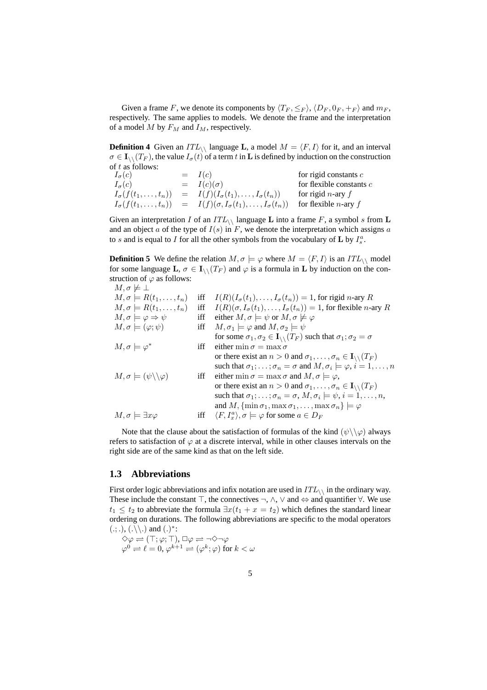Given a frame F, we denote its components by  $\langle T_F, \leq_F \rangle$ ,  $\langle D_F, 0_F, +_F \rangle$  and  $m_F$ , respectively. The same applies to models. We denote the frame and the interpretation of a model M by  $F_M$  and  $I_M$ , respectively.

**Definition 4** Given an  $ITL_{\setminus}$  language **L**, a model  $M = \langle F, I \rangle$  for it, and an interval  $\sigma \in I_{\mathcal{N}}(T_F)$ , the value  $I_{\sigma}(t)$  of a term t in **L** is defined by induction on the construction

of t as follows:<br> $I_{\sigma}(c)$  $I(c)$  for rigid constants c<br>  $I(c)(\sigma)$  for flexible constant  $I_{\sigma}(c)$  =  $I(c)(\sigma)$  for flexible constants c  $I_{\sigma}(f(t_1,...,t_n)) = I(f)(I_{\sigma}(t_1),...,I_{\sigma}(t_n))$  for rigid n-ary f  $I_{\sigma}(f(t_1,\ldots,t_n)) = I(f)(\sigma, I_{\sigma}(t_1),\ldots,I_{\sigma}(t_n))$  for flexible *n*-ary f

Given an interpretation I of an  $ITL_{\backslash}$  language L into a frame F, a symbol s from L and an object a of the type of  $I(s)$  in F, we denote the interpretation which assigns a to s and is equal to I for all the other symbols from the vocabulary of **L** by  $I_s^a$ .

**Definition 5** We define the relation  $M, \sigma \models \varphi$  where  $M = \langle F, I \rangle$  is an  $ITL \setminus \text{model}$ for some language  $\mathbf{L}, \sigma \in \mathbf{I}_{\setminus}$  ( $T_F$ ) and  $\varphi$  is a formula in  $\mathbf{L}$  by induction on the construction of  $\varphi$  as follows:

 $M, \sigma \not\models \bot$  $M, \sigma \models R(t_1, \ldots, t_n)$  iff  $I(R)(I_{\sigma}(t_1), \ldots, I_{\sigma}(t_n)) = 1$ , for rigid n-ary R  $M, \sigma \models R(t_1, \ldots, t_n)$  iff  $I(R)(\sigma, I_{\sigma}(t_1), \ldots, I_{\sigma}(t_n)) = 1$ , for flexible *n*-ary R  $M, \sigma \models \varphi \Rightarrow \psi$  iff either  $M, \sigma \models \psi$  or  $M, \sigma \not\models \varphi$  $M, \sigma \models (\varphi; \psi)$  iff  $M, \sigma_1 \models \varphi$  and  $M, \sigma_2 \models \psi$ for some  $\sigma_1, \sigma_2 \in I_{\setminus}$  ( $T_F$ ) such that  $\sigma_1; \sigma_2 = \sigma$  $M, \sigma \models \varphi^*$ iff either min  $\sigma = \max \sigma$ or there exist an  $n > 0$  and  $\sigma_1, \ldots, \sigma_n \in I_{\setminus}({T_F})$ such that  $\sigma_1; \ldots; \sigma_n = \sigma$  and  $M, \sigma_i \models \varphi, i = 1, \ldots, n$  $M, \sigma \models (\psi \setminus \setminus \varphi)$  iff either min  $\sigma = \max \sigma$  and  $M, \sigma \models \varphi$ , or there exist an  $n > 0$  and  $\sigma_1, \ldots, \sigma_n \in \mathbf{I}_{\setminus}(\mathbb{T}_F)$ such that  $\sigma_1; \ldots; \sigma_n = \sigma, M, \sigma_i \models \psi, i = 1, \ldots, n$ , and  $M$ ,  $\{\min \sigma_1, \max \sigma_1, \ldots, \max \sigma_n\} \models \varphi$  $M, \sigma \models \exists x \varphi$  iff  $\langle x \rangle, \sigma \models \varphi$  for some  $a \in D_F$ 

Note that the clause about the satisfaction of formulas of the kind  $(\psi \setminus \varphi)$  always refers to satisfaction of  $\varphi$  at a discrete interval, while in other clauses intervals on the right side are of the same kind as that on the left side.

#### **1.3 Abbreviations**

First order logic abbreviations and infix notation are used in  $ITL_{\wedge}$  in the ordinary way. These include the constant  $\top$ , the connectives  $\neg$ ,  $\wedge$ ,  $\vee$  and  $\Leftrightarrow$  and quantifier  $\forall$ . We use  $t_1 \leq t_2$  to abbreviate the formula  $\exists x(t_1 + x = t_2)$  which defines the standard linear ordering on durations. The following abbreviations are specific to the modal operators  $(.; .), (.\backslash\backslash.)$  and  $(.)^*$ :

$$
\begin{array}{l}\n\Diamond \varphi \rightleftharpoons (\top; \varphi; \top), \Box \varphi \rightleftharpoons \neg \Diamond \neg \varphi \\
\varphi^0 \rightleftharpoons \ell = 0, \varphi^{k+1} \rightleftharpoons (\varphi^k; \varphi) \text{ for } k < \omega\n\end{array}
$$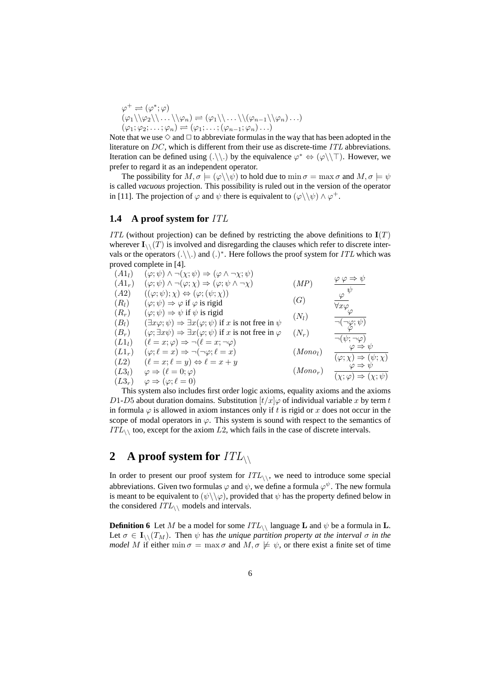$$
\varphi^+ \rightleftharpoons (\varphi^*; \varphi)
$$
  
\n
$$
(\varphi_1 \setminus \varphi_2 \setminus \ldots \setminus \varphi_n) \rightleftharpoons (\varphi_1 \setminus \ldots \setminus (\varphi_{n-1} \setminus \varphi_n) \ldots)
$$
  
\n
$$
(\varphi_1; \varphi_2; \ldots; \varphi_n) \rightleftharpoons (\varphi_1; \ldots; (\varphi_{n-1}; \varphi_n) \ldots)
$$

Note that we use  $\diamond$  and  $\Box$  to abbreviate formulas in the way that has been adopted in the literature on DC, which is different from their use as discrete-time ITL abbreviations. Iteration can be defined using  $(.\langle \cdot \rangle)$  by the equivalence  $\varphi^* \Leftrightarrow (\varphi \setminus \bot)$ . However, we prefer to regard it as an independent operator.

The possibility for  $M, \sigma \models (\varphi \setminus \setminus \psi)$  to hold due to  $\min \sigma = \max \sigma$  and  $M, \sigma \models \psi$ is called *vacuous* projection. This possibility is ruled out in the version of the operator in [11]. The projection of  $\varphi$  and  $\psi$  there is equivalent to  $(\varphi \setminus \psi) \wedge \varphi^+$ .

### **1.4 A proof system for** ITL

ITL (without projection) can be defined by restricting the above definitions to  $I(T)$ wherever  $\mathbf{I}_{\setminus}$  (T) is involved and disregarding the clauses which refer to discrete intervals or the operators  $(\cdot \setminus \cdot)$  and  $(\cdot)^*$ . Here follows the proof system for ITL which was proved complete in [4].

(A1<sub>t</sub>) 
$$
(\varphi; \psi) \land \neg(\chi; \psi) \Rightarrow (\varphi \land \neg \chi; \psi)
$$
  
\n(A1<sub>r</sub>)  $(\varphi; \psi) \land \neg(\varphi; \chi) \Rightarrow (\varphi; \psi \land \neg \chi)$   
\n(A2)  $((\varphi; \psi); \chi) \Leftrightarrow (\varphi; (\psi; \chi))$   
\n(A3)  $(\varphi; \psi) \Rightarrow \varphi$  if  $\varphi$  is rigid  
\n(A<sub>r</sub>)  $(\varphi; \psi) \Rightarrow \psi$  if  $\psi$  is rigid  
\n(B<sub>t</sub>)  $(\exists x \varphi; \psi) \Rightarrow \exists x (\varphi; \psi)$  if x is not free in  $\psi$   
\n(B<sub>r</sub>)  $(\varphi; \exists x \psi) \Rightarrow \exists x (\varphi; \psi)$  if x is not free in  $\varphi$   
\n(C1<sub>t</sub>)  $(\ell = x; \varphi) \Rightarrow \neg(\ell = x; \neg \varphi)$   
\n(L1<sub>t</sub>)  $(\ell = x; \varphi) \Rightarrow \neg(\varphi; \ell = x)$   
\n(L2)  $(\ell = x; \ell = y) \Leftrightarrow \ell = x + y$   
\n(L3<sub>t</sub>)  $\varphi \Rightarrow (\ell = 0; \varphi)$   
\n(L3<sub>r</sub>)  $\varphi \Rightarrow (\varphi; \ell = 0)$   
\n(D<sub>r</sub>)  $(\varphi; \psi) \Rightarrow (\varphi; \psi) \Rightarrow (\varphi; \psi) \Rightarrow (\varphi; \psi) \Rightarrow (\varphi; \psi) \Rightarrow (\varphi; \psi) \Rightarrow (\varphi; \psi) \Rightarrow (\varphi; \psi) \Rightarrow (\varphi; \psi) \Rightarrow (\varphi; \psi) \Rightarrow (\varphi; \psi) \Rightarrow (\varphi; \psi) \Rightarrow (\varphi; \psi) \Rightarrow (\varphi; \psi) \Rightarrow (\varphi; \psi) \Rightarrow (\varphi; \psi) \Rightarrow (\varphi; \psi) \Rightarrow (\varphi; \psi) \Rightarrow (\varphi; \psi) \Rightarrow (\varphi; \psi) \Rightarrow (\varphi; \psi) \Rightarrow (\varphi; \psi) \Rightarrow (\varphi; \psi) \Rightarrow (\varphi; \psi) \Rightarrow (\varphi; \psi) \Rightarrow (\varphi; \psi) \Rightarrow (\varphi; \psi) \Rightarrow (\varphi; \psi) \Rightarrow (\varphi; \psi) \Rightarrow (\varphi; \psi) \Rightarrow (\varphi; \psi)$ 

This system also includes first order logic axioms, equality axioms and the axioms D1-D5 about duration domains. Substitution  $\left(t/x\right)\varphi$  of individual variable x by term t in formula  $\varphi$  is allowed in axiom instances only if t is rigid or x does not occur in the scope of modal operators in  $\varphi$ . This system is sound with respect to the semantics of  $ITL_{\wedge}$  too, except for the axiom L2, which fails in the case of discrete intervals.

# **2** A proof system for  $ITL\setminus$

In order to present our proof system for  $ITL_{\setminus\setminus}$ , we need to introduce some special abbreviations. Given two formulas  $\varphi$  and  $\psi$ , we define a formula  $\varphi^{\psi}$ . The new formula is meant to be equivalent to  $(\psi \setminus \varphi)$ , provided that  $\psi$  has the property defined below in the considered  $ITL\setminus$  models and intervals.

**Definition 6** Let M be a model for some  $ITL_{\wedge}$  language L and  $\psi$  be a formula in L. Let  $\sigma \in I_{\setminus}$  ( $T_M$ ). Then  $\psi$  has the unique partition property at the interval  $\sigma$  in the *model* M if either min  $\sigma = \max \sigma$  and  $M, \sigma \not\models \psi$ , or there exist a finite set of time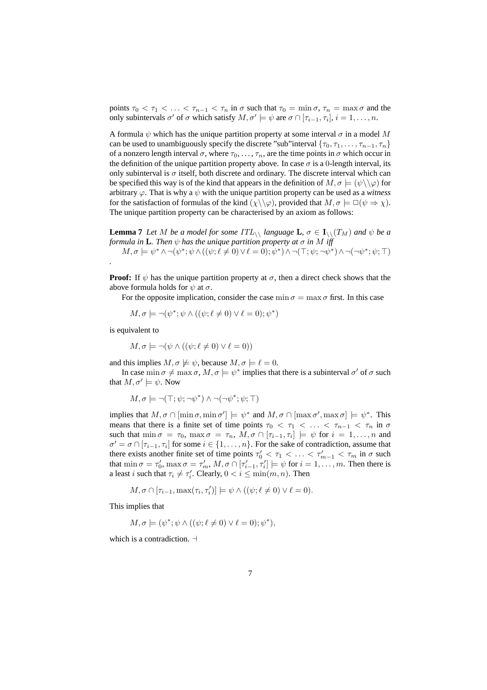points  $\tau_0 < \tau_1 < \ldots < \tau_{n-1} < \tau_n$  in  $\sigma$  such that  $\tau_0 = \min \sigma$ ,  $\tau_n = \max \sigma$  and the only subintervals  $\sigma'$  of  $\sigma$  which satisfy  $M, \sigma' \models \psi$  are  $\sigma \cap [\tau_{i-1}, \tau_i], i = 1, \ldots, n$ .

A formula  $\psi$  which has the unique partition property at some interval  $\sigma$  in a model M can be used to unambiguously specify the discrete "sub"interval  $\{\tau_0, \tau_1, \ldots, \tau_{n-1}, \tau_n\}$ of a nonzero length interval  $\sigma$ , where  $\tau_0, \ldots, \tau_n$ , are the time points in  $\sigma$  which occur in the definition of the unique partition property above. In case  $\sigma$  is a 0-length interval, its only subinterval is  $\sigma$  itself, both discrete and ordinary. The discrete interval which can be specified this way is of the kind that appears in the definition of  $M, \sigma \models (\psi \setminus \setminus \varphi)$  for arbitrary  $\varphi$ . That is why a  $\psi$  with the unique partition property can be used as a *witness* for the satisfaction of formulas of the kind  $(\chi \setminus \varphi)$ , provided that  $M, \sigma \models \Box(\psi \Rightarrow \chi)$ . The unique partition property can be characterised by an axiom as follows:

**Lemma 7** *Let* M *be a model for some*  $ITL_{\setminus}$  *language* **L**,  $\sigma \in I_{\setminus} (T_M)$  *and*  $\psi$  *be a formula in* **L**. Then  $\psi$  *has the unique partition property at*  $\sigma$  *in* M *iff*  $M, \sigma \models \psi^* \land \neg(\psi^*; \psi \land ((\psi; \ell \neq 0) \lor \ell = 0); \psi^* ) \land \neg(\top; \psi; \neg \psi^* ) \land \neg(\neg \psi^*; \psi; \top )$ 

**Proof:** If  $\psi$  has the unique partition property at  $\sigma$ , then a direct check shows that the above formula holds for  $\psi$  at  $\sigma$ .

For the opposite implication, consider the case  $\min \sigma = \max \sigma$  first. In this case

$$
M, \sigma \models \neg(\psi^*; \psi \land ((\psi; \ell \neq 0) \lor \ell = 0); \psi^*)
$$

is equivalent to

*.*

$$
M, \sigma \models \neg(\psi \land ((\psi; \ell \neq 0) \lor \ell = 0))
$$

and this implies  $M, \sigma \not\models \psi$ , because  $M, \sigma \models \ell = 0$ .

In case min  $\sigma \neq \max \sigma$ ,  $M, \sigma \models \psi^*$  implies that there is a subinterval  $\sigma'$  of  $\sigma$  such that  $M, \sigma' \models \psi$ . Now

$$
M, \sigma \models \neg(\top; \psi; \neg \psi^*) \land \neg(\neg \psi^*; \psi; \top)
$$

implies that  $M, \sigma \cap [\min \sigma, \min \sigma'] \models \psi^*$  and  $M, \sigma \cap [\max \sigma', \max \sigma] \models \psi^*$ . This means that there is a finite set of time points  $\tau_0 < \tau_1 < \ldots < \tau_{n-1} < \tau_n$  in  $\sigma$ such that  $\min \sigma = \tau_0$ ,  $\max \sigma = \tau_n$ ,  $M, \sigma \cap [\tau_{i-1}, \tau_i] \models \psi$  for  $i = 1, \ldots, n$  and  $\sigma' = \sigma \cap [\tau_{i-1}, \tau_i]$  for some  $i \in \{1, \ldots, n\}$ . For the sake of contradiction, assume that there exists another finite set of time points  $\tau'_0 < \tau_1 < \ldots < \tau'_{m-1} < \tau_m$  in  $\sigma$  such that  $\min \sigma = \tau'_0$ ,  $\max \sigma = \tau'_m$ ,  $M$ ,  $\sigma \cap [\tau'_{i-1}, \tau'_i] \models \psi$  for  $i = 1, ..., m$ . Then there is a least *i* such that  $\tau_i \neq \tau'_i$ . Clearly,  $0 < i \leq \min(m, n)$ . Then

$$
M, \sigma \cap [\tau_{i-1}, \max(\tau_i, \tau'_i)] \models \psi \land ((\psi; \ell \neq 0) \lor \ell = 0).
$$

This implies that

$$
M, \sigma \models (\psi^*; \psi \land ((\psi; \ell \neq 0) \lor \ell = 0); \psi^*),
$$

which is a contradiction.  $\exists$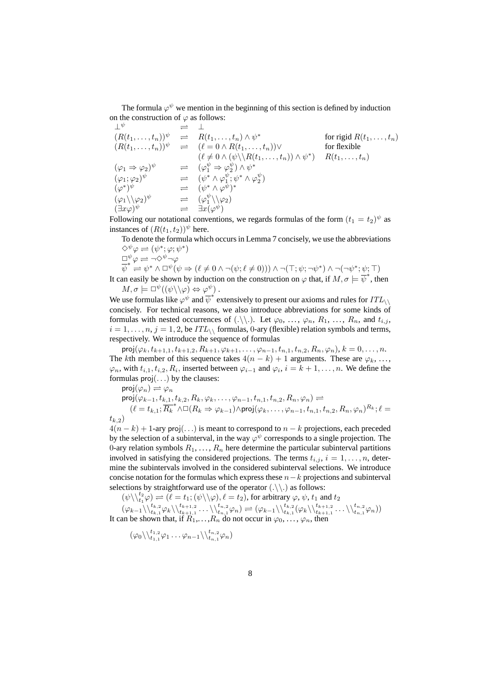The formula  $\varphi^{\psi}$  we mention in the beginning of this section is defined by induction on the construction of  $\varphi$  as follows:

$$
\begin{array}{rcl}\n\perp^{\psi} & \rightleftharpoons & \perp \\
(R(t_1, \ldots, t_n))^{\psi} & \rightleftharpoons & R(t_1, \ldots, t_n) \land \psi^* \\
(R(t_1, \ldots, t_n))^{\psi} & \rightleftharpoons & (\ell = 0 \land R(t_1, \ldots, t_n)) \lor \\
& (\ell \neq 0 \land (\psi \setminus R(t_1, \ldots, t_n)) \land \psi^*) \quad \text{for flexible} \\
(\varphi_1 \Rightarrow \varphi_2)^{\psi} & \rightleftharpoons & (\varphi_1^{\psi} \Rightarrow \varphi_2^{\psi}) \land \psi^* \\
(\varphi_1; \varphi_2)^{\psi} & \rightleftharpoons & (\psi^* \land \varphi_1^{\psi}; \psi^* \land \varphi_2^{\psi}) \\
(\varphi^*)^{\psi} & \rightleftharpoons & (\psi^* \land \varphi^{\psi})^* \\
(\varphi_1 \setminus \varphi_2)^{\psi} & \rightleftharpoons & (\varphi_1^{\psi} \setminus \varphi_2) \\
(\exists x \varphi)^{\psi} & \rightleftharpoons & \exists x (\varphi^{\psi})\n\end{array}
$$

Following our notational conventions, we regards formulas of the form  $(t_1 = t_2)^{\psi}$  as instances of  $(R(t_1, t_2))^{\psi}$  here.

To denote the formula which occurs in Lemma 7 concisely, we use the abbreviations  $\Diamond^{\psi}\varphi \rightleftharpoons (\psi^*;\varphi;\psi^*)$  $\Box^{\psi}\varphi \rightleftharpoons \neg\Diamond^{\psi}\neg\varphi$ 

$$
\overline{\psi}^* \stackrel{\leftarrow}{\Longrightarrow} \psi^* \land \Box^{\psi}(\psi \Rightarrow (\ell \neq 0 \land \neg(\psi; \ell \neq 0))) \land \neg(\top; \psi; \neg \psi^*) \land \neg(\neg \psi^*; \psi; \top)
$$

It can easily be shown by induction on the construction on  $\varphi$  that, if  $M, \sigma \models \overline{\psi}^*$ , then  $M, \sigma \models \Box^{\psi}((\psi \backslash \backslash \varphi) \Leftrightarrow \varphi^{\psi})$ .

We use formulas like  $\varphi^{\psi}$  and  $\overline{\psi}^*$  extensively to present our axioms and rules for  $ITL_{\setminus}$ concisely. For technical reasons, we also introduce abbreviations for some kinds of formulas with nested occurrences of  $(\cdot \setminus \cdot)$ . Let  $\varphi_0, \ldots, \varphi_n, R_1, \ldots, R_n$ , and  $t_{i,j}$ ,  $i = 1, \ldots, n, j = 1, 2$ , be  $ITL_{\backslash}$  formulas, 0-ary (flexible) relation symbols and terms, respectively. We introduce the sequence of formulas

 $proj(\varphi_k, t_{k+1,1}, t_{k+1,2}, R_{k+1}, \varphi_{k+1}, \ldots, \varphi_{n-1}, t_{n,1}, t_{n,2}, R_n, \varphi_n), k = 0, \ldots, n.$ The kth member of this sequence takes  $4(n - k) + 1$  arguments. These are  $\varphi_k$ , ...,  $\varphi_n$ , with  $t_{i,1}, t_{i,2}, R_i$ , inserted between  $\varphi_{i-1}$  and  $\varphi_i$ ,  $i = k + 1, \ldots, n$ . We define the formulas  $proj(...)$  by the clauses:

$$
\begin{array}{c}\mathsf{proj}(\varphi_n) \rightleftharpoons \varphi_n \\ \mathsf{proj}(\varphi_{k-1}, t_{k,1}, t_{k,2}, R_k, \varphi_k, \dots, \varphi_{n-1}, t_{n,1}, t_{n,2}, R_n, \varphi_n) \rightleftharpoons \\ (\ell = t_{k,1}; \overline{R_k}^* \wedge \Box (R_k \Rightarrow \varphi_{k-1}) \wedge \mathsf{proj}(\varphi_k, \dots, \varphi_{n-1}, t_{n,1}, t_{n,2}, R_n, \varphi_n)^{R_k}; \ell = t_{k,2})\end{array}
$$

 $4(n-k) + 1$ -ary proj(...) is meant to correspond to  $n - k$  projections, each preceded by the selection of a subinterval, in the way  $\varphi^{\psi}$  corresponds to a single projection. The 0-ary relation symbols  $R_1, \ldots, R_n$  here determine the particular subinterval partitions involved in satisfying the considered projections. The terms  $t_{i,j}$ ,  $i = 1, \ldots, n$ , determine the subintervals involved in the considered subinterval selections. We introduce concise notation for the formulas which express these  $n-k$  projections and subinterval selections by straightforward use of the operator  $(\cdot \setminus \cdot)$  as follows:

 $(\psi \setminus \setminus_{t_1}^{t_2} \varphi) \rightleftharpoons (\ell = t_1; (\psi \setminus \setminus \varphi), \ell = t_2)$ , for arbitrary  $\varphi, \psi, t_1$  and  $t_2$ 

$$
(\varphi_{k-1} \setminus \langle t_{k,1}^{t_{k,2}} \varphi_k \setminus \langle t_{k+1,1}^{t_{k+1,2}} \dots \setminus \langle t_{n,1}^{t_{n,2}} \varphi_n \rangle \rightleftharpoons (\varphi_{k-1} \setminus \langle t_{k,1}^{t_{k,2}} \langle \varphi_k \setminus \langle t_{k+1,1}^{t_{k+1,2}} \dots \setminus \langle t_{n,1}^{t_{n,2}} \varphi_n \rangle)
$$
  
It can be shown that, if  $R_1, \dots, R_n$  do not occur in  $\varphi_0, \dots, \varphi_n$ , then

$$
(\varphi_0 \backslash \backslash_{t_{1,1}}^{t_{1,2}} \varphi_1 \ldots \varphi_{n-1} \backslash \backslash_{t_{n,1}}^{t_{n,2}} \varphi_n)
$$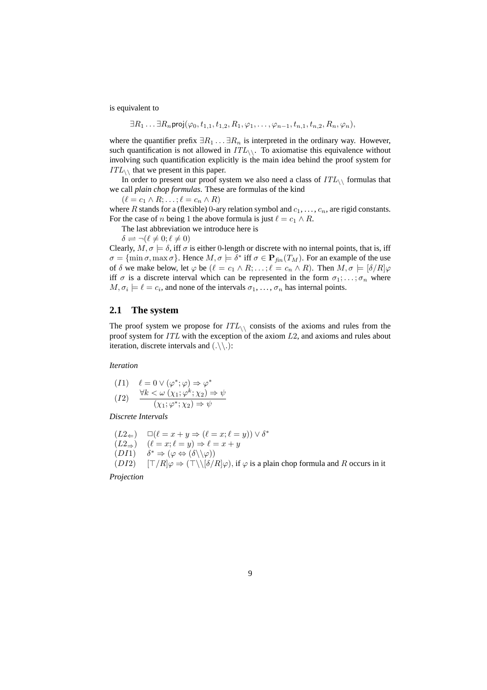is equivalent to

$$
\exists R_1 \ldots \exists R_n \mathsf{proj}(\varphi_0, t_{1,1}, t_{1,2}, R_1, \varphi_1, \ldots, \varphi_{n-1}, t_{n,1}, t_{n,2}, R_n, \varphi_n),
$$

where the quantifier prefix  $\exists R_1 \dots \exists R_n$  is interpreted in the ordinary way. However, such quantification is not allowed in  $ITL_{\backslash}$ . To axiomatise this equivalence without involving such quantification explicitly is the main idea behind the proof system for  $ITL_{\wedge}$  that we present in this paper.

In order to present our proof system we also need a class of  $ITL_{\wedge}$  formulas that we call *plain chop formulas*. These are formulas of the kind

 $(\ell = c_1 \wedge R; \ldots; \ell = c_n \wedge R)$ 

where R stands for a (flexible) 0-ary relation symbol and  $c_1, \ldots, c_n$ , are rigid constants. For the case of n being 1 the above formula is just  $\ell = c_1 \wedge R$ .

The last abbreviation we introduce here is

 $\delta \rightleftharpoons \neg (\ell \neq 0; \ell \neq 0)$ 

Clearly,  $M, \sigma \models \delta$ , iff  $\sigma$  is either 0-length or discrete with no internal points, that is, iff  $\sigma = {\text{min }\sigma, \text{max }\sigma}$ . Hence  $M, \sigma \models \delta^*$  iff  $\sigma \in \mathbf{P}_{fin}(T_M)$ . For an example of the use of  $\delta$  we make below, let  $\varphi$  be  $(\ell = c_1 \wedge R; \dots; \ell = c_n \wedge R)$ . Then  $M, \sigma \models [\delta/R] \varphi$ iff  $\sigma$  is a discrete interval which can be represented in the form  $\sigma_1; \ldots; \sigma_n$  where  $M, \sigma_i \models \ell = c_i$ , and none of the intervals  $\sigma_1, \ldots, \sigma_n$  has internal points.

### **2.1 The system**

The proof system we propose for  $ITL_{\wedge}$  consists of the axioms and rules from the proof system for  $ITL$  with the exception of the axiom  $L2$ , and axioms and rules about iteration, discrete intervals and  $(.\rangle\langle).$ 

*Iteration*

$$
(I1) \quad \ell = 0 \lor (\varphi^*; \varphi) \Rightarrow \varphi^* (I2) \quad \frac{\forall k < \omega \ (\chi_1; \varphi^k; \chi_2) \Rightarrow \psi}{(\chi_1; \varphi^*; \chi_2) \Rightarrow \psi}
$$

*Discrete Intervals*

$$
(L2\Leftarrow) \Box(\ell = x + y \Rightarrow (\ell = x; \ell = y)) \lor \delta^*
$$
  
\n
$$
(L2\Rightarrow) \quad (\ell = x; \ell = y) \Rightarrow \ell = x + y
$$
  
\n
$$
(D11) \quad \delta^* \Rightarrow (\varphi \Leftrightarrow (\delta \setminus \setminus \varphi))
$$
  
\n
$$
(D12) \quad [\top/R] \varphi \Rightarrow (\top \setminus [\delta/R] \varphi), \text{ if } \varphi \text{ is a plain chop formula and}
$$

*Projection*

 $R$  occurs in it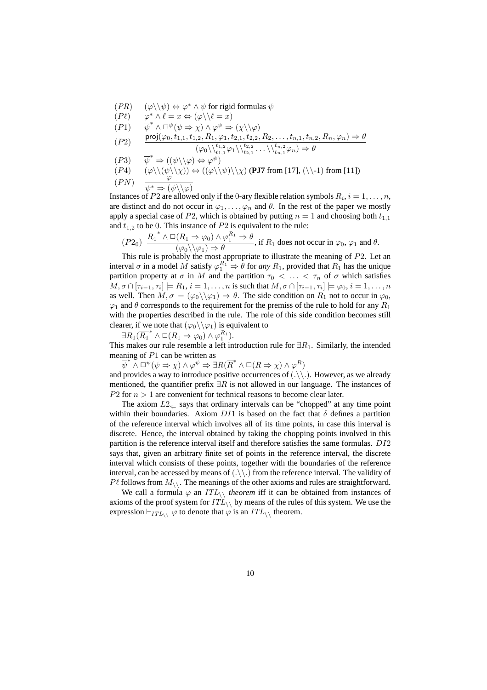- $(PR)$   $(\varphi \setminus \psi) \Leftrightarrow \varphi^* \wedge \psi$  for rigid formulas  $\psi$
- $(P\ell)$ \*  $\wedge \ell = x \Leftrightarrow (\varphi \setminus \ell = x)$ <br>\*  $\wedge \Box^{\psi}(\psi \Rightarrow \chi) \wedge \varphi^{\psi} \Rightarrow (\chi \setminus \setminus \varphi)$
- $(P1)$
- $(P2)$  proj $(\varphi_0, t_{1,1}, t_{1,2}, R_1, \varphi_1, t_{2,1}, t_{2,2}, R_2, \ldots, t_{n,1}, t_{n,2}, R_n, \varphi_n) \Rightarrow \theta$  $(\varphi_0 \setminus \setminus \atop t_{1,1}^{t_1,2} \varphi_1 \setminus \setminus \atop t_{2,1}^{t_2,2} \ldots \setminus \setminus \atop t_{n,1}^{t_{n,2}} \varphi_n) \Rightarrow \theta$
- $(P3)$ \*  $\Rightarrow ((\psi \setminus \setminus \varphi) \Leftrightarrow \varphi^{\psi})$
- $(P4)$   $(\varphi \setminus (\psi \setminus \chi)) \Leftrightarrow ((\varphi \setminus \psi) \setminus \chi)$  (**PJ7** from [17],  $(\setminus -1)$  from [11])
- $(PN)$  $\psi^* \Rightarrow (\psi \setminus \setminus \varphi)$

Instances of P2 are allowed only if the 0-ary flexible relation symbols  $R_i$ ,  $i = 1, \ldots, n$ , are distinct and do not occur in  $\varphi_1, \ldots, \varphi_n$  and  $\theta$ . In the rest of the paper we mostly apply a special case of P2, which is obtained by putting  $n = 1$  and choosing both  $t_{1,1}$ and  $t_{1,2}$  to be 0. This instance of  $P2$  is equivalent to the rule:

 $(P2_0)$   $\overline{R_1}^* \wedge \Box(R_1 \Rightarrow \varphi_0) \wedge \varphi_1^{R_1} \Rightarrow \theta$  $\frac{(1.1 \pm \sqrt{0.1}) \cdot \sqrt{9}}{(\varphi_0 \setminus \sqrt{91}) \Rightarrow \theta}$ , if  $R_1$  does not occur in  $\varphi_0$ ,  $\varphi_1$  and  $\theta$ .

This rule is probably the most appropriate to illustrate the meaning of P2. Let an interval  $\sigma$  in a model M satisfy  $\varphi_1^{R_1} \Rightarrow \theta$  for *any*  $R_1$ , provided that  $R_1$  has the unique partition property at  $\sigma$  in M and the partition  $\tau_0 < \ldots < \tau_n$  of  $\sigma$  which satisfies  $M, \sigma \cap [\tau_{i-1}, \tau_i] \models R_1, i = 1, \ldots, n$  is such that  $M, \sigma \cap [\tau_{i-1}, \tau_i] \models \varphi_0, i = 1, \ldots, n$ as well. Then  $M, \sigma \models (\varphi_0 \setminus \varphi_1) \Rightarrow \theta$ . The side condition on  $R_1$  not to occur in  $\varphi_0$ ,  $\varphi_1$  and  $\theta$  corresponds to the requirement for the premiss of the rule to hold for any  $R_1$ with the properties described in the rule. The role of this side condition becomes still clearer, if we note that  $(\varphi_0 \setminus \varphi_1)$  is equivalent to

 $\exists R_1(\overline{R_1}^* \wedge \Box(R_1 \Rightarrow \varphi_0) \wedge \varphi_1^{R_1}).$ This makes our rule resemble a left introduction rule for  $\exists R_1$ . Similarly, the intended meaning of P1 can be written as

 $\psi^* \wedge \psi^* \to \psi^* \to \exists R(\overline{R}^* \wedge \psi(R \Rightarrow \chi) \wedge \varphi^R)$ 

and provides a way to introduce positive occurrences of  $(\cdot \setminus \cdot)$ . However, as we already mentioned, the quantifier prefix  $\exists R$  is not allowed in our language. The instances of  $P2$  for  $n > 1$  are convenient for technical reasons to become clear later.

The axiom  $L2_{\leftarrow}$  says that ordinary intervals can be "chopped" at any time point within their boundaries. Axiom  $DI1$  is based on the fact that  $\delta$  defines a partition of the reference interval which involves all of its time points, in case this interval is discrete. Hence, the interval obtained by taking the chopping points involved in this partition is the reference interval itself and therefore satisfies the same formulas. DI2 says that, given an arbitrary finite set of points in the reference interval, the discrete interval which consists of these points, together with the boundaries of the reference interval, can be accessed by means of  $(\ldots)$  from the reference interval. The validity of  $P\ell$  follows from  $M_{\backslash\backslash}$ . The meanings of the other axioms and rules are straightforward.

We call a formula  $\varphi$  an *ITL*<sub>\\</sub> *theorem* iff it can be obtained from instances of axioms of the proof system for  $ITL_{\wedge}$  by means of the rules of this system. We use the expression  $\vdash_{ITL_{\wedge}} \varphi$  to denote that  $\varphi$  is an  $ITL_{\wedge}$  theorem.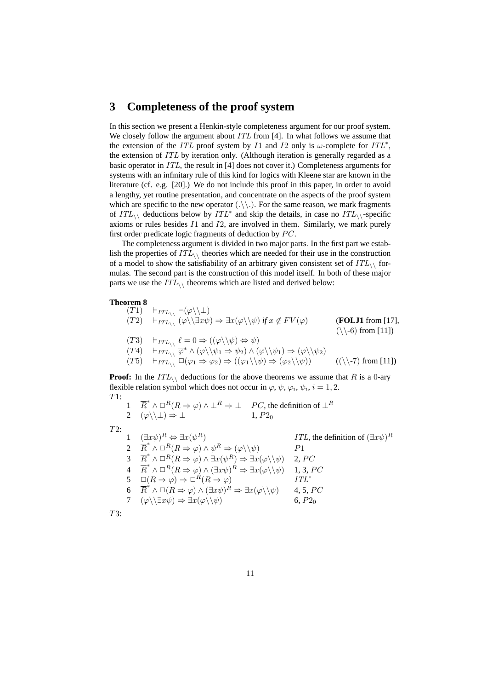# **3 Completeness of the proof system**

In this section we present a Henkin-style completeness argument for our proof system. We closely follow the argument about *ITL* from [4]. In what follows we assume that the extension of the *ITL* proof system by *I*1 and *I*2 only is  $\omega$ -complete for *ITL*<sup>\*</sup>, the extension of ITL by iteration only. (Although iteration is generally regarded as a basic operator in ITL, the result in [4] does not cover it.) Completeness arguments for systems with an infinitary rule of this kind for logics with Kleene star are known in the literature (cf. e.g. [20].) We do not include this proof in this paper, in order to avoid a lengthy, yet routine presentation, and concentrate on the aspects of the proof system which are specific to the new operator  $(\cdot \setminus \cdot)$ . For the same reason, we mark fragments of  $ITL_{\setminus}$  deductions below by  $ITL^*$  and skip the details, in case no  $ITL_{\setminus}$ -specific axioms or rules besides I1 and I2, are involved in them. Similarly, we mark purely first order predicate logic fragments of deduction by  $PC$ .

The completeness argument is divided in two major parts. In the first part we establish the properties of  $ITL_{\wedge}$  theories which are needed for their use in the construction of a model to show the satisfiability of an arbitrary given consistent set of  $ITL_{\wedge}$  formulas. The second part is the construction of this model itself. In both of these major parts we use the  $ITL_{\wedge}$  theorems which are listed and derived below:

#### **Theorem 8**

$$
(T1) \quad \vdash_{ITL_{\setminus} \setminus} \neg(\varphi \setminus \bot)
$$
\n
$$
(T2) \quad \vdash_{ITL_{\setminus} \setminus} (\varphi \setminus \exists x \psi) \Rightarrow \exists x (\varphi \setminus \psi) \text{ if } x \notin FV(\varphi) \qquad (\text{FOLJ1 from [17]},
$$
\n
$$
(T3) \quad \vdash_{ITL_{\setminus} \setminus} \ell = 0 \Rightarrow ((\varphi \setminus \psi) \Leftrightarrow \psi)
$$
\n
$$
(T4) \quad \vdash_{ITL_{\setminus} \setminus} \overline{\varphi}^* \land (\varphi \setminus \psi_1 \Rightarrow \psi_2) \land (\varphi \setminus \psi_1) \Rightarrow (\varphi \setminus \psi_2)
$$
\n
$$
(T5) \quad \vdash_{ITL_{\setminus} \setminus} \Box(\varphi_1 \Rightarrow \varphi_2) \Rightarrow ((\varphi_1 \setminus \psi) \Rightarrow (\varphi_2 \setminus \psi)) \qquad ((\setminus \neg 7) \text{ from [11]})
$$

**Proof:** In the  $ITL_{\setminus}$  deductions for the above theorems we assume that R is a 0-ary flexible relation symbol which does not occur in  $\varphi$ ,  $\psi$ ,  $\varphi_i$ ,  $\psi_i$ ,  $i = 1, 2$ . T1:

11. 
$$
\overline{R}^* \wedge \Box^R(R \Rightarrow \varphi) \wedge \bot^R \Rightarrow \bot
$$
 PC, the definition of  $\bot^R$   
\n2  $(\varphi \setminus \setminus \bot) \Rightarrow \bot$  1,  $P2_0$   
\n72:   
\n1  $(\exists x \psi)^R \Leftrightarrow \exists x(\psi^R)$  ITL, the definition of  $(\exists x \psi)^R$   
\n2  $\overline{R}^* \wedge \Box^R(R \Rightarrow \varphi) \wedge \psi^R \Rightarrow (\varphi \setminus \psi)$  P1  
\n3  $\overline{R}^* \wedge \Box^R(R \Rightarrow \varphi) \wedge \exists x(\psi^R) \Rightarrow \exists x(\varphi \setminus \psi)$  2, PC  
\n4  $\overline{R}^* \wedge \Box^R(R \Rightarrow \varphi) \wedge (\exists x \psi)^R \Rightarrow \exists x(\varphi \setminus \psi)$  1, 3, PC  
\n5  $\Box(R \Rightarrow \varphi) \Rightarrow \Box^R(R \Rightarrow \varphi)$  ITL<sup>\*</sup>  
\n6  $\overline{R}^* \wedge \Box(R \Rightarrow \varphi) \wedge (\exists x \psi)^R \Rightarrow \exists x(\varphi \setminus \psi)$  4, 5, PC  
\n7  $(\varphi \setminus \exists x \psi) \Rightarrow \exists x(\varphi \setminus \psi)$  6,  $P2_0$   
\nT3:

 $\overline{z}$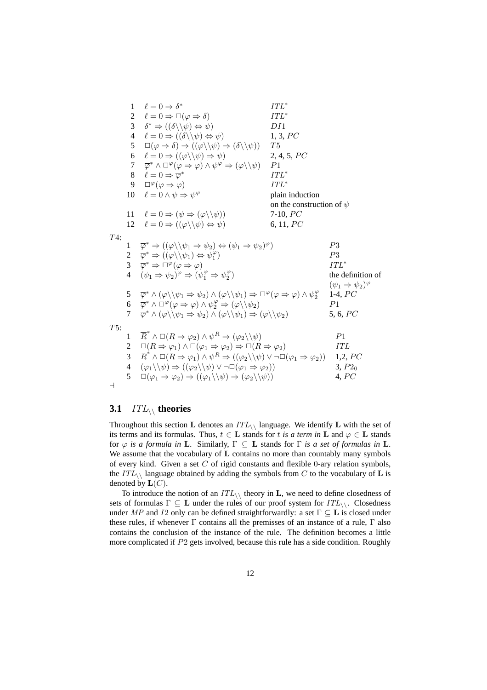1  $\ell = 0 \Rightarrow \delta^*$  $ITL^*$ 2  $\ell = 0 \Rightarrow \Box(\varphi \Rightarrow \delta)$  ITL<sup>\*</sup> 3  $\delta^* \Rightarrow ((\delta \setminus \psi) \Leftrightarrow \psi)$  DI1 4  $\ell = 0 \Rightarrow ((\delta \setminus \psi) \Leftrightarrow \psi)$  1, 3, PC  $5 \quad \Box(\varphi \Rightarrow \delta) \Rightarrow ((\varphi \setminus \psi) \Rightarrow (\delta \setminus \psi)) \quad T5$ 6  $\ell = 0 \Rightarrow ((\varphi \setminus \psi) \Rightarrow \psi)$  2, 4, 5, PC  $7 \quad \overline{\varphi}^* \wedge \Box^{\varphi}(\varphi \Rightarrow \varphi) \wedge \psi^{\varphi} \Rightarrow (\varphi \setminus \setminus \psi) \quad P1$ 8  $\ell = 0 \Rightarrow \overline{\varphi}^*$ ITL<sup>∗</sup> 9  $\square^{\varphi}(\varphi \Rightarrow \varphi)$   $ITL^*$ 10  $\ell = 0 \wedge \psi \Rightarrow \psi^{\varphi}$ plain induction on the construction of  $\psi$ 11  $\ell = 0 \Rightarrow (\psi \Rightarrow (\varphi \setminus \psi))$  7-10, PC 12  $\ell = 0 \Rightarrow ((\varphi \setminus \psi) \Leftrightarrow \psi)$  6, 11, PC T4:  $1 \quad \overline{\varphi}^* \Rightarrow ((\varphi \setminus \psi_1 \Rightarrow \psi_2) \Leftrightarrow (\psi_1 \Rightarrow \psi_2)$  $P3$ 2  $\overline{\varphi}^* \Rightarrow ((\varphi \setminus \psi_1) \Leftrightarrow \psi_1^{\varphi})$  $P3$  $3 \quad \overline{\varphi}^* \Rightarrow \Box^{\varphi}(\varphi \Rightarrow \varphi)$   $ITL^*$ 4  $(\psi_1 \Rightarrow \psi_2)^{\varphi} \Rightarrow (\psi_1^{\varphi} \Rightarrow \psi_2^{\varphi})$ the definition of  $(\psi_1 \Rightarrow \psi_2)^\varphi$  $5 \quad \overline{\varphi}^* \wedge (\varphi \backslash \psi_1 \Rightarrow \psi_2) \wedge (\varphi \backslash \psi_1) \Rightarrow \Box^{\varphi}(\varphi \Rightarrow \varphi) \wedge \psi_2^{\varphi}$ 1-4,  $PC$ 6  $\overline{\varphi}^* \wedge \overline{\sqcup}^{\varphi} (\varphi \Rightarrow \varphi) \wedge \psi_2^{\varphi} \Rightarrow (\varphi \backslash \backslash \psi_2)$   $P1$  $7 \quad \overline{\varphi}^* \wedge (\varphi \backslash \psi_1 \Rightarrow \psi_2) \wedge (\varphi \backslash \psi_1) \Rightarrow (\varphi \backslash \psi_2) \quad 5, 6, PC$ T5: 1  $\overline{R}^* \wedge \Box(R \Rightarrow \varphi_2) \wedge \psi^R \Rightarrow (\varphi_2 \setminus \setminus \psi)$   $P1$ 2  $\Box(R \Rightarrow \varphi_1) \land \Box(\varphi_1 \Rightarrow \varphi_2) \Rightarrow \Box(R \Rightarrow \varphi_2)$  ITL 3  $\overrightarrow{R} \wedge \Box (R \Rightarrow \varphi_1) \wedge \psi^R \Rightarrow ((\varphi_2 \setminus \psi) \vee \neg \Box (\varphi_1 \Rightarrow \varphi_2))$  1,2, PC 4  $(\varphi_1 \backslash \psi) \Rightarrow ((\varphi_2 \backslash \psi) \vee \neg \Box (\varphi_1 \Rightarrow \varphi_2))$  3, P2<sub>0</sub>  $5 \quad \Box(\varphi_1 \Rightarrow \varphi_2) \Rightarrow ((\varphi_1 \setminus \psi) \Rightarrow (\varphi_2 \setminus \setminus \psi))$  4, PC  $\overline{a}$ 

### **3.1** ITL\\ **theories**

Throughout this section L denotes an  $ITL_{\wedge}$  language. We identify L with the set of its terms and its formulas. Thus,  $t \in L$  stands for t *is a term in* L and  $\varphi \in L$  stands for ϕ *is a formula in* L. Similarly, Γ ⊆ L stands for Γ *is a set of formulas in* L. We assume that the vocabulary of L contains no more than countably many symbols of every kind. Given a set  $C$  of rigid constants and flexible 0-ary relation symbols, the  $ITL_{\setminus}$  language obtained by adding the symbols from C to the vocabulary of L is denoted by  $\mathbf{L}(C)$ .

To introduce the notion of an  $ITL_{\wedge}$  theory in **L**, we need to define closedness of sets of formulas  $\Gamma \subseteq L$  under the rules of our proof system for  $ITL_{\backslash\backslash}$ . Closedness under MP and I2 only can be defined straightforwardly: a set  $\Gamma \subseteq L$  is closed under these rules, if whenever  $\Gamma$  contains all the premisses of an instance of a rule,  $\Gamma$  also contains the conclusion of the instance of the rule. The definition becomes a little more complicated if P2 gets involved, because this rule has a side condition. Roughly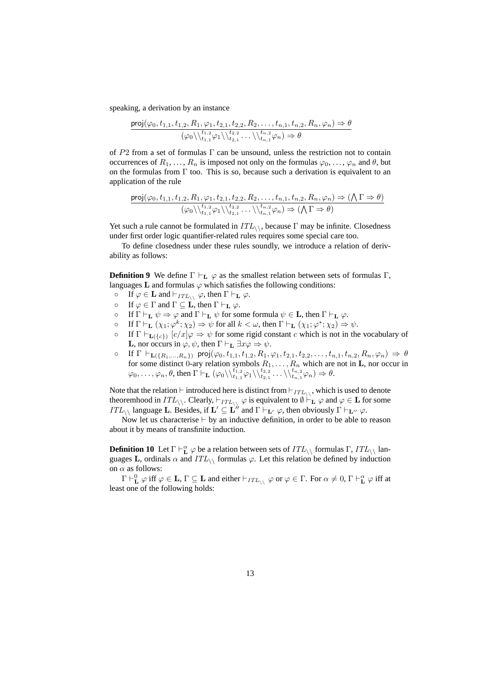speaking, a derivation by an instance

$$
\frac{\text{proj}(\varphi_0, t_{1,1}, t_{1,2}, R_1, \varphi_1, t_{2,1}, t_{2,2}, R_2, \dots, t_{n,1}, t_{n,2}, R_n, \varphi_n) \Rightarrow \theta}{(\varphi_0 \setminus \setminus t_{1,1}^{t_{1,2}} \varphi_1 \setminus \setminus t_{2,1}^{t_{2,2}} \dots \setminus \setminus t_{n,1}^{t_{n,2}} \varphi_n) \Rightarrow \theta}
$$

of P2 from a set of formulas Γ can be unsound, unless the restriction not to contain occurrences of  $R_1, \ldots, R_n$  is imposed not only on the formulas  $\varphi_0, \ldots, \varphi_n$  and  $\theta$ , but on the formulas from  $\Gamma$  too. This is so, because such a derivation is equivalent to an application of the rule

$$
\frac{\operatorname{proj}(\varphi_0,t_{1,1},t_{1,2},R_1,\varphi_1,t_{2,1},t_{2,2},R_2,\ldots,t_{n,1},t_{n,2},R_n,\varphi_n) \Rightarrow (\bigwedge\Gamma \Rightarrow \theta)}{(\varphi_0 \setminus_{t_{1,1}}^{t_{1,2}} \varphi_1 \setminus_{t_{2,1}}^{t_{2,2}} \ldots \setminus_{t_{n,1}}^{t_{n,2}} \varphi_n) \Rightarrow (\bigwedge\Gamma \Rightarrow \theta)}
$$

Yet such a rule cannot be formulated in  $ITL_{\wedge}$ , because  $\Gamma$  may be infinite. Closedness under first order logic quantifier-related rules requires some special care too.

To define closedness under these rules soundly, we introduce a relation of derivability as follows:

**Definition 9** We define  $\Gamma \vdash_L \varphi$  as the smallest relation between sets of formulas Γ, languages **L** and formulas  $\varphi$  which satisfies the following conditions:

- $\circ$  If  $\varphi \in \mathbf{L}$  and  $\vdash_{ITL_{\setminus \setminus}} \varphi$ , then  $\Gamma \vdash_{\mathbf{L}} \varphi$ .
- **•** If  $\varphi \in \Gamma$  and  $\Gamma \subseteq L$ , then  $\Gamma \vdash_{\mathbf{L}} \varphi$ .
- **•** If  $\Gamma \vdash_{\mathbf{L}} \psi \Rightarrow \varphi$  and  $\Gamma \vdash_{\mathbf{L}} \psi$  for some formula  $\psi \in \mathbf{L}$ , then  $\Gamma \vdash_{\mathbf{L}} \varphi$ .
- o If  $\Gamma \vdash_{\mathbf{L}} (\chi_1; \varphi^k; \chi_2) \Rightarrow \psi$  for all  $k < \omega$ , then  $\Gamma \vdash_{\mathbf{L}} (\chi_1; \varphi^*; \chi_2) \Rightarrow \psi$ .
- If  $\Gamma \vdash_{\mathbf{L}(\{c\})} [c/x] \varphi \Rightarrow \psi$  for some rigid constant c which is not in the vocabulary of **L**, nor occurs in  $\varphi, \psi$ , then  $\Gamma \vdash_{\mathbf{L}} \exists x \varphi \Rightarrow \psi$ .
- If  $\Gamma \vdash_{\mathbf{L}(\{R_1,\ldots,R_n\})} \text{proj}(\varphi_0, t_{1,1}, t_{1,2}, R_1, \varphi_1, t_{2,1}, t_{2,2}, \ldots, t_{n,1}, t_{n,2}, R_n, \varphi_n) \Rightarrow \theta$ for some distinct 0-ary relation symbols  $R_1, \ldots, R_n$  which are not in **L**, nor occur in  $\varphi_0,\ldots,\varphi_n,\theta$ , then  $\Gamma\vdash_{\mathbf{L}} (\varphi_0 \setminus \setminus^{t_1,2}_{t_1,1} \varphi_1 \setminus \setminus^{t_2,2}_{t_2,1} \ldots \setminus \setminus^{t_n,2}_{t_n,1} \varphi_n) \Rightarrow \theta.$

Note that the relation  $\vdash$  introduced here is distinct from  $\vdash_{ITL_{\setminus\setminus}}$ , which is used to denote theoremhood in  $ITL_{\setminus\setminus}$ . Clearly,  $\vdash_{ITL_{\setminus\setminus}} \varphi$  is equivalent to  $\emptyset \vdash_{\mathbf{L}} \varphi$  and  $\varphi \in \mathbf{L}$  for some ITL<sub>\\</sub> language **L**. Besides, if  $\mathbf{L}' \subseteq \mathbf{L}''$  and  $\Gamma \vdash_{\mathbf{L}'} \varphi$ , then obviously  $\Gamma \vdash_{\mathbf{L}''} \varphi$ .

Now let us characterise  $\vdash$  by an inductive definition, in order to be able to reason about it by means of transfinite induction.

**Definition 10** Let  $\Gamma \vdash^{\alpha}_{L} \varphi$  be a relation between sets of  $ITL_{\setminus\setminus}$  formulas  $\Gamma$ ,  $ITL_{\setminus\setminus}$  languages L, ordinals  $\alpha$  and  $ITL_{\wedge}$  formulas  $\varphi$ . Let this relation be defined by induction on  $\alpha$  as follows:

 $\Gamma \vdash^0_{\bf L} \varphi$  iff  $\varphi \in {\bf L}, \Gamma \subseteq {\bf L}$  and either  $\vdash_{ITL_{\setminus \setminus}} \varphi$  or  $\varphi \in \Gamma$ . For  $\alpha \neq 0, \Gamma \vdash^{\alpha}_{\bf L} \varphi$  iff at least one of the following holds: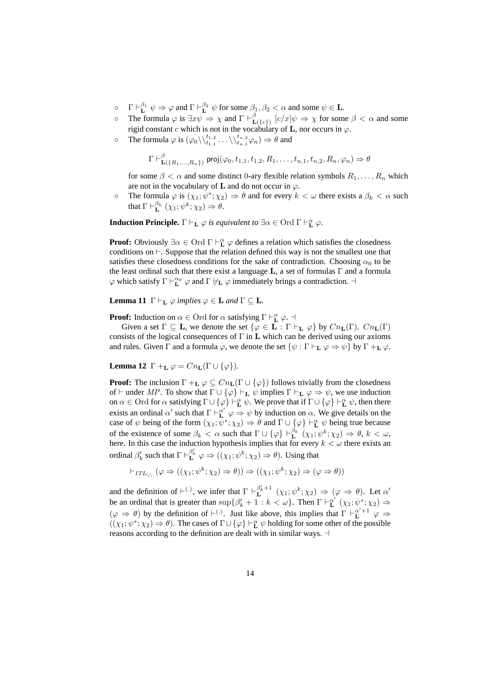- $\circ$   $\Gamma \vdash^{\beta_1}_{\mathbf{L}} \psi \Rightarrow \varphi$  and  $\Gamma \vdash^{\beta_2}_{\mathbf{L}} \psi$  for some  $\beta_1, \beta_2 < \alpha$  and some  $\psi \in \mathbf{L}$ .
- $\circ$  The formula  $\varphi$  is  $\exists x \psi \Rightarrow \chi$  and  $\Gamma \vdash^{\beta}_{\mathrm{I}}$  $\mathcal{L}(\lbrace c \rbrace)$   $[c/x] \psi \Rightarrow \chi$  for some  $\beta < \alpha$  and some rigid constant c which is not in the vocabulary of **L**, nor occurs in  $\varphi$ .
- o The formula  $\varphi$  is  $(\varphi_0 \setminus \setminus^{t_{1,2}}_{t_{1,1}} \dots \setminus \setminus^{t_{n,2}}_{t_{n,1}} \varphi_n) \Rightarrow \theta$  and

$$
\Gamma \vdash^{\beta}_{\mathbf{L}(\{R_1,\ldots,R_n\})} \mathsf{proj}(\varphi_0,t_{1,1},t_{1,2},R_1,\ldots,t_{n,1},t_{n,2},R_n,\varphi_n) \Rightarrow \theta
$$

for some  $\beta < \alpha$  and some distinct 0-ary flexible relation symbols  $R_1, \ldots, R_n$  which are not in the vocabulary of **L** and do not occur in  $\varphi$ .

• The formula  $\varphi$  is  $(\chi_1; \psi^*; \chi_2) \Rightarrow \theta$  and for every  $k < \omega$  there exists a  $\beta_k < \alpha$  such that  $\Gamma \vdash^{\beta_k} \ (\chi_1; \psi^k; \chi_2) \Rightarrow \theta.$ 

**Induction Principle.**  $\Gamma \vdash_{\mathbf{L}} \varphi$  *is equivalent to*  $\exists \alpha \in \text{Ord } \Gamma \vdash_{\mathbf{L}}^{\alpha} \varphi$ .

**Proof:** Obviously  $\exists \alpha \in \text{Ord} \Gamma \vdash^{\alpha}_{L} \varphi$  defines a relation which satisfies the closedness conditions on  $\vdash$ . Suppose that the relation defined this way is not the smallest one that satisfies these closedness conditions for the sake of contradiction. Choosing  $\alpha_0$  to be the least ordinal such that there exist a language  $L$ , a set of formulas  $\Gamma$  and a formula  $\varphi$  which satisfy  $\Gamma \vdash^{\alpha_0}_{\mathbf{L}} \varphi$  and  $\Gamma \not\vdash_{\mathbf{L}} \varphi$  immediately brings a contradiction.  $\neg$ 

**Lemma 11**  $\Gamma \vdash_{\mathbf{L}} \varphi$  *implies*  $\varphi \in \mathbf{L}$  *and*  $\Gamma \subset \mathbf{L}$ *.* 

**Proof:** Induction on  $\alpha \in \text{Ord}$  for  $\alpha$  satisfying  $\Gamma \vdash^{\alpha}_{\mathbf{L}} \varphi$ .

Given a set  $\Gamma \subseteq L$ , we denote the set  $\{\varphi \in L : \Gamma \vdash_{\mathbf{L}} \varphi\}$  by  $Cn_{\mathbf{L}}(\Gamma)$ .  $Cn_{\mathbf{L}}(\Gamma)$ consists of the logical consequences of  $\Gamma$  in  $\mathbf L$  which can be derived using our axioms and rules. Given  $\Gamma$  and a formula  $\varphi$ , we denote the set  $\{\psi : \Gamma \vdash_{\mathbf{L}} \varphi \Rightarrow \psi\}$  by  $\Gamma +_{\mathbf{L}} \varphi$ .

**Lemma 12**  $\Gamma$  +<sub>L</sub>  $\varphi = Cn_L(\Gamma \cup {\varphi})$ *.* 

**Proof:** The inclusion  $\Gamma +_{\mathbf{L}} \varphi \subseteq Cn_{\mathbf{L}}(\Gamma \cup {\varphi})$  follows trivially from the closedness of  $\vdash$  under MP. To show that  $\Gamma \cup {\varphi} \vdash_{\mathbf{L}} \psi$  implies  $\Gamma \vdash_{\mathbf{L}} \varphi \Rightarrow \psi$ , we use induction on  $\alpha \in$  Ord for  $\alpha$  satisfying  $\Gamma \cup \{\varphi\} \vdash^{\alpha}_{\mathbf{L}} \psi$ . We prove that if  $\Gamma \cup \{\varphi\} \vdash^{\alpha}_{\mathbf{L}} \psi$ , then there exists an ordinal  $\alpha'$  such that  $\Gamma \vdash^{\alpha'}_L \varphi \Rightarrow \psi$  by induction on  $\alpha$ . We give details on the case of  $\psi$  being of the form  $(\chi_1, \overline{\psi}^*; \chi_2) \Rightarrow \theta$  and  $\Gamma \cup {\varphi} \vdash^{\alpha}_{\mathbf{L}} \psi$  being true because of the existence of some  $\beta_k < \alpha$  such that  $\Gamma \cup \{\varphi\} \vdash^{\beta_k} \ (\chi_1; \psi^k; \chi_2) \Rightarrow \theta, k < \omega$ , here. In this case the induction hypothesis implies that for every  $k < \omega$  there exists an ordinal  $\beta'_k$  such that  $\Gamma \vdash^{\beta'_k}_{\mathbf{L}} \varphi \Rightarrow ((\chi_1; \psi^k; \chi_2) \Rightarrow \theta)$ . Using that

$$
\vdash_{ITL_{\setminus \setminus}} (\varphi \Rightarrow ((\chi_1; \psi^k; \chi_2) \Rightarrow \theta)) \Rightarrow ((\chi_1; \psi^k; \chi_2) \Rightarrow (\varphi \Rightarrow \theta))
$$

and the definition of  $\vdash^{(.)}$ , we infer that  $\Gamma \vdash^{0'_k+1}_{\mathbf{L}} (\chi_1; \psi^k; \chi_2) \Rightarrow (\varphi \Rightarrow \theta)$ . Let  $\alpha'$ be an ordinal that is greater than  $\sup \{\beta'_k + 1 : k < \omega\}$ . Then  $\Gamma \vdash^{\alpha'}_L (\chi_1; \psi^*; \chi_2) \Rightarrow$  $(\varphi \Rightarrow \theta)$  by the definition of  $\vdash^{(.)}$ . Just like above, this implies that  $\Gamma \vdash^{ {\alpha'}+1}_{\mathbf{L}} \varphi \Rightarrow$  $((\chi_1; \psi^*; \chi_2) \Rightarrow \theta)$ . The cases of  $\Gamma \cup {\varphi} \vdash^{\alpha}_{\mathbf{L}} \psi$  holding for some other of the possible reasons according to the definition are dealt with in similar ways.  $\dashv$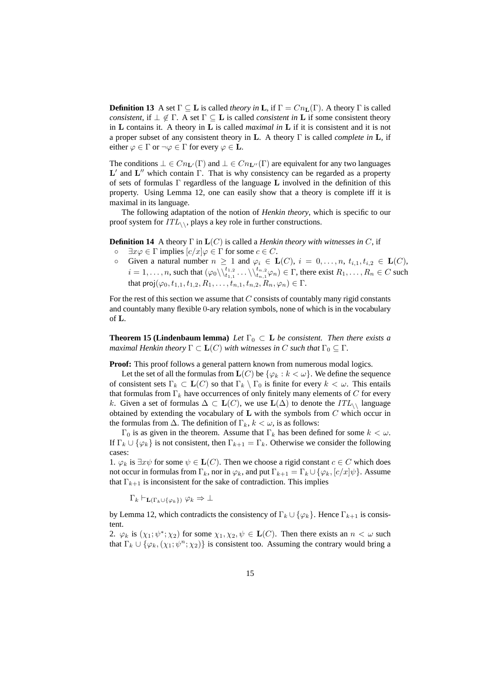**Definition 13** A set  $\Gamma \subset \mathbf{L}$  is called *theory in* **L**, if  $\Gamma = Cn_{\mathbf{L}}(\Gamma)$ . A theory  $\Gamma$  is called *consistent*, if  $\perp \notin \Gamma$ . A set  $\Gamma \subseteq L$  is called *consistent in* L if some consistent theory in L contains it. A theory in L is called *maximal in* L if it is consistent and it is not a proper subset of any consistent theory in L. A theory Γ is called *complete in* L, if either  $\varphi \in \Gamma$  or  $\neg \varphi \in \Gamma$  for every  $\varphi \in L$ .

The conditions  $\bot \in Cn_{\mathbf{L}'}(\Gamma)$  and  $\bot \in Cn_{\mathbf{L}''}(\Gamma)$  are equivalent for any two languages  $L'$  and  $L''$  which contain  $\Gamma$ . That is why consistency can be regarded as a property of sets of formulas Γ regardless of the language L involved in the definition of this property. Using Lemma 12, one can easily show that a theory is complete iff it is maximal in its language.

The following adaptation of the notion of *Henkin theory*, which is specific to our proof system for  $ITL_{\wedge}$ , plays a key role in further constructions.

**Definition 14** A theory  $\Gamma$  in  $\mathbf{L}(C)$  is called a *Henkin theory with witnesses in*  $C$ , if

- $\circ$   $\exists x \varphi \in \Gamma$  implies  $[c/x] \varphi \in \Gamma$  for some  $c \in C$ .
- Given a natural number  $n \geq 1$  and  $\varphi_i \in \mathbf{L}(C), i = 0, \ldots, n, t_{i,1}, t_{i,2} \in \mathbf{L}(C),$  $i = 1, \ldots, n$ , such that  $(\varphi_0 \setminus \setminus_{t_{1,1}}^{t_{1,2}} \ldots \setminus \setminus_{t_{n,1}}^{t_{n,2}} \varphi_n) \in \Gamma$ , there exist  $R_1, \ldots, R_n \in C$  such that  $\text{proj}(\varphi_0, t_{1,1}, t_{1,2}, R_1, \ldots, t_{n,1}, t_{n,2}, R_n, \varphi_n) \in \Gamma$ .

For the rest of this section we assume that  $C$  consists of countably many rigid constants and countably many flexible 0-ary relation symbols, none of which is in the vocabulary of L.

**Theorem 15 (Lindenbaum lemma)** *Let*  $\Gamma_0 \subset L$  *be consistent. Then there exists a maximal Henkin theory*  $\Gamma \subset \mathbf{L}(C)$  *with witnesses in* C *such that*  $\Gamma_0 \subseteq \Gamma$ *.* 

**Proof:** This proof follows a general pattern known from numerous modal logics.

Let the set of all the formulas from  $\mathbf{L}(C)$  be  $\{\varphi_k : k < \omega\}$ . We define the sequence of consistent sets  $\Gamma_k \subset \mathbf{L}(C)$  so that  $\Gamma_k \setminus \Gamma_0$  is finite for every  $k < \omega$ . This entails that formulas from  $\Gamma_k$  have occurrences of only finitely many elements of C for every k. Given a set of formulas  $\Delta \subset L(C)$ , we use  $L(\Delta)$  to denote the  $ITL_{\wedge}$  language obtained by extending the vocabulary of  $L$  with the symbols from  $C$  which occur in the formulas from  $\Delta$ . The definition of  $\Gamma_k, k < \omega$ , is as follows:

Γ<sub>0</sub> is as given in the theorem. Assume that Γ<sub>k</sub> has been defined for some  $k < ω$ . If  $\Gamma_k \cup \{\varphi_k\}$  is not consistent, then  $\Gamma_{k+1} = \Gamma_k$ . Otherwise we consider the following cases:

1.  $\varphi_k$  is  $\exists x \psi$  for some  $\psi \in \mathbf{L}(C)$ . Then we choose a rigid constant  $c \in C$  which does not occur in formulas from  $\Gamma_k$ , nor in  $\varphi_k$ , and put  $\Gamma_{k+1} = \Gamma_k \cup \{\varphi_k, [c/x] \psi\}$ . Assume that  $\Gamma_{k+1}$  is inconsistent for the sake of contradiction. This implies

 $\Gamma_k \vdash_{\mathbf{L}(\Gamma_k \cup \{\varphi_k\})} \varphi_k \Rightarrow \bot$ 

by Lemma 12, which contradicts the consistency of  $\Gamma_k \cup \{\varphi_k\}$ . Hence  $\Gamma_{k+1}$  is consistent.

2.  $\varphi_k$  is  $(\chi_1; \psi^*; \chi_2)$  for some  $\chi_1, \chi_2, \psi \in \mathbf{L}(C)$ . Then there exists an  $n < \omega$  such that  $\Gamma_k \cup \{ \varphi_k, (\chi_1; \psi^n; \chi_2) \}$  is consistent too. Assuming the contrary would bring a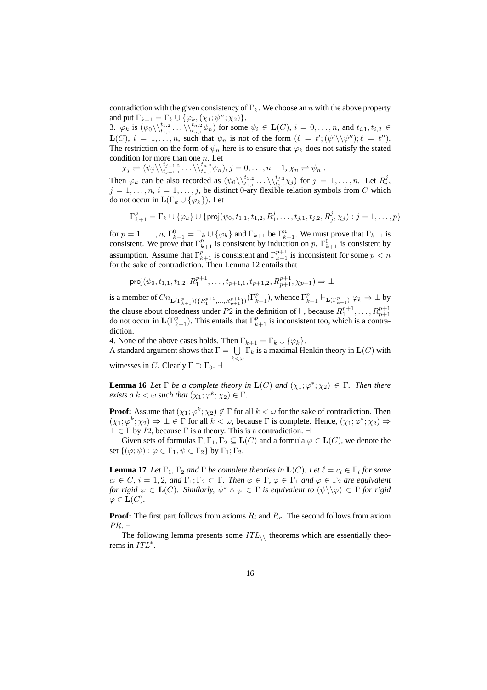contradiction with the given consistency of  $\Gamma_k$ . We choose an n with the above property and put  $\Gamma_{k+1} = \Gamma_k \cup \{ \varphi_k, (\chi_1; \psi^n; \chi_2) \}.$ 

3.  $\varphi_k$  is  $(\psi_0 \setminus \setminus_{t_{1,1}}^{t_{1,2}} \dots \setminus \setminus_{t_{n,1}}^{t_{n,2}} \psi_n)$  for some  $\psi_i \in \mathbf{L}(C)$ ,  $i = 0, \dots, n$ , and  $t_{i,1}, t_{i,2} \in$  $\mathbf{L}(C)$ ,  $i = 1, \ldots, n$ , such that  $\psi_n$  is not of the form  $(\ell = t'; (\psi' \setminus \psi'') ; \ell = t'')$ . The restriction on the form of  $\psi_n$  here is to ensure that  $\varphi_k$  does not satisfy the stated condition for more than one  $n$ . Let

 $\chi_j \rightleftharpoons (\psi_j \backslash \setminus_{t_{j+1,1}}^{t_{j+1,2}} \ldots \backslash \setminus_{t_{n,1}}^{t_{n,2}} \psi_n), j = 0, \ldots, n-1, \chi_n \rightleftharpoons \psi_n.$ 

Then  $\varphi_k$  can be also recorded as  $(\psi_0 \setminus \setminus_{t_{1,1}}^{t_1,2} \dots \setminus \setminus_{t_{j,1}}^{t_{j,2}} \chi_j)$  for  $j = 1, \dots, n$ . Let  $R_i^j$ ,  $j = 1, \ldots, n$ ,  $i = 1, \ldots, j$ , be distinct 0-ary flexible relation symbols from C which do not occur in  $\mathbf{L}(\Gamma_k \cup \{\varphi_k\})$ . Let

$$
\Gamma_{k+1}^p = \Gamma_k \cup \{ \varphi_k \} \cup \{ \text{proj}(\psi_0, t_{1,1}, t_{1,2}, R_1^j, \dots, t_{j,1}, t_{j,2}, R_j^j, \chi_j) : j = 1, \dots, p \}
$$

for  $p = 1, \ldots, n$ ,  $\Gamma_{k+1}^0 = \Gamma_k \cup {\varphi_k}$  and  $\Gamma_{k+1}$  be  $\Gamma_{k+1}^n$ . We must prove that  $\Gamma_{k+1}$  is consistent. We prove that  $\Gamma_{k+1}^p$  is consistent by induction on p.  $\Gamma_{k+1}^0$  is consistent by assumption. Assume that  $\Gamma_{k+1}^p$  is consistent and  $\Gamma_{k+1}^{p+1}$  is inconsistent for some  $p < n$ for the sake of contradiction. Then Lemma 12 entails that

$$
\text{proj}(\psi_0, t_{1,1}, t_{1,2}, R_1^{p+1}, \dots, t_{p+1,1}, t_{p+1,2}, R_{p+1}^{p+1}, \chi_{p+1}) \Rightarrow \bot
$$

is a member of  $Cn_{\mathbf{L}(\Gamma^p_{k+1})(\{R^{p+1}_1,\ldots,R^{p+1}_{p+1}\})}(\Gamma^p_{k+1})$ , whence  $\Gamma^p_{k+1} \vdash_{\mathbf{L}(\Gamma^p_{k+1})} \varphi_k \Rightarrow \bot$  by the clause about closedness under P2 in the definition of  $\vdash$ , because  $R_1^{p+1}, \ldots, R_{p+1}^{p+1}$ do not occur in  $\mathbf{L}(\Gamma_{k+1}^p)$ . This entails that  $\Gamma_{k+1}^p$  is inconsistent too, which is a contradiction.

4. None of the above cases holds. Then  $\Gamma_{k+1} = \Gamma_k \cup \{ \varphi_k \}.$ 

4. None of the above cases holds. Then  $\Gamma_{k+1} = \Gamma_k \cup \{\varphi_k\}$ .<br>A standard argument shows that  $\Gamma = \bigcup \Gamma_k$  is a maximal Henkin theory in  $\mathbf{L}(C)$  with  $k<\omega$ witnesses in C. Clearly  $\Gamma \supset \Gamma_0$ .  $\dashv$ 

**Lemma 16** *Let*  $\Gamma$  *be a complete theory in*  $\mathbf{L}(C)$  *and*  $(\chi_1; \varphi^*; \chi_2) \in \Gamma$ *. Then there exists a*  $k < \omega$  *such that*  $(\chi_1; \varphi^k; \chi_2) \in \Gamma$ .

**Proof:** Assume that  $(\chi_1; \varphi^k; \chi_2) \notin \Gamma$  for all  $k < \omega$  for the sake of contradiction. Then  $(\chi_1; \varphi^k; \chi_2) \Rightarrow \bot \in \Gamma$  for all  $k < \omega$ , because  $\Gamma$  is complete. Hence,  $(\chi_1; \varphi^*; \chi_2) \Rightarrow$  $\perp \in \Gamma$  by *I*2, because  $\Gamma$  is a theory. This is a contradiction.  $\dashv$ 

Given sets of formulas  $\Gamma, \Gamma_1, \Gamma_2 \subseteq \mathbf{L}(C)$  and a formula  $\varphi \in \mathbf{L}(C)$ , we denote the set  $\{(\varphi;\psi):\varphi\in\Gamma_1,\psi\in\Gamma_2\}$  by  $\Gamma_1;\Gamma_2$ .

**Lemma 17** *Let*  $\Gamma_1$ ,  $\Gamma_2$  *and*  $\Gamma$  *be complete theories in*  $\mathbf{L}(C)$ *. Let*  $\ell = c_i \in \Gamma_i$  *for some*  $c_i \in C$ ,  $i = 1, 2$ , and  $\Gamma_1; \Gamma_2 \subset \Gamma$ . Then  $\varphi \in \Gamma$ ,  $\varphi \in \Gamma_1$  and  $\varphi \in \Gamma_2$  are equivalent *for rigid*  $\varphi \in L(C)$ *. Similarly,*  $\psi^* \wedge \varphi \in \Gamma$  *is equivalent to*  $(\psi \setminus \varphi) \in \Gamma$  *for rigid*  $\varphi \in {\bf L}(C)$ .

**Proof:** The first part follows from axioms  $R_l$  and  $R_r$ . The second follows from axiom  $PR. \dashv$ 

The following lemma presents some  $ITL_{\wedge}$  theorems which are essentially theorems in  $ITL^*$ .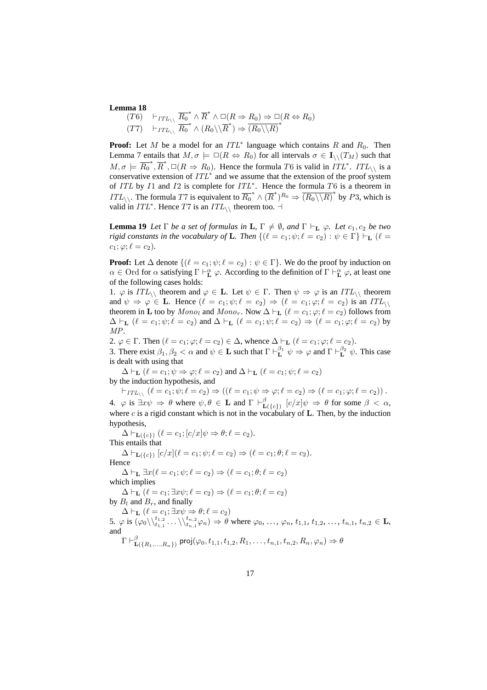#### **Lemma 18**

 $(T6) \quad \vdash_{ITL_{\setminus \setminus}} \overline{R_0}^* \wedge \overline{R}^* \wedge \Box(R \Rightarrow R_0) \Rightarrow \Box(R \Leftrightarrow R_0)$  $(T7) \quad \vdash_{ITL_{\setminus \setminus}} \overline{R_0}^* \wedge (R_0 \setminus \overline{R}^*) \Rightarrow \overline{(R_0 \setminus R)}^*$ 

**Proof:** Let M be a model for an  $ITL^*$  language which contains R and  $R_0$ . Then Lemma 7 entails that  $M, \sigma \models \Box(R \Leftrightarrow R_0)$  for all intervals  $\sigma \in I_{\setminus}(T_M)$  such that  $M, \sigma \models \overline{R_0}^*, \overline{R}^*, \Box (R \Rightarrow R_0)$ . Hence the formula T6 is valid in  $ITL^*$ .  $ITL_{\setminus}$  is a conservative extension of  $ITL^*$  and we assume that the extension of the proof system of ITL by I1 and I2 is complete for  $ITL^*$ . Hence the formula T6 is a theorem in *ITL*<sub>\\</sub>. The formula T7 is equivalent to  $\overline{R_0}^* \wedge (\overline{R}^*)^{R_0} \Rightarrow (\overline{R_0} \setminus \overline{R})^*$  by P3, which is valid in  $ITL^*$ . Hence T7 is an  $ITL_{\setminus}$  theorem too.  $\overline{\mathcal{L}}$ 

**Lemma 19** *Let*  $\Gamma$  *be a set of formulas in* **L**,  $\Gamma \neq \emptyset$ *, and*  $\Gamma \vdash_{\mathbf{L}} \varphi$ *. Let*  $c_1, c_2$  *be two rigid constants in the vocabulary of* **L**. Then  $\{(\ell = c_1; \psi; \ell = c_2) : \psi \in \Gamma\} \vdash_{\mathbf{L}} (\ell = c_1; \psi; \ell = c_2)$  $c_1$ ;  $\varphi$ ;  $\ell = c_2$ ).

**Proof:** Let  $\Delta$  denote  $\{(\ell = c_1; \psi; \ell = c_2) : \psi \in \Gamma\}$ . We do the proof by induction on  $\alpha \in \text{Ord}$  for  $\alpha$  satisfying  $\Gamma \vdash^{\alpha}_{\mathbf{L}} \varphi$ . According to the definition of  $\Gamma \vdash^{\alpha}_{\mathbf{L}} \varphi$ , at least one of the following cases holds:

1.  $\varphi$  is  $ITL_{\setminus}$  theorem and  $\varphi \in L$ . Let  $\psi \in \Gamma$ . Then  $\psi \Rightarrow \varphi$  is an  $ITL_{\setminus}$  theorem and  $\psi \Rightarrow \varphi \in L$ . Hence  $(\ell = c_1; \psi; \ell = c_2) \Rightarrow (\ell = c_1; \varphi; \ell = c_2)$  is an  $ITL_{\setminus \setminus}$ theorem in **L** too by  $Mon_{0}$  and  $Mon_{0}$ . Now  $\Delta \vdash_{\mathbf{L}} (\ell = c_1; \varphi; \ell = c_2)$  follows from  $\Delta \vdash_L (\ell = c_1; \psi; \ell = c_2)$  and  $\Delta \vdash_L (\ell = c_1; \psi; \ell = c_2) \Rightarrow (\ell = c_1; \varphi; \ell = c_2)$  by MP.

2.  $\varphi \in \Gamma$ . Then  $(\ell = c_1; \varphi; \ell = c_2) \in \Delta$ , whence  $\Delta \vdash_{\mathbf{L}} (\ell = c_1; \varphi; \ell = c_2)$ .

3. There exist  $\beta_1, \beta_2 < \alpha$  and  $\psi \in \mathbf{L}$  such that  $\Gamma \vdash^{\beta_1}_{\mathbf{L}} \psi \Rightarrow \varphi$  and  $\Gamma \vdash^{\beta_2}_{\mathbf{L}} \psi$ . This case is dealt with using that

 $\Delta \vdash_{\mathbf{L}} (\ell = c_1; \psi \Rightarrow \varphi; \ell = c_2)$  and  $\Delta \vdash_{\mathbf{L}} (\ell = c_1; \psi; \ell = c_2)$ by the induction hypothesis, and

 $\vdash_{ITL_{\setminus \setminus}} (\ell = c_1; \psi; \ell = c_2) \Rightarrow ((\ell = c_1; \psi \Rightarrow \varphi; \ell = c_2) \Rightarrow (\ell = c_1; \varphi; \ell = c_2))$ . 4.  $\varphi$  is  $\exists x \psi \Rightarrow \theta$  where  $\psi, \theta \in \mathbf{L}$  and  $\Gamma \vdash^{\beta}_{\mathbf{L}}$  $\mathcal{L}(\{\epsilon\}) \ \ [c/x]\psi \ \Rightarrow \ \theta \ \ \text{for some} \ \ \beta \ < \ \alpha,$ where c is a rigid constant which is not in the vocabulary of **L**. Then, by the induction hypothesis,

 $\Delta \vdash_{\mathbf{L}({c})} (\ell = c_1; [c/x] \psi \Rightarrow \theta; \ell = c_2).$ This entails that  $\Delta \vdash_{\mathbf{L}(\{c\})} [c/x] (\ell = c_1; \psi; \ell = c_2) \Rightarrow (\ell = c_1; \theta; \ell = c_2).$ Hence  $\Delta \vdash_{\mathbf{L}} \exists x (\ell = c_1; \psi; \ell = c_2) \Rightarrow (\ell = c_1; \theta; \ell = c_2)$ which implies  $\Delta \vdash_{\mathbf{L}} (\ell = c_1; \exists x \psi; \ell = c_2) \Rightarrow (\ell = c_1; \theta; \ell = c_2)$ by  $B_l$  and  $B_r$ , and finally  $\Delta \vdash_{\mathbf{L}} (\ell = c_1; \exists x \psi \Rightarrow \theta; \ell = c_2)$ 5.  $\varphi$  is  $(\varphi_0 \setminus \setminus^{t_1,2}_{t_1,1}, \ldots \setminus \setminus^{t_{n,2}}_{t_n,1} \varphi_n) \Rightarrow \theta$  where  $\varphi_0, \ldots, \varphi_n, t_{1,1}, t_{1,2}, \ldots, t_{n,1}, t_{n,2} \in \mathbf{L}$ , and  $\Gamma \vdash_{\mathbf{r}}^{\beta}$  $\mathbf{L}(\{R_1,...,R_n\})$  proj $(\varphi_0,t_{1,1},t_{1,2},R_1,\ldots,t_{n,1},t_{n,2},R_n,\varphi_n) \Rightarrow \theta$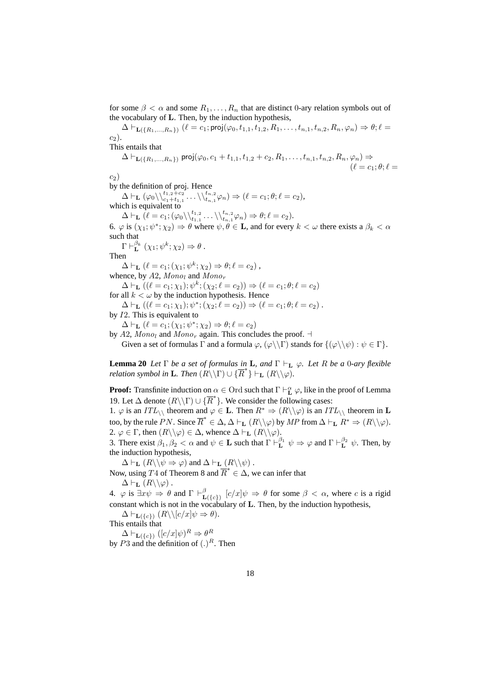for some  $\beta < \alpha$  and some  $R_1, \ldots, R_n$  that are distinct 0-ary relation symbols out of the vocabulary of L. Then, by the induction hypothesis,

 $\Delta \vdash_{\mathbf{L}(\{R_1,\ldots,R_n\})} (\ell = c_1; \mathsf{proj}(\varphi_0, t_{1,1}, t_{1,2}, R_1, \ldots, t_{n,1}, t_{n,2}, R_n, \varphi_n) \Rightarrow \theta; \ell =$  $c_2$ ).

This entails that

$$
\Delta \vdash_{\mathbf{L}(\{R_1,\ldots,R_n\})} \text{proj}(\varphi_0, c_1+t_{1,1}, t_{1,2}+c_2, R_1, \ldots, t_{n,1}, t_{n,2}, R_n, \varphi_n) \Rightarrow (\ell = c_1; \theta; \ell =
$$

 $c_2$ )

by the definition of proj. Hence

 $\Delta \vdash_{\mathbf{L}} (\varphi_0 \backslash \setminus^{t_1,2+c_2}_{c_1+t_{1,1}} \ldots \backslash \setminus^{t_{n,2}}_{t_{n,1}} \varphi_n ) \Rightarrow (\ell = c_1; \theta; \ell = c_2),$ which is equivalent to

 $\Delta \vdash_{\mathbf{L}} (\ell = c_1; (\varphi_0 \backslash \setminus_{t_{1,1}}^{t_{1,2}} \ldots \backslash \setminus_{t_{n,1}}^{t_{n,2}} \varphi_n) \Rightarrow \theta; \ell = c_2).$ 

6.  $\varphi$  is  $(\chi_1; \psi^*; \chi_2) \Rightarrow \theta$  where  $\psi, \theta \in \mathbf{L}$ , and for every  $k < \omega$  there exists a  $\beta_k < \alpha$ such that

 $\Gamma \vdash^{\beta_k} _{\mathbf{L}} (\chi_1; \psi^k; \chi_2) \Rightarrow \theta$ .

Then

 $\Delta \vdash_{\mathbf{L}} (\ell = c_1; (\chi_1; \psi^k; \chi_2) \Rightarrow \theta; \ell = c_2),$ 

whence, by  $A2$ ,  $Mono<sub>l</sub>$  and  $Mono<sub>r</sub>$ 

 $\Delta \vdash_{\mathbf{L}} ((\ell = c_1; \chi_1); \psi^k; (\chi_2; \ell = c_2)) \Rightarrow (\ell = c_1; \theta; \ell = c_2)$ 

for all  $k < \omega$  by the induction hypothesis. Hence

 $\Delta \vdash_{\mathbf{L}} ((\ell = c_1; \chi_1); \psi^*; (\chi_2; \ell = c_2)) \Rightarrow (\ell = c_1; \theta; \ell = c_2).$ by I2. This is equivalent to

 $\Delta \vdash_{\mathbf{L}} (\ell = c_1; (\chi_1; \psi^*; \chi_2) \Rightarrow \theta; \ell = c_2)$ 

by A2,  $Mono<sub>l</sub>$  and  $Mono<sub>r</sub>$  again. This concludes the proof.  $\dashv$ Given a set of formulas  $\Gamma$  and a formula  $\varphi$ ,  $(\varphi \setminus \Gamma)$  stands for  $\{(\varphi \setminus \psi) : \psi \in \Gamma\}$ .

**Lemma 20** *Let*  $\Gamma$  *be a set of formulas in* **L**, and  $\Gamma \vdash_{\mathbf{L}} \varphi$ *. Let* R *be a* 0*-ary flexible relation symbol in* **L***. Then*  $(R\setminus\Gamma) \cup \{R^*\} \vdash_L (R\setminus\varphi)$ .

**Proof:** Transfinite induction on  $\alpha \in \text{Ord}$  such that  $\Gamma \vdash^{\alpha}_{\mathbf{L}} \varphi$ , like in the proof of Lemma 19. Let  $\Delta$  denote  $(R \setminus \Gamma) \cup \{ \overline{R}^* \}$ . We consider the following cases:

1.  $\varphi$  is an  $ITL\setminus$  theorem and  $\varphi \in L$ . Then  $R^* \Rightarrow (R\setminus \varphi)$  is an  $ITL\setminus$  theorem in L too, by the rule PN. Since  $\overline{R}^* \in \Delta$ ,  $\Delta \vdash_{\mathbf{L}} (R \setminus \setminus \varphi)$  by  $MP$  from  $\Delta \vdash_{\mathbf{L}} R^* \Rightarrow (R \setminus \setminus \varphi)$ . 2.  $\varphi \in \Gamma$ , then  $(R \setminus \varphi) \in \Delta$ , whence  $\Delta \vdash_{\mathbf{L}} (R \setminus \varphi)$ .

3. There exist  $\beta_1, \beta_2 < \alpha$  and  $\psi \in \mathbf{L}$  such that  $\Gamma \vdash^{\beta_1}_{\mathbf{L}} \psi \Rightarrow \varphi$  and  $\Gamma \vdash^{\beta_2}_{\mathbf{L}} \psi$ . Then, by the induction hypothesis,

 $\Delta \vdash_{\mathbf{L}} (R \setminus \psi \Rightarrow \varphi)$  and  $\Delta \vdash_{\mathbf{L}} (R \setminus \psi)$ .

Now, using T4 of Theorem 8 and  $\overline{R}^* \in \Delta$ , we can infer that  $\Delta \vdash_{\mathbf{L}} (R \setminus \setminus \varphi)$ .

4.  $\varphi$  is  $\exists x \psi \Rightarrow \theta$  and  $\Gamma \vdash^{\beta}_{\mathbf{I}}$  $\mathcal{L}(\{c\})$   $[c/x]\psi \Rightarrow \theta$  for some  $\beta < \alpha$ , where c is a rigid constant which is not in the vocabulary of L. Then, by the induction hypothesis,

 $\Delta \vdash_{\mathbf{L}(\{c\})} (R \setminus [c/x] \psi \Rightarrow \theta).$ 

This entails that  $\Delta \vdash_{\mathbf{L}(\{c\})} ([c/x] \psi)^R \Rightarrow \theta^R$ 

by P3 and the definition of  $(.)^R$ . Then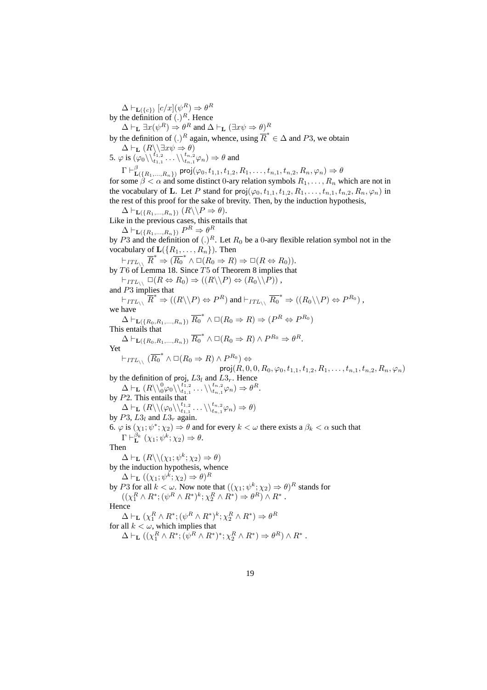$\Delta \vdash_{\mathbf{L}(\{c\})} [c/x](\psi^R) \Rightarrow \theta^R$ by the definition of  $(.)^R$ . Hence

 $\Delta \vdash_{\mathbf{L}} \exists x (\psi^R) \Rightarrow \theta^R$  and  $\Delta \vdash_{\mathbf{L}} (\exists x \psi \Rightarrow \theta)^R$ 

by the definition of  $(.)^R$  again, whence, using  $\overline{R}^* \in \Delta$  and P3, we obtain  $\Delta \vdash_{\mathbf{L}} (R \backslash \exists x \psi \Rightarrow \theta)$ 

5.  $\varphi$  is  $(\varphi_0 \setminus \langle t_1, 2 \atop t_1, 1}, \ldots \setminus \langle t_{n,1}^{t_n, 2} \varphi_n) \Rightarrow \theta$  and

 $\Gamma \vdash_{\mathbf{r}}^{\beta}$  $\mathbf{L}(\{R_1,...,R_n\})$  proj $(\varphi_0,t_{1,1},t_{1,2},R_1,\ldots,t_{n,1},t_{n,2},R_n,\varphi_n) \Rightarrow \theta$ for some  $\beta < \alpha$  and some distinct 0-ary relation symbols  $R_1, \ldots, R_n$  which are not in the vocabulary of L. Let P stand for  $proj(\varphi_0, t_{1,1}, t_{1,2}, R_1, \ldots, t_{n,1}, t_{n,2}, R_n, \varphi_n)$  in the rest of this proof for the sake of brevity. Then, by the induction hypothesis,

 $\Delta \vdash_{\mathbf{L}(\{R_1,\ldots,R_n\})} (R \setminus P \Rightarrow \theta).$ 

Like in the previous cases, this entails that

 $\Delta \vdash_{\mathbf{L}(\{R_1,\ldots,R_n\})} P^R \Rightarrow \theta^R$ 

by P3 and the definition of  $(.)^R$ . Let  $R_0$  be a 0-ary flexible relation symbol not in the vocabulary of  $\mathbf{L}(\{R_1, \ldots, R_n\})$ . Then

 $\vdash_{ITL_{\setminus} \setminus} \overline{R}^* \Rightarrow (\overline{R_0}^* \land \Box(R_0 \Rightarrow R) \Rightarrow \Box(R \Leftrightarrow R_0)).$ by T6 of Lemma 18. Since  $T5$  of Theorem 8 implies that  $\vdash_{ITL_{\setminus}{}} \Box(R \Leftrightarrow R_0) \Rightarrow ((R \setminus P) \Leftrightarrow (R_0 \setminus P))$ ,

and P3 implies that

 $\dashv_{ITL\setminus\setminus} \overline{R}^* \Rightarrow ((R\setminus\setminus P) \Leftrightarrow P^R)$  and  $\dashv_{ITL\setminus\setminus} \overline{R_0}^* \Rightarrow ((R_0\setminus\setminus P) \Leftrightarrow P^{R_0})$ , we have

 $\overline{\Delta \vdash}_{\mathbf{L}(\{R_0, R_1, ..., R_n\})} \overline{R_0}^* \wedge \Box(R_0 \Rightarrow R) \Rightarrow (P^R \Leftrightarrow P^{R_0})$ This entails that

 $\Delta \vdash_{\mathbf{L}(\lbrace R_0,R_1,...,R_n \rbrace)} \overline{R_0}^* \wedge \Box(R_0 \Rightarrow R) \wedge P^{R_0} \Rightarrow \theta^R.$ 

Yet  $\vdash_{ITL_{\setminus \setminus}} (\overline{R_0}^* \wedge \Box(R_0 \Rightarrow R) \wedge P^{R_0}) \Leftrightarrow$ 

$$
\textsf{proj}(R,0,0,R_0,\varphi_0,t_{1,1},t_{1,2},R_1,\ldots,t_{n,1},t_{n,2},R_n,\varphi_n)
$$

by the definition of proj,  $L3_l$  and  $L3_r$ . Hence  $\Delta \vdash_{\mathbf{L}} (R\backslash\backslash0^0\varphi_0\backslash\backslash t_{1,1}^{t_{1,2}}\dots\backslash\backslash t_{n,1}^{t_{n,2}}\varphi_n)\Rightarrow\theta^R.$ by  $P2$ . This entails that

 $\Delta \vdash_{\mathbf{L}} (R \setminus \setminus (\varphi_0 \setminus \setminus^{t_{1,2}}_{t_{1,1}} \ldots \setminus \setminus^{t_{n,2}}_{t_{n,1}} \varphi_n) \Rightarrow \theta)$ by  $P3$ ,  $L3_l$  and  $L3_r$  again.

6.  $\varphi$  is  $(\chi_1; \psi^*; \chi_2) \Rightarrow \theta$  and for every  $k < \omega$  there exists a  $\beta_k < \alpha$  such that

 $\Gamma \vdash^{\beta_k} \ (\chi_1; \psi^k; \chi_2) \Rightarrow \theta.$ 

Then

 $\Delta \vdash_{\mathbf{L}} (R \setminus (\chi_1; \psi^k; \chi_2) \Rightarrow \theta)$ 

by the induction hypothesis, whence

 $\Delta \vdash_{\mathbf{L}} ((\chi_1; \psi^k; \chi_2) \Rightarrow \theta)^R$ 

by P3 for all  $k < \omega$ . Now note that  $((\chi_1; \psi^k; \chi_2) \Rightarrow \theta)^R$  stands for  $((\chi_1^R \wedge R^*; (\psi^R \wedge R^*)^k; \chi_2^R \wedge R^*) \Rightarrow \theta^R) \wedge R^*$ .

Hence

 $\Delta \vdash_{\mathbf{L}} (\chi_1^R \wedge R^*; (\psi^R \wedge R^*)^k; \chi_2^R \wedge R^*) \Rightarrow \theta^R$ 

for all  $k < \omega$ , which implies that

 $\Delta \vdash_{\mathbf{L}} ((\chi_1^R \wedge R^*; (\psi^R \wedge R^*)^*; \chi_2^R \wedge R^*) \Rightarrow \theta^R) \wedge R^*$ .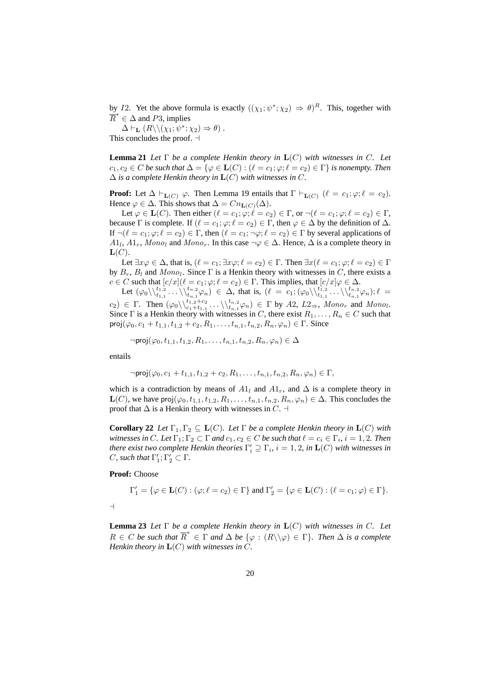by I2. Yet the above formula is exactly  $((\chi_1; \psi^*; \chi_2) \Rightarrow \theta)^R$ . This, together with  $\overline{R}^* \in \Delta$  and P3, implies

 $\Delta \vdash_{\mathbf{L}} (R \setminus (\chi_1; \psi^*; \chi_2) \Rightarrow \theta)$ . This concludes the proof.  $\exists$ 

**Lemma 21** *Let*  $\Gamma$  *be a complete Henkin theory in*  $\mathbf{L}(C)$  *with witnesses in* C. Let  $c_1, c_2 \in C$  *be such that*  $\Delta = \{ \varphi \in \mathbf{L}(C) : (\ell = c_1; \varphi; \ell = c_2) \in \Gamma \}$  *is nonempty. Then*  $\Delta$  *is a complete Henkin theory in*  $\mathbf{L}(C)$  *with witnesses in C*.

**Proof:** Let  $\Delta \vdash_{\mathbf{L}(C)} \varphi$ . Then Lemma 19 entails that  $\Gamma \vdash_{\mathbf{L}(C)} (\ell = c_1; \varphi; \ell = c_2)$ . Hence  $\varphi \in \Delta$ . This shows that  $\Delta = Cn_{\mathbf{L}(C)}(\Delta)$ .

Let  $\varphi \in \mathbf{L}(C)$ . Then either  $(\ell = c_1; \varphi; \ell = c_2) \in \Gamma$ , or  $\neg(\ell = c_1; \varphi; \ell = c_2) \in \Gamma$ , because Γ is complete. If  $(\ell = c_1; \varphi; \ell = c_2) \in \Gamma$ , then  $\varphi \in \Delta$  by the definition of  $\Delta$ . If  $\neg(\ell = c_1; \varphi; \ell = c_2) \in \Gamma$ , then  $(\ell = c_1; \neg \varphi; \ell = c_2) \in \Gamma$  by several applications of  $A1_l$ ,  $A1_r$ ,  $Mono_l$  and  $Mono_r$ . In this case  $\neg \varphi \in \Delta$ . Hence,  $\Delta$  is a complete theory in  $\mathbf{L}(C)$ .

Let  $\exists x \varphi \in \Delta$ , that is,  $(\ell = c_1; \exists x \varphi; \ell = c_2) \in \Gamma$ . Then  $\exists x (\ell = c_1; \varphi; \ell = c_2) \in \Gamma$ by  $B_r$ ,  $B_l$  and  $Mono_l$ . Since  $\Gamma$  is a Henkin theory with witnesses in C, there exists a  $c \in C$  such that  $[c/x](\ell = c_1; \varphi; \ell = c_2) \in \Gamma$ . This implies, that  $[c/x] \varphi \in \Delta$ .

Let  $(\varphi_0 \setminus \setminus \setminus^{t_1,2}_{t_1,1} \ldots \setminus \setminus^{t_n,2}_{t_{n,1}} \varphi_n) \in \Delta$ , that is,  $(\ell = c_1; (\varphi_0 \setminus \setminus \setminus^{t_1,2}_{t_1,1} \ldots \setminus \setminus^{t_n,2}_{t_{n,1}} \varphi_n); \ell =$  $(c_2) \in \Gamma$ . Then  $(\varphi_0 \setminus \setminus_{c_1+t_{1,1}}^{t_1,2+c_2} \ldots \setminus \setminus_{t_{n,1}}^{t_n,2} \varphi_n) \in \Gamma$  by  $A2$ ,  $L2_{\Rightarrow}$ , Mono<sub>r</sub> and Mono<sub>l</sub>. Since  $\Gamma$  is a Henkin theory with witnesses in C, there exist  $R_1, \ldots, R_n \in C$  such that  $proj(\varphi_0, c_1 + t_{1,1}, t_{1,2} + c_2, R_1, \ldots, t_{n,1}, t_{n,2}, R_n, \varphi_n) \in \Gamma$ . Since

$$
\neg \mathsf{proj}(\varphi_0, t_{1,1}, t_{1,2}, R_1, \dots, t_{n,1}, t_{n,2}, R_n, \varphi_n) \in \Delta
$$

entails

$$
\neg \text{proj}(\varphi_0, c_1 + t_{1,1}, t_{1,2} + c_2, R_1, \dots, t_{n,1}, t_{n,2}, R_n, \varphi_n) \in \Gamma,
$$

which is a contradiction by means of  $A1_l$  and  $A1_r$ , and  $\Delta$  is a complete theory in  $\mathbf{L}(C)$ , we have proj $(\varphi_0, t_{1,1}, t_{1,2}, R_1, \ldots, t_{n,1}, t_{n,2}, R_n, \varphi_n) \in \Delta$ . This concludes the proof that  $\Delta$  is a Henkin theory with witnesses in C.  $\dashv$ 

**Corollary 22** *Let*  $\Gamma_1, \Gamma_2 \subseteq L(C)$ *. Let*  $\Gamma$  *be a complete Henkin theory in*  $L(C)$  *with witnesses in C. Let*  $\Gamma_1; \Gamma_2 \subset \Gamma$  *and*  $c_1, c_2 \in C$  *be such that*  $\ell = c_i \in \Gamma_i$ ,  $i = 1, 2$ *. Then there exist two complete Henkin theories*  $\Gamma'_i \supseteq \Gamma_i$ ,  $i = 1, 2$ , in  $\mathbf{L}(C)$  with witnesses in *C*, such that  $\Gamma'_1$ ;  $\Gamma'_2 \subset \Gamma$ .

**Proof:** Choose

 $\overline{a}$ 

$$
\Gamma'_1 = \{ \varphi \in \mathbf{L}(C) : (\varphi; \ell = c_2) \in \Gamma \} \text{ and } \Gamma'_2 = \{ \varphi \in \mathbf{L}(C) : (\ell = c_1; \varphi) \in \Gamma \}.
$$

**Lemma 23** *Let*  $\Gamma$  *be a complete Henkin theory in*  $\mathbf{L}(C)$  *with witnesses in* C. Let  $R \in C$  *be such that*  $\overline{R}^* \in \Gamma$  *and*  $\Delta$  *be*  $\{\varphi : (R \setminus \varphi) \in \Gamma\}$ *. Then*  $\Delta$  *is a complete Henkin theory in* L(C) *with witnesses in* C*.*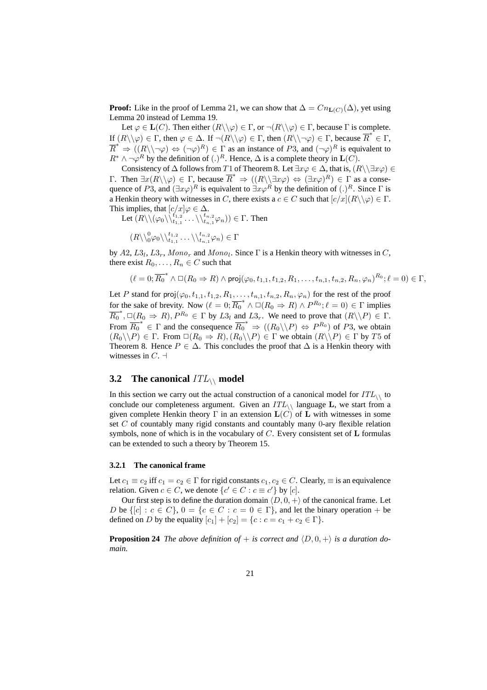**Proof:** Like in the proof of Lemma 21, we can show that  $\Delta = Cn_{\text{L}(C)}(\Delta)$ , yet using Lemma 20 instead of Lemma 19.

Let  $\varphi \in L(C)$ . Then either  $(R \setminus \varphi) \in \Gamma$ , or  $\neg (R \setminus \varphi) \in \Gamma$ , because  $\Gamma$  is complete. If  $(R \setminus \varphi) \in \Gamma$ , then  $\varphi \in \Delta$ . If  $\neg(R \setminus \varphi) \in \Gamma$ , then  $(R \setminus \neg \varphi) \in \Gamma$ , because  $\overline{R}^* \in \Gamma$ ,  $\overline{R}^* \Rightarrow ((R \setminus \neg \varphi) \Leftrightarrow (\neg \varphi)^R) \in \Gamma$  as an instance of P3, and  $(\neg \varphi)^R$  is equivalent to  $R^* \wedge \neg \varphi^R$  by the definition of  $(.)^R$ . Hence,  $\Delta$  is a complete theory in  $\mathbf{L}(C)$ .

Consistency of  $\Delta$  follows from T1 of Theorem 8. Let  $\exists x \varphi \in \Delta$ , that is,  $(R \setminus \exists x \varphi) \in$ Γ. Then  $\exists x(R\setminus\varphi) \in Γ$ , because  $\overline{R}^* \Rightarrow ((R\setminus\exists x\varphi) \Leftrightarrow (\exists x\varphi)^R) \in Γ$  as a consequence of P3, and  $(\exists x \varphi)^R$  is equivalent to  $\exists x \varphi^R$  by the definition of  $(.)^R$ . Since  $\Gamma$  is a Henkin theory with witnesses in C, there exists a  $c \in C$  such that  $[c/x](R \setminus \varphi) \in \Gamma$ . This implies, that  $[c/x] \varphi \in \Delta$ .

Let  $(R \setminus (\varphi_0 \setminus \setminus t_{1,1}^{\tbinom{t}{1},2} \dots \setminus \setminus t_{n,1}^{\tbinom{t}{n},2} \varphi_n)) \in \Gamma$ . Then

 $(R\setminus_{0}^{0}\varphi_0\setminus_{t_{1,1}}^{t_{1,2}}\ldots\setminus_{t_{n,1}}^{t_{n,2}}\varphi_n)\in\Gamma$ 

by  $A2, L3_l, L3_r, Mono_r$  and  $Mono_l$ . Since  $\Gamma$  is a Henkin theory with witnesses in C, there exist  $R_0, \ldots, R_n \in C$  such that

$$
(\ell=0;\overline{R_0}^*\wedge \Box (R_0\Rightarrow R)\wedge \mathrm{proj}(\varphi_0,t_{1,1},t_{1,2},R_1,\ldots,t_{n,1},t_{n,2},R_n,\varphi_n)^{R_0}; \ell=0)\in \Gamma,
$$

Let P stand for  $proj(\varphi_0, t_{1,1}, t_{1,2}, R_1, \ldots, t_{n,1}, t_{n,2}, R_n, \varphi_n)$  for the rest of the proof for the sake of brevity. Now  $(\ell = 0; \overline{R_0}^* \wedge \Box (R_0 \Rightarrow R) \wedge P^{R_0}; \ell = 0) \in \Gamma$  implies  $\overline{R_0}^*$ ,  $\Box (R_0 \Rightarrow R)$ ,  $P^{R_0} \in \Gamma$  by  $L3_l$  and  $L3_r$ . We need to prove that  $(R \setminus P) \in \Gamma$ . From  $\overline{R_0}^* \in \Gamma$  and the consequence  $\overline{R_0}^* \Rightarrow ((R_0 \setminus P) \Leftrightarrow P^{R_0})$  of P3, we obtain  $(R_0 \setminus P) \in \Gamma$ . From  $\Box(R_0 \Rightarrow R), (R_0 \setminus P) \in \Gamma$  we obtain  $(R \setminus P) \in \Gamma$  by T5 of Theorem 8. Hence  $P \in \Delta$ . This concludes the proof that  $\Delta$  is a Henkin theory with witnesses in  $C$ .  $\neg$ 

### **3.2** The canonical  $ITL\setminus$  model

In this section we carry out the actual construction of a canonical model for  $ITL_{\wedge}$  to conclude our completeness argument. Given an  $ITL_{\setminus}$  language L, we start from a given complete Henkin theory  $\Gamma$  in an extension  $\mathbf{L}(C)$  of  $\mathbf L$  with witnesses in some set C of countably many rigid constants and countably many 0-ary flexible relation symbols, none of which is in the vocabulary of  $C$ . Every consistent set of  $L$  formulas can be extended to such a theory by Theorem 15.

#### **3.2.1 The canonical frame**

Let  $c_1 \equiv c_2$  iff  $c_1 = c_2 \in \Gamma$  for rigid constants  $c_1, c_2 \in C$ . Clearly,  $\equiv$  is an equivalence relation. Given  $c \in C$ , we denote  $\{c' \in C : c \equiv c'\}$  by  $[c]$ .

Our first step is to define the duration domain  $\langle D, 0, +\rangle$  of the canonical frame. Let D be  $\{[c] : c \in C\}$ ,  $0 = \{c \in C : c = 0 \in \Gamma\}$ , and let the binary operation + be defined on D by the equality  $[c_1] + [c_2] = \{c : c = c_1 + c_2 \in \Gamma\}.$ 

**Proposition 24** *The above definition of + is correct and*  $\langle D, 0, + \rangle$  *is a duration domain.*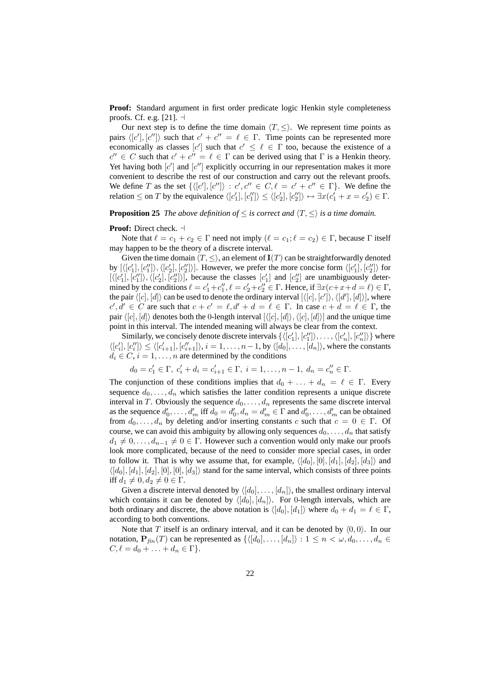**Proof:** Standard argument in first order predicate logic Henkin style completeness proofs. Cf. e.g. [21].  $\exists$ 

Our next step is to define the time domain  $\langle T, \leq \rangle$ . We represent time points as pairs  $\langle [c'], [c''] \rangle$  such that  $c' + c'' = \ell \in \Gamma$ . Time points can be represented more economically as classes  $[c']$  such that  $c' \leq \ell \in \Gamma$  too, because the existence of a  $c'' \in C$  such that  $c' + c'' = \ell \in \Gamma$  can be derived using that  $\Gamma$  is a Henkin theory. Yet having both  $[c']$  and  $[c'']$  explicitly occurring in our representation makes it more convenient to describe the rest of our construction and carry out the relevant proofs. We define T as the set  $\{([c'], [c'']) : c', c'' \in C, \ell = c' + c'' \in \Gamma\}$ . We define the relation  $\leq$  on  $T$  by the equivalence  $\langle [c'_1], [c''_1] \rangle \leq \langle [c'_2], [c''_2] \rangle \leftrightarrow \exists x (c'_1 + x = c'_2) \in \Gamma$ .

**Proposition 25** *The above definition of*  $\leq$  *is correct and*  $\langle T, \leq \rangle$  *is a time domain.* 

#### **Proof:** Direct check.  $\dashv$

Note that  $\ell = c_1 + c_2 \in \Gamma$  need not imply  $(\ell = c_1; \ell = c_2) \in \Gamma$ , because  $\Gamma$  itself may happen to be the theory of a discrete interval.

Given the time domain  $\langle T, \leq \rangle$ , an element of  $I(T)$  can be straightforwardly denoted by  $[\langle [c'_1], [c''_1] \rangle, \langle [c'_2], [c''_2] \rangle]$ . However, we prefer the more concise form  $\langle [c'_1], [c''_2] \rangle$  for  $[\langle [c'_1], [c''_1] \rangle, \langle [c'_2], [c''_2] \rangle]$ , because the classes  $[c'_1]$  and  $[c''_2]$  are unambiguously determined by the conditions  $\ell = c_1' + c_1''$ ,  $\ell = c_2' + c_2'' \in \Gamma$ . Hence, if  $\exists x (c + x + d = \ell) \in \Gamma$ , the pair  $\langle [c], [d] \rangle$  can be used to denote the ordinary interval  $[\langle [c], [c'] \rangle, \langle [d'], [d] \rangle]$ , where  $c', d' \in C$  are such that  $c + c' = \ell, d' + d = \ell \in \Gamma$ . In case  $c + d = \ell \in \Gamma$ , the pair  $\langle [c], [d] \rangle$  denotes both the 0-length interval  $[\langle [c], [d] \rangle, \langle [c], [d] \rangle]$  and the unique time point in this interval. The intended meaning will always be clear from the context.

Similarly, we concisely denote discrete intervals  $\{\langle [c_1'], [c_1''] \rangle, \ldots, \langle [c_n'], [c_n''] \rangle\}$  where  $\langle [c'_i], [c''_i] \rangle \le \langle [c'_{i+1}], [c''_{i+1}] \rangle, i = 1, \ldots, n-1$ , by  $\langle [d_0], \ldots, [d_n] \rangle$ , where the constants  $d_i \in C$ ,  $i = 1, \ldots, n$  are determined by the conditions

$$
d_0 = c'_1 \in \Gamma, \ c'_i + d_i = c'_{i+1} \in \Gamma, \ i = 1, \dots, n-1, \ d_n = c''_n \in \Gamma.
$$

The conjunction of these conditions implies that  $d_0 + \ldots + d_n = \ell \in \Gamma$ . Every sequence  $d_0, \ldots, d_n$  which satisfies the latter condition represents a unique discrete interval in T. Obviously the sequence  $d_0, \ldots, d_n$  represents the same discrete interval as the sequence  $d'_0, \ldots, d'_m$  iff  $d_0 = d'_0, d_n = d'_m \in \Gamma$  and  $d'_0, \ldots, d'_m$  can be obtained from  $d_0, \ldots, d_n$  by deleting and/or inserting constants c such that  $c = 0 \in \Gamma$ . Of course, we can avoid this ambiguity by allowing only sequences  $d_0, \ldots, d_n$  that satisfy  $d_1 \neq 0, \ldots, d_{n-1} \neq 0 \in \Gamma$ . However such a convention would only make our proofs look more complicated, because of the need to consider more special cases, in order to follow it. That is why we assume that, for example,  $\langle [d_0], [0], [d_1], [d_2], [d_3] \rangle$  and  $\langle [d_0], [d_1], [d_2], [0], [0], [d_3] \rangle$  stand for the same interval, which consists of three points iff  $d_1 \neq 0, d_2 \neq 0 \in \Gamma$ .

Given a discrete interval denoted by  $\langle [d_0], \ldots, [d_n] \rangle$ , the smallest ordinary interval which contains it can be denoted by  $\langle [d_0], [d_n] \rangle$ . For 0-length intervals, which are both ordinary and discrete, the above notation is  $\langle [d_0], [d_1] \rangle$  where  $d_0 + d_1 = \ell \in \Gamma$ , according to both conventions.

Note that T itself is an ordinary interval, and it can be denoted by  $(0,0)$ . In our notation,  $\mathbf{P}_{fin}(T)$  can be represented as  $\{([d_0], \ldots, [d_n]\} : 1 \leq n < \omega, d_0, \ldots, d_n \in$  $C, \ell = d_0 + \ldots + d_n \in \Gamma$ .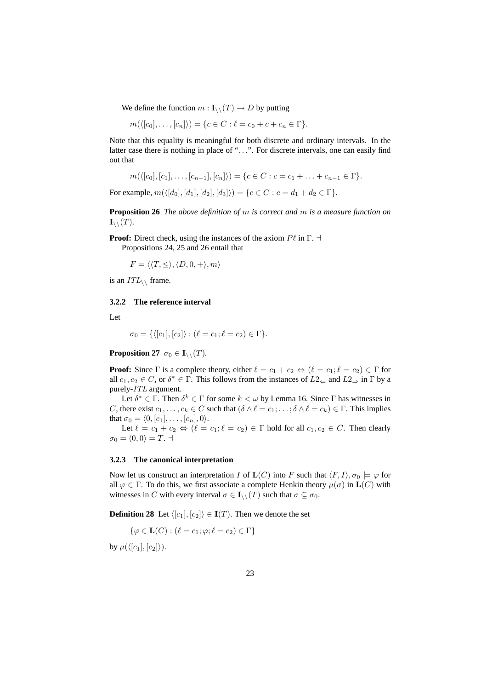We define the function  $m: I_{\wedge}(T) \to D$  by putting

$$
m(\langle [c_0],\ldots,[c_n]\rangle) = \{c \in C : \ell = c_0 + c + c_n \in \Gamma\}.
$$

Note that this equality is meaningful for both discrete and ordinary intervals. In the latter case there is nothing in place of "...". For discrete intervals, one can easily find out that

$$
m(\langle [c_0],[c_1],\ldots,[c_{n-1}],[c_n]\rangle)=\{c\in C: c=c_1+\ldots+c_{n-1}\in \Gamma\}.
$$

For example,  $m(\langle [d_0], [d_1], [d_2], [d_3] \rangle) = \{c \in C : c = d_1 + d_2 \in \Gamma\}.$ 

**Proposition 26** *The above definition of* m *is correct and* m *is a measure function on*  $\mathbf{I}_{\setminus}$   $(T)$ *.* 

**Proof:** Direct check, using the instances of the axiom  $P\ell$  in  $\Gamma$ .  $\dashv$ 

Propositions 24, 25 and 26 entail that

 $F = \langle \langle T, \leq \rangle, \langle D, 0, + \rangle, m \rangle$ 

is an  $ITL_{\wedge}$  frame.

#### **3.2.2 The reference interval**

Let

$$
\sigma_0 = \{ \langle [c_1], [c_2] \rangle : (\ell = c_1; \ell = c_2) \in \Gamma \}.
$$

**Proposition 27**  $\sigma_0 \in \mathbf{I}_{\setminus \setminus}(T)$ .

**Proof:** Since  $\Gamma$  is a complete theory, either  $\ell = c_1 + c_2 \Leftrightarrow (\ell = c_1; \ell = c_2) \in \Gamma$  for all  $c_1, c_2 \in C$ , or  $\delta^* \in \Gamma$ . This follows from the instances of  $L2_{\leftarrow}$  and  $L2_{\Rightarrow}$  in  $\Gamma$  by a purely-ITL argument.

Let  $\delta^* \in \Gamma$ . Then  $\delta^k \in \Gamma$  for some  $k < \omega$  by Lemma 16. Since  $\Gamma$  has witnesses in C, there exist  $c_1, \ldots, c_k \in C$  such that  $(\delta \wedge \ell = c_1; \ldots; \delta \wedge \ell = c_k) \in \Gamma$ . This implies that  $\sigma_0 = \langle 0, [c_1], \ldots, [c_n], 0 \rangle$ .

Let  $\ell = c_1 + c_2 \Leftrightarrow (\ell = c_1; \ell = c_2) \in \Gamma$  hold for all  $c_1, c_2 \in C$ . Then clearly  $\sigma_0 = \langle 0, 0 \rangle = T$ .

#### **3.2.3 The canonical interpretation**

Now let us construct an interpretation I of  $\mathbf{L}(C)$  into F such that  $\langle F, I \rangle, \sigma_0 \models \varphi$  for all  $\varphi \in \Gamma$ . To do this, we first associate a complete Henkin theory  $\mu(\sigma)$  in  $\mathbf{L}(C)$  with witnesses in C with every interval  $\sigma \in I_{\setminus}(\mathcal{T})$  such that  $\sigma \subseteq \sigma_0$ .

**Definition 28** Let  $\langle [c_1], [c_2] \rangle \in I(T)$ . Then we denote the set

$$
\{\varphi \in \mathbf{L}(C) : (\ell = c_1; \varphi; \ell = c_2) \in \Gamma\}
$$

by  $\mu({\langle [c_1],[c_2]\rangle}).$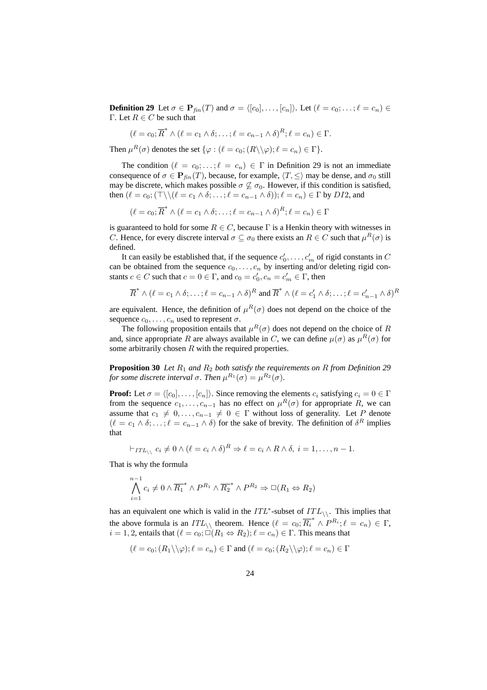**Definition 29** Let  $\sigma \in \mathbf{P}_{fin}(T)$  and  $\sigma = \langle [c_0], \ldots, [c_n] \rangle$ . Let  $(\ell = c_0; \ldots; \ell = c_n) \in$ Γ. Let  $R \in C$  be such that

$$
(\ell = c_0; \overline{R}^* \wedge (\ell = c_1 \wedge \delta; \ldots; \ell = c_{n-1} \wedge \delta)^R; \ell = c_n) \in \Gamma.
$$

Then  $\mu^R(\sigma)$  denotes the set  $\{\varphi : (\ell = c_0; (R \setminus \setminus \varphi); \ell = c_n) \in \Gamma\}.$ 

The condition  $(\ell = c_0; \ldots; \ell = c_n) \in \Gamma$  in Definition 29 is not an immediate consequence of  $\sigma \in \mathbf{P}_{fin}(T)$ , because, for example,  $\langle T, \leq \rangle$  may be dense, and  $\sigma_0$  still may be discrete, which makes possible  $\sigma \not\subseteq \sigma_0$ . However, if this condition is satisfied, then  $(\ell = c_0; (\top \setminus \setminus (\ell = c_1 \land \delta; \ldots; \ell = c_{n-1} \land \delta)); \ell = c_n) \in \Gamma$  by DI2, and

 $(\ell = c_0; \overline{R}^* \wedge (\ell = c_1 \wedge \delta; \ldots; \ell = c_{n-1} \wedge \delta)^R; \ell = c_n) \in \Gamma$ 

is guaranteed to hold for some  $R \in C$ , because  $\Gamma$  is a Henkin theory with witnesses in C. Hence, for every discrete interval  $\sigma \subseteq \sigma_0$  there exists an  $R \in C$  such that  $\mu^R(\sigma)$  is defined.

It can easily be established that, if the sequence  $c'_0, \ldots, c'_m$  of rigid constants in C can be obtained from the sequence  $c_0, \ldots, c_n$  by inserting and/or deleting rigid constants  $c \in C$  such that  $c = 0 \in \Gamma$ , and  $c_0 = c'_0$ ,  $c_n = c'_m \in \Gamma$ , then

$$
\overline{R}^* \wedge (\ell = c_1 \wedge \delta; \ldots; \ell = c_{n-1} \wedge \delta)^R \text{ and } \overline{R}^* \wedge (\ell = c'_1 \wedge \delta; \ldots; \ell = c'_{n-1} \wedge \delta)^R
$$

are equivalent. Hence, the definition of  $\mu^R(\sigma)$  does not depend on the choice of the sequence  $c_0, \ldots, c_n$  used to represent  $\sigma$ .

The following proposition entails that  $\mu^R(\sigma)$  does not depend on the choice of R and, since appropriate R are always available in C, we can define  $\mu(\sigma)$  as  $\mu^{R}(\sigma)$  for some arbitrarily chosen  $R$  with the required properties.

**Proposition 30** *Let*  $R_1$  *and*  $R_2$  *both satisfy the requirements on*  $R$  *from Definition 29 for some discrete interval*  $\sigma$ *. Then*  $\mu^{R_1}(\sigma) = \mu^{R_2}(\sigma)$ *.* 

**Proof:** Let  $\sigma = \langle [c_0], \ldots, [c_n] \rangle$ . Since removing the elements  $c_i$  satisfying  $c_i = 0 \in \Gamma$ from the sequence  $c_1, \ldots, c_{n-1}$  has no effect on  $\mu^R(\sigma)$  for appropriate R, we can assume that  $c_1 \neq 0, \ldots, c_{n-1} \neq 0 \in \Gamma$  without loss of generality. Let P denote  $(\ell = c_1 \wedge \delta; \ldots; \ell = c_{n-1} \wedge \delta)$  for the sake of brevity. The definition of  $\delta^R$  implies that

$$
\vdash_{ITL_{\setminus \setminus}} c_i \neq 0 \land (\ell = c_i \land \delta)^R \Rightarrow \ell = c_i \land R \land \delta, \ i = 1, \dots, n-1.
$$

That is why the formula

$$
\bigwedge_{i=1}^{n-1} c_i \neq 0 \wedge \overline{R_1}^* \wedge P^{R_1} \wedge \overline{R_2}^* \wedge P^{R_2} \Rightarrow \Box(R_1 \Leftrightarrow R_2)
$$

has an equivalent one which is valid in the  $ITL^*$ -subset of  $ITL_{\backslash\backslash}$ . This implies that the above formula is an  $ITL_{\setminus\setminus}$  theorem. Hence  $(\ell = c_0; \overline{R_i}^* \wedge P^{R_i}; \ell = c_n) \in \Gamma$ ,  $i = 1, 2$ , entails that  $(\ell = c_0; \Box(R_1 \Leftrightarrow R_2); \ell = c_n) \in \Gamma$ . This means that

$$
(\ell = c_0; (R_1 \setminus \setminus \varphi); \ell = c_n) \in \Gamma \text{ and } (\ell = c_0; (R_2 \setminus \setminus \varphi); \ell = c_n) \in \Gamma
$$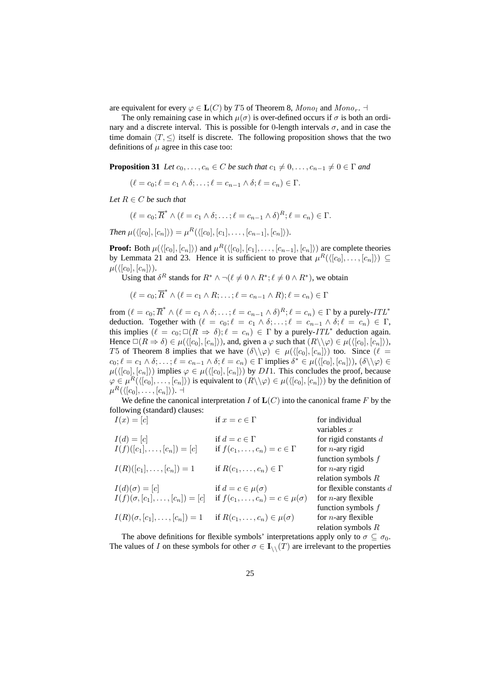are equivalent for every  $\varphi \in L(C)$  by T5 of Theorem 8,  $Mono_1$  and  $Mono_r$ .

The only remaining case in which  $\mu(\sigma)$  is over-defined occurs if  $\sigma$  is both an ordinary and a discrete interval. This is possible for 0-length intervals  $\sigma$ , and in case the time domain  $\langle T, \leq \rangle$  itself is discrete. The following proposition shows that the two definitions of  $\mu$  agree in this case too:

**Proposition 31** *Let*  $c_0, \ldots, c_n \in C$  *be such that*  $c_1 \neq 0, \ldots, c_{n-1} \neq 0 \in \Gamma$  *and* 

$$
(\ell = c_0; \ell = c_1 \wedge \delta; \ldots; \ell = c_{n-1} \wedge \delta; \ell = c_n) \in \Gamma.
$$

*Let*  $R \in C$  *be such that* 

$$
(\ell = c_0; \overline{R}^* \wedge (\ell = c_1 \wedge \delta; \ldots; \ell = c_{n-1} \wedge \delta)^R; \ell = c_n) \in \Gamma.
$$

*Then*  $\mu({\langle [c_0], [c_n] \rangle}) = \mu^R({\langle [c_0], [c_1], \ldots, [c_{n-1}], [c_n] \rangle}).$ 

**Proof:** Both  $\mu(\langle [c_0], [c_n] \rangle)$  and  $\mu^R(\langle [c_0], [c_1], \ldots, [c_{n-1}], [c_n] \rangle)$  are complete theories by Lemmata 21 and 23. Hence it is sufficient to prove that  $\mu^R(\langle [c_0], \ldots, [c_n] \rangle) \subseteq$  $\mu(\langle [c_0], [c_n] \rangle).$ 

Using that  $\delta^R$  stands for  $R^* \wedge \neg (\ell \neq 0 \wedge R^*; \ell \neq 0 \wedge R^*)$ , we obtain

$$
(\ell = c_0; \overline{R}^* \wedge (\ell = c_1 \wedge R; \ldots; \ell = c_{n-1} \wedge R); \ell = c_n) \in \Gamma
$$

from  $(\ell = c_0; \overline{R}^* \wedge (\ell = c_1 \wedge \delta; \ldots; \ell = c_{n-1} \wedge \delta)^R; \ell = c_n) \in \Gamma$  by a purely-ITL<sup>\*</sup> deduction. Together with  $(\ell = c_0; \ell = c_1 \wedge \delta; \ldots; \ell = c_{n-1} \wedge \delta; \ell = c_n) \in \Gamma$ , this implies  $(\ell = c_0; \Box(R \Rightarrow \delta); \ell = c_n) \in \Gamma$  by a purely-ITL\* deduction again. Hence  $\Box(R \Rightarrow \delta) \in \mu(\langle [c_0], [c_n] \rangle)$ , and, given a  $\varphi$  such that  $(R \setminus \varphi) \in \mu(\langle [c_0], [c_n] \rangle)$ , T5 of Theorem 8 implies that we have  $(\delta \setminus \varphi) \in \mu(\langle [c_0], [c_n] \rangle)$  too. Since  $(\ell =$  $c_0; \ell = c_1 \wedge \delta; \ldots; \ell = c_{n-1} \wedge \delta; \ell = c_n) \in \Gamma$  implies  $\delta^* \in \mu(\langle [c_0], [c_n] \rangle), (\delta \setminus \setminus \varphi) \in \Gamma$  $\mu({\langle [c_0], [c_n] \rangle})$  implies  $\varphi \in \mu({\langle [c_0], [c_n] \rangle})$  by DI1. This concludes the proof, because  $\varphi \in \mu^R(\langle [c_0], \ldots, [c_n] \rangle)$  is equivalent to  $(R \setminus \varphi) \in \mu(\langle [c_0], [c_n] \rangle)$  by the definition of  $\mu^R(\langle [c_0], \ldots, [c_n]\rangle)$ . ⊣

We define the canonical interpretation  $I$  of  $\mathbf{L}(C)$  into the canonical frame  $F$  by the following (standard) clauses:

| $I(x) = [c]$                             | if $x = c \in \Gamma$                                                                   | for individual             |
|------------------------------------------|-----------------------------------------------------------------------------------------|----------------------------|
|                                          |                                                                                         | variables $x$              |
| $I(d) = [c]$                             | if $d = c \in \Gamma$                                                                   | for rigid constants $d$    |
| $I(f)([c_1], \ldots, [c_n]) = [c]$       | if $f(c_1,\ldots,c_n)=c\in\Gamma$                                                       | for <i>n</i> -ary rigid    |
|                                          |                                                                                         | function symbols $f$       |
| $I(R)([c_1], \ldots, [c_n]) = 1$         | if $R(c_1,\ldots,c_n)\in \Gamma$                                                        | for <i>n</i> -ary rigid    |
|                                          |                                                                                         | relation symbols $R$       |
| $I(d)(\sigma) = [c]$                     | if $d = c \in \mu(\sigma)$                                                              | for flexible constants d   |
|                                          | $I(f)(\sigma, [c_1], \ldots, [c_n]) = [c]$ if $f(c_1, \ldots, c_n) = c \in \mu(\sigma)$ | for <i>n</i> -ary flexible |
|                                          |                                                                                         | function symbols $f$       |
| $I(R)(\sigma, [c_1], \ldots, [c_n]) = 1$ | if $R(c_1,\ldots,c_n)\in\mu(\sigma)$                                                    | for $n$ -ary flexible      |
|                                          |                                                                                         | relation symbols $R$       |
|                                          |                                                                                         |                            |

The above definitions for flexible symbols' interpretations apply only to  $\sigma \subseteq \sigma_0$ . The values of I on these symbols for other  $\sigma \in I_{\setminus}(\mathcal{T})$  are irrelevant to the properties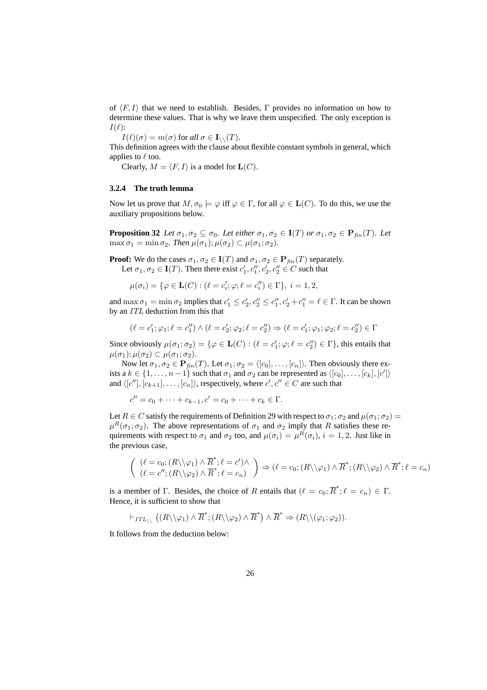of  $\langle F, I \rangle$  that we need to establish. Besides, Γ provides no information on how to determine these values. That is why we leave them unspecified. The only exception is  $I(\ell)$ :

 $I(\ell)(\sigma) = m(\sigma)$  for all  $\sigma \in I_{\setminus\setminus}(T)$ .

This definition agrees with the clause about flexible constant symbols in general, which applies to  $\ell$  too.

Clearly,  $M = \langle F, I \rangle$  is a model for  $\mathbf{L}(C)$ .

#### **3.2.4 The truth lemma**

Now let us prove that  $M, \sigma_0 \models \varphi$  iff  $\varphi \in \Gamma$ , for all  $\varphi \in L(C)$ . To do this, we use the auxiliary propositions below.

**Proposition 32** *Let*  $\sigma_1, \sigma_2 \subseteq \sigma_0$ *. Let either*  $\sigma_1, \sigma_2 \in I(T)$  *or*  $\sigma_1, \sigma_2 \in P_{fin}(T)$ *. Let*  $\max \sigma_1 = \min \sigma_2$ *. Then*  $\mu(\sigma_1)$ ;  $\mu(\sigma_2) \subset \mu(\sigma_1; \sigma_2)$ *.* 

**Proof:** We do the cases  $\sigma_1, \sigma_2 \in I(T)$  and  $\sigma_1, \sigma_2 \in P_{fin}(T)$  separately. Let  $\sigma_1, \sigma_2 \in I(T)$ . Then there exist  $c'_1, c''_1, c'_2, c''_2 \in C$  such that

$$
\mu(\sigma_i) = \{ \varphi \in \mathbf{L}(C) : (\ell = c_i'; \varphi; \ell = c_i'') \in \Gamma \}, i = 1, 2,
$$

and  $\max \sigma_1 = \min \sigma_2$  implies that  $c'_1 \leq c'_2, c''_2 \leq c''_1, c'_2 + c''_1 = \ell \in \Gamma$ . It can be shown by an ITL deduction from this that

$$
(\ell = c'_1; \varphi_1; \ell = c''_1) \land (\ell = c'_2; \varphi_2; \ell = c''_2) \Rightarrow (\ell = c'_1; \varphi_1; \varphi_2; \ell = c''_2) \in \Gamma
$$

Since obviously  $\mu(\sigma_1; \sigma_2) = \{ \varphi \in \mathbf{L}(C) : (\ell = c_1'; \varphi; \ell = c_2'') \in \Gamma \}$ , this entails that  $\mu(\sigma_1); \mu(\sigma_2) \subset \mu(\sigma_1; \sigma_2).$ 

Now let  $\sigma_1, \sigma_2 \in \mathbf{P}_{fin}(T)$ . Let  $\sigma_1, \sigma_2 = \langle [c_0], \ldots, [c_n] \rangle$ . Then obviously there exists a  $k \in \{1, ..., n-1\}$  such that  $\sigma_1$  and  $\sigma_2$  can be represented as  $\langle [c_0], ..., [c_k], [c']\rangle$ and  $\langle [c''], [c_{k+1}], \ldots, [c_n] \rangle$ , respectively, where  $c', c'' \in C$  are such that

$$
c'' = c_0 + \dots + c_{k-1}, c' = c_0 + \dots + c_k \in \Gamma.
$$

Let  $R \in \mathbb{C}$  satisfy the requirements of Definition 29 with respect to  $\sigma_1$ ;  $\sigma_2$  and  $\mu(\sigma_1; \sigma_2)$  =  $\mu^R(\sigma_1;\sigma_2)$ . The above representations of  $\sigma_1$  and  $\sigma_2$  imply that R satisfies these requirements with respect to  $\sigma_1$  and  $\sigma_2$  too, and  $\mu(\sigma_i) = \mu^R(\sigma_i)$ ,  $i = 1, 2$ . Just like in the previous case,

$$
\begin{pmatrix}\n(\ell = c_0; (R \setminus \varphi_1) \wedge \overline{R}^*; \ell = c') \wedge \\
(\ell = c''; (R \setminus \varphi_2) \wedge \overline{R}^*; \ell = c_n)\n\end{pmatrix} \Rightarrow (\ell = c_0; (R \setminus \varphi_1) \wedge \overline{R}^*; (R \setminus \varphi_2) \wedge \overline{R}^*; \ell = c_n)
$$

is a member of Γ. Besides, the choice of R entails that  $(\ell = c_0; \overline{R}^*; \ell = c_n) \in \Gamma$ . Hence, it is sufficient to show that

$$
\vdash_{ITL_{\setminus \setminus}} \big((R \setminus \setminus \varphi_1) \wedge \overline{R}^*; (R \setminus \setminus \varphi_2) \wedge \overline{R}^* \big) \wedge \overline{R}^* \Rightarrow (R \setminus \setminus (\varphi_1; \varphi_2)).
$$

It follows from the deduction below: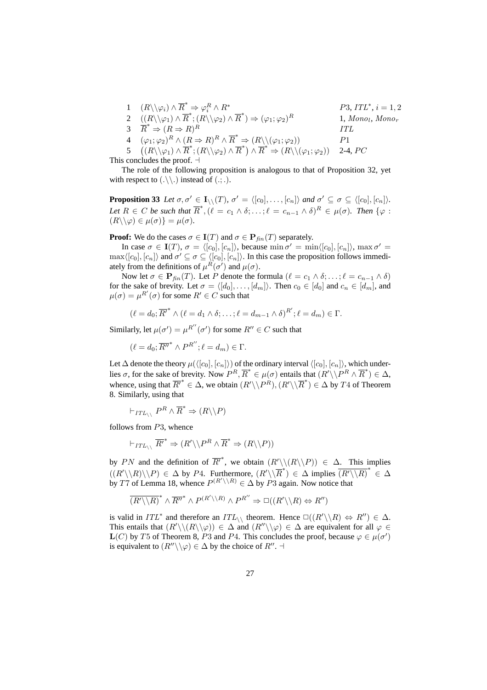1  $(R \setminus \varphi_i) \wedge \overline{R}^* \Rightarrow \varphi_i^R$  $P3, ITL^*, i = 1, 2$ <br>P3, ITL<sup>\*</sup>, i = 1, 2 2  $((R\backslash \backslash \varphi_1) \wedge \overline{R}^*; (R\backslash \backslash \varphi_2) \wedge \overline{R}^*) \Rightarrow (\varphi_1; \varphi_2)$  $R$  1, Mono<sub>l</sub>, Mono<sub>r</sub>  $\overrightarrow{R}^* \Rightarrow (R \Rightarrow R)$ R TTL 4  $(\varphi_1; \varphi_2)^R \wedge (R \Rightarrow R)^R \wedge \overline{R}^* \Rightarrow (R \setminus (\varphi_1; \varphi_2))$   $P1$ 5 ¡  $(R\setminus\varphi_1)\wedge R^* : (R\setminus\varphi_2)\wedge \overline{R}^* \rightarrow (R\setminus(\varphi_1;\varphi_2))$  2-4, PC

This concludes the proof.  $\dashv$ 

The role of the following proposition is analogous to that of Proposition 32, yet with respect to  $(\cdot \setminus \setminus \cdot)$  instead of  $(\cdot; \cdot)$ .

**Proposition 33** Let  $\sigma, \sigma' \in I_1 \setminus (T)$ ,  $\sigma' = \langle [c_0], \ldots, [c_n] \rangle$  and  $\sigma' \subseteq \sigma \subseteq \langle [c_0], [c_n] \rangle$ . Let  $R \in C$  be such that  $\overline{R}^*, (\ell = c_1 \wedge \delta; \ldots; \ell = c_{n-1} \wedge \delta)^R \in \mu(\sigma)$ . Then  $\{\varphi : \ell = c_1 \wedge \delta; \ldots; \ell = c_{n-1} \wedge \delta\}$  $(R \setminus \varphi) \in \mu(\sigma) = \mu(\sigma)$ .

**Proof:** We do the cases  $\sigma \in I(T)$  and  $\sigma \in P_{fin}(T)$  separately.

In case  $\sigma \in I(T)$ ,  $\sigma = \langle [c_0], [c_n] \rangle$ , because min  $\sigma' = \min \langle [c_0], [c_n] \rangle$ , max  $\sigma' =$  $\max\langle [c_0], [c_n] \rangle$  and  $\sigma' \subseteq \sigma \subseteq \langle [c_0], [c_n] \rangle$ . In this case the proposition follows immediately from the definitions of  $\mu^R(\sigma')$  and  $\mu(\sigma)$ .

Now let  $\sigma \in \mathbf{P}_{fin}(T)$ . Let P denote the formula  $(\ell = c_1 \wedge \delta; \ldots; \ell = c_{n-1} \wedge \delta)$ for the sake of brevity. Let  $\sigma = \langle [d_0], \ldots, [d_m] \rangle$ . Then  $c_0 \in [d_0]$  and  $c_n \in [d_m]$ , and  $\mu(\sigma) = \mu^{R'}(\sigma)$  for some  $R' \in C$  such that

$$
(\ell = d_0; \overline{R'}^* \wedge (\ell = d_1 \wedge \delta; \ldots; \ell = d_{m-1} \wedge \delta)^{R'}; \ell = d_m) \in \Gamma.
$$

Similarly, let  $\mu(\sigma') = \mu^{R''}(\sigma')$  for some  $R'' \in C$  such that

$$
(\ell = d_0; \overline{R''}^* \wedge P^{R''}; \ell = d_m) \in \Gamma.
$$

Let  $\Delta$  denote the theory  $\mu({\langle [c_0],[c_n]\rangle})$  of the ordinary interval  ${\langle [c_0],[c_n]\rangle}$ , which underlies  $\sigma$ , for the sake of brevity. Now  $P^R$ ,  $\overline{R}^* \in \mu(\sigma)$  entails that  $(R' \setminus P^R \wedge \overline{R}^*) \in \Delta$ , whence, using that  $\overline{R'}^* \in \Delta$ , we obtain  $(R' \setminus P^R)$ ,  $(R' \setminus \overline{R}^*) \in \Delta$  by T4 of Theorem 8. Similarly, using that

$$
\vdash_{ITL_{\setminus \setminus}} P^R \wedge \overline{R}^* \Rightarrow (R \setminus \setminus P)
$$

follows from P3, whence

$$
\vdash_{ITL_{\setminus \setminus}} \overline{R'}^* \Rightarrow (R' \setminus \setminus P^R \land \overline{R}^* \Rightarrow (R \setminus \setminus P))
$$

by PN and the definition of  $\overline{R'}^*$ , we obtain  $(R' \setminus (R \setminus P)) \in \Delta$ . This implies  $((R'\setminus\setminus R)\setminus P) \in \Delta$  by P4. Furthermore,  $(R'\setminus\setminus R^*) \in \Delta$  implies  $(R'\setminus\setminus R)^* \in \Delta$ by T7 of Lemma 18, whence  $P^{(R' \setminus R)} \in \Delta$  by P3 again. Now notice that

$$
\overline{(R'\backslash\backslash R)}^*\wedge\overline{R''}^*\wedge P^{(R'\backslash\backslash R)}\wedge P^{R''}\Rightarrow \Box((R'\backslash\backslash R)\Leftrightarrow R'')
$$

is valid in  $ITL^*$  and therefore an  $ITL_{\setminus\setminus}$  theorem. Hence  $\square((R'\setminus R) \Leftrightarrow R'') \in \Delta$ . This entails that  $(R'\setminus (R\setminus \Diamond)) \in \Delta$  and  $(R''\setminus \Diamond) \in \Delta$  are equivalent for all  $\varphi \in \Delta$  $\mathbf{L}(C)$  by T5 of Theorem 8, P3 and P4. This concludes the proof, because  $\varphi \in \mu(\sigma')$ is equivalent to  $(R'' \setminus \setminus \varphi) \in \Delta$  by the choice of  $R''$ .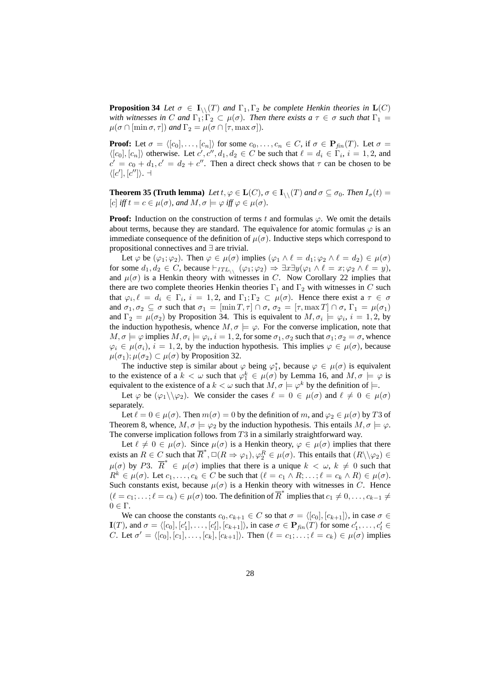**Proposition 34** *Let*  $\sigma \in I_{\wedge}(T)$  *and*  $\Gamma_1, \Gamma_2$  *be complete Henkin theories in*  $L(C)$ *with witnesses in* C *and*  $\Gamma_1$ ;  $\Gamma_2 \subset \mu(\sigma)$ *. Then there exists a*  $\tau \in \sigma$  *such that*  $\Gamma_1 =$  $\mu(\sigma \cap [\min \sigma, \tau])$  *and*  $\Gamma_2 = \mu(\sigma \cap [\tau, \max \sigma]).$ 

**Proof:** Let  $\sigma = \langle [c_0], \ldots, [c_n] \rangle$  for some  $c_0, \ldots, c_n \in C$ , if  $\sigma \in \mathbf{P}_{\text{fin}}(T)$ . Let  $\sigma =$  $\langle [c_0], [c_n] \rangle$  otherwise. Let  $c', c'', d_1, d_2 \in C$  be such that  $\ell = d_i \in \Gamma_i$ ,  $i = 1, 2$ , and  $c' = c_0 + d_1$ ,  $c' = d_2 + c''$ . Then a direct check shows that  $\tau$  can be chosen to be  $\langle [c'], [c''] \rangle$ .  $\neg$ 

**Theorem 35 (Truth lemma)** Let  $t, \varphi \in L(C)$ ,  $\sigma \in I_{\wedge}(T)$  and  $\sigma \subseteq \sigma_0$ . Then  $I_{\sigma}(t) =$ [c] *iff*  $t = c \in \mu(\sigma)$ *, and*  $M, \sigma \models \varphi$  *iff*  $\varphi \in \mu(\sigma)$ *.* 

**Proof:** Induction on the construction of terms t and formulas  $\varphi$ . We omit the details about terms, because they are standard. The equivalence for atomic formulas  $\varphi$  is an immediate consequence of the definition of  $\mu(\sigma)$ . Inductive steps which correspond to propositional connectives and ∃ are trivial.

Let  $\varphi$  be  $(\varphi_1; \varphi_2)$ . Then  $\varphi \in \mu(\sigma)$  implies  $(\varphi_1 \wedge \ell = d_1; \varphi_2 \wedge \ell = d_2) \in \mu(\sigma)$ for some  $d_1, d_2 \in C$ , because  $\vdash_{ITL_{\setminus \setminus}} (\varphi_1; \varphi_2) \Rightarrow \exists x \exists y (\varphi_1 \land \ell = x; \varphi_2 \land \ell = y),$ and  $\mu(\sigma)$  is a Henkin theory with witnesses in C. Now Corollary 22 implies that there are two complete theories Henkin theories  $\Gamma_1$  and  $\Gamma_2$  with witnesses in C such that  $\varphi_i, \ell = d_i \in \Gamma_i, i = 1, 2$ , and  $\Gamma_1, \Gamma_2 \subset \mu(\sigma)$ . Hence there exist a  $\tau \in \sigma$ and  $\sigma_1, \sigma_2 \subseteq \sigma$  such that  $\sigma_1 = [\min T, \tau] \cap \sigma$ ,  $\sigma_2 = [\tau, \max T] \cap \sigma$ ,  $\Gamma_1 = \mu(\sigma_1)$ and  $\Gamma_2 = \mu(\sigma_2)$  by Proposition 34. This is equivalent to  $M, \sigma_i \models \varphi_i, i = 1, 2$ , by the induction hypothesis, whence  $M, \sigma \models \varphi$ . For the converse implication, note that  $M, \sigma \models \varphi$  implies  $M, \sigma_i \models \varphi_i, i = 1, 2$ , for some  $\sigma_1, \sigma_2$  such that  $\sigma_1; \sigma_2 = \sigma$ , whence  $\varphi_i \in \mu(\sigma_i)$ ,  $i = 1, 2$ , by the induction hypothesis. This implies  $\varphi \in \mu(\sigma)$ , because  $\mu(\sigma_1)$ ;  $\mu(\sigma_2) \subset \mu(\sigma)$  by Proposition 32.

The inductive step is similar about  $\varphi$  being  $\varphi_1^*$ , because  $\varphi \in \mu(\sigma)$  is equivalent to the existence of a  $k < \omega$  such that  $\varphi_1^k \in \mu(\sigma)$  by Lemma 16, and  $M, \sigma \models \varphi$  is equivalent to the existence of a  $k < \omega$  such that  $M, \sigma \models \varphi^k$  by the definition of  $\models$ .

Let  $\varphi$  be  $(\varphi_1 \setminus \varphi_2)$ . We consider the cases  $\ell = 0 \in \mu(\sigma)$  and  $\ell \neq 0 \in \mu(\sigma)$ separately.

Let  $\ell = 0 \in \mu(\sigma)$ . Then  $m(\sigma) = 0$  by the definition of m, and  $\varphi_2 \in \mu(\sigma)$  by T3 of Theorem 8, whence,  $M, \sigma \models \varphi_2$  by the induction hypothesis. This entails  $M, \sigma \models \varphi$ . The converse implication follows from  $T3$  in a similarly straightforward way.

Let  $\ell \neq 0 \in \mu(\sigma)$ . Since  $\mu(\sigma)$  is a Henkin theory,  $\varphi \in \mu(\sigma)$  implies that there exists an  $R \in C$  such that  $\overline{R}^*, \Box(R \Rightarrow \varphi_1), \varphi_2^R \in \mu(\sigma)$ . This entails that  $(R \setminus \varphi_2) \in$  $\mu(\sigma)$  by P3.  $\overline{R}^* \in \mu(\sigma)$  implies that there is a unique  $k < \omega$ ,  $k \neq 0$  such that  $R^k \in \mu(\sigma)$ . Let  $c_1, \ldots, c_k \in C$  be such that  $(\ell = c_1 \wedge R; \ldots; \ell = c_k \wedge R) \in \mu(\sigma)$ . Such constants exist, because  $\mu(\sigma)$  is a Henkin theory with witnesses in C. Hence  $(\ell = c_1; \ldots; \ell = c_k) \in \mu(\sigma)$  too. The definition of  $\overline{R}^*$  implies that  $c_1 \neq 0, \ldots, c_{k-1} \neq 0$  $0 \in Γ$ .

We can choose the constants  $c_0, c_{k+1} \in C$  so that  $\sigma = \langle [c_0], [c_{k+1}]\rangle$ , in case  $\sigma \in$  $\mathbf{I}(T)$ , and  $\sigma = \langle [c_0], [c'_1], \ldots, [c'_l], [c_{k+1}] \rangle$ , in case  $\sigma \in \mathbf{P}_{fin}(T)$  for some  $c'_1, \ldots, c'_l \in$ *C*. Let  $\sigma' = \langle [c_0], [c_1], \ldots, [c_k], [c_{k+1}]\rangle$ . Then  $(\ell = c_1; \ldots; \ell = c_k) \in \mu(\sigma)$  implies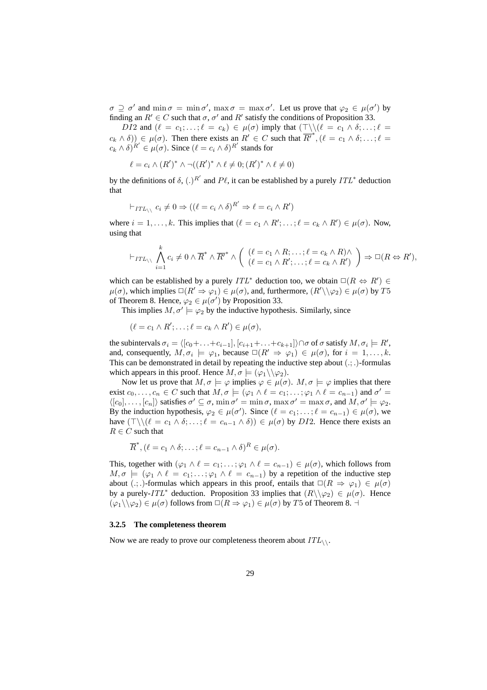$\sigma \supseteq \sigma'$  and  $\min \sigma = \min \sigma'$ ,  $\max \sigma = \max \sigma'$ . Let us prove that  $\varphi_2 \in \mu(\sigma')$  by finding an  $R' \in C$  such that  $\sigma$ ,  $\sigma'$  and  $R'$  satisfy the conditions of Proposition 33.

DI2 and  $(\ell = c_1; \ldots; \ell = c_k) \in \mu(\sigma)$  imply that  $(\top \setminus \setminus (\ell = c_1 \land \delta; \ldots; \ell =$  $(c_k \wedge \delta)$ )  $\in \mu(\sigma)$ . Then there exists an  $R' \in C$  such that  $\overline{R'}^*, (\ell = c_1 \wedge \delta; \ldots; \ell =$  $c_k \wedge \delta^{i'} \in \mu(\sigma)$ . Since  $(\ell = c_i \wedge \delta)^{R'}$  stands for

$$
\ell = c_i \wedge (R')^* \wedge \neg ((R')^* \wedge \ell \neq 0; (R')^* \wedge \ell \neq 0)
$$

by the definitions of  $\delta$ ,  $(.)^{R'}$  and  $P\ell$ , it can be established by a purely  $ITL^*$  deduction that

$$
\vdash_{ITL_{\setminus \setminus}} c_i \neq 0 \Rightarrow ((\ell = c_i \land \delta)^{R'} \Rightarrow \ell = c_i \land R')
$$

where  $i = 1, ..., k$ . This implies that  $(\ell = c_1 \land R'; ..., \ell = c_k \land R') \in \mu(\sigma)$ . Now, using that

$$
\vdash_{ITL_{\setminus \setminus}} \bigwedge_{i=1}^k c_i \neq 0 \wedge \overline{R}^* \wedge \overline{R'}^* \wedge \left( \begin{array}{c} (\ell = c_1 \wedge R; \ldots; \ell = c_k \wedge R) \wedge \\ (\ell = c_1 \wedge R'; \ldots; \ell = c_k \wedge R') \end{array} \right) \Rightarrow \Box(R \Leftrightarrow R'),
$$

which can be established by a purely  $ITL^*$  deduction too, we obtain  $\square(R \Leftrightarrow R') \in$  $\mu(\sigma)$ , which implies  $\Box(R' \Rightarrow \varphi_1) \in \mu(\sigma)$ , and, furthermore,  $(R' \setminus \varphi_2) \in \mu(\sigma)$  by T5 of Theorem 8. Hence,  $\varphi_2 \in \mu(\sigma')$  by Proposition 33.

This implies  $M, \sigma' \models \varphi_2$  by the inductive hypothesis. Similarly, since

$$
(\ell = c_1 \wedge R'; \ldots; \ell = c_k \wedge R') \in \mu(\sigma),
$$

the subintervals  $\sigma_i = \langle [c_0+ \ldots + c_{i-1}], [c_{i+1}+ \ldots + c_{k+1}] \rangle \cap \sigma$  of  $\sigma$  satisfy  $M, \sigma_i \models R'$ , and, consequently,  $M, \sigma_i \models \varphi_1$ , because  $\square (R' \Rightarrow \varphi_1) \in \mu(\sigma)$ , for  $i = 1, ..., k$ . This can be demonstrated in detail by repeating the inductive step about  $(.;.)$ -formulas which appears in this proof. Hence  $M, \sigma \models (\varphi_1 \setminus \setminus \varphi_2)$ .

Now let us prove that  $M, \sigma \models \varphi$  implies  $\varphi \in \mu(\sigma)$ .  $M, \sigma \models \varphi$  implies that there exist  $c_0, \ldots, c_n \in C$  such that  $M, \sigma \models (\varphi_1 \land \ell = c_1; \ldots; \varphi_1 \land \ell = c_{n-1})$  and  $\sigma' =$  $\langle [c_0], \ldots, [c_n] \rangle$  satisfies  $\sigma' \subseteq \sigma$ ,  $\min \sigma' = \min \sigma$ ,  $\max \sigma' = \max \sigma$ , and  $M, \sigma' \models \varphi_2$ . By the induction hypothesis,  $\varphi_2 \in \mu(\sigma')$ . Since  $(\ell = c_1; \ldots; \ell = c_{n-1}) \in \mu(\sigma)$ , we have  $(\top \setminus (\ell = c_1 \land \delta; \ldots; \ell = c_{n-1} \land \delta)) \in \mu(\sigma)$  by DI2. Hence there exists an  $R \in C$  such that

$$
\overline{R}^*, (\ell = c_1 \wedge \delta; \ldots; \ell = c_{n-1} \wedge \delta)^R \in \mu(\sigma).
$$

This, together with  $(\varphi_1 \wedge \ell = c_1; \ldots; \varphi_1 \wedge \ell = c_{n-1}) \in \mu(\sigma)$ , which follows from  $M, \sigma \models (\varphi_1 \land \ell = c_1; \ldots; \varphi_1 \land \ell = c_{n-1})$  by a repetition of the inductive step about (.; .)-formulas which appears in this proof, entails that  $\Box(R \Rightarrow \varphi_1) \in \mu(\sigma)$ by a purely-ITL<sup>\*</sup> deduction. Proposition 33 implies that  $(R \setminus \varphi_2) \in \mu(\sigma)$ . Hence  $(\varphi_1 \setminus \varphi_2) \in \mu(\sigma)$  follows from  $\Box(R \Rightarrow \varphi_1) \in \mu(\sigma)$  by T5 of Theorem 8.  $\neg$ 

#### **3.2.5 The completeness theorem**

Now we are ready to prove our completeness theorem about  $ITL_{\wedge}$ .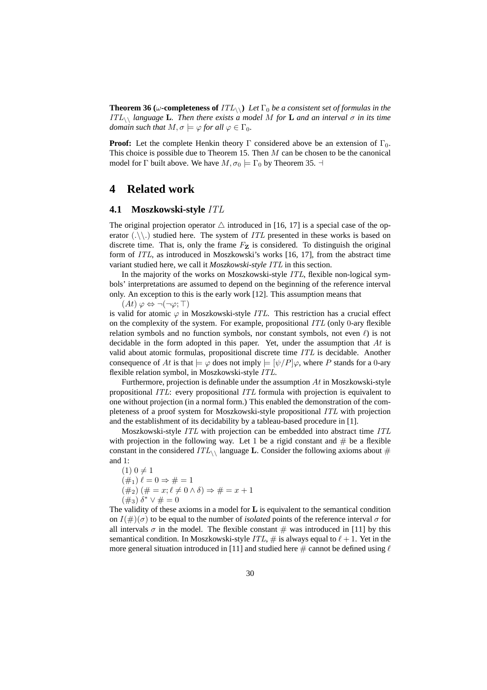**Theorem 36 (** $\omega$ **-completeness of**  $ITL_{\setminus\setminus}$ ) Let  $\Gamma_0$  be a consistent set of formulas in the  $ITL_{\setminus}$  *language* L. Then there exists a model M for L and an interval  $\sigma$  *in its time domain such that*  $M, \sigma \models \varphi$  *for all*  $\varphi \in \Gamma_0$ *.* 

**Proof:** Let the complete Henkin theory  $\Gamma$  considered above be an extension of  $\Gamma_0$ . This choice is possible due to Theorem 15. Then M can be chosen to be the canonical model for  $\Gamma$  built above. We have  $M, \sigma_0 \models \Gamma_0$  by Theorem 35.  $\dashv$ 

# **4 Related work**

#### **4.1 Moszkowski-style** ITL

The original projection operator  $\triangle$  introduced in [16, 17] is a special case of the operator  $(\cdot \setminus \cdot)$  studied here. The system of *ITL* presented in these works is based on discrete time. That is, only the frame  $F_{\mathbf{Z}}$  is considered. To distinguish the original form of ITL, as introduced in Moszkowski's works [16, 17], from the abstract time variant studied here, we call it *Moszkowski-style* ITL in this section.

In the majority of the works on Moszkowski-style ITL, flexible non-logical symbols' interpretations are assumed to depend on the beginning of the reference interval only. An exception to this is the early work [12]. This assumption means that

 $(At) \varphi \Leftrightarrow \neg(\neg \varphi; \top)$ 

is valid for atomic  $\varphi$  in Moszkowski-style *ITL*. This restriction has a crucial effect on the complexity of the system. For example, propositional  $ITL$  (only 0-ary flexible relation symbols and no function symbols, nor constant symbols, not even  $\ell$ ) is not decidable in the form adopted in this paper. Yet, under the assumption that At is valid about atomic formulas, propositional discrete time ITL is decidable. Another consequence of At is that  $\models \varphi$  does not imply  $\models [\psi/P]\varphi$ , where P stands for a 0-ary flexible relation symbol, in Moszkowski-style ITL.

Furthermore, projection is definable under the assumption  $At$  in Moszkowski-style propositional ITL: every propositional ITL formula with projection is equivalent to one without projection (in a normal form.) This enabled the demonstration of the completeness of a proof system for Moszkowski-style propositional ITL with projection and the establishment of its decidability by a tableau-based procedure in [1].

Moszkowski-style ITL with projection can be embedded into abstract time ITL with projection in the following way. Let 1 be a rigid constant and  $#$  be a flexible constant in the considered  $ITL_{\wedge}$  language L. Consider the following axioms about # and 1:

 $(1)$  0  $\neq$  1  $(\#_1) \ell = 0 \Rightarrow \# = 1$  $(\#_2) (\# = x; \ell \neq 0 \wedge \delta) \Rightarrow \# = x + 1$  $(\#_3) \delta^* \vee \# = 0$ 

The validity of these axioms in a model for L is equivalent to the semantical condition on  $I(\#)(\sigma)$  to be equal to the number of *isolated* points of the reference interval  $\sigma$  for all intervals  $\sigma$  in the model. The flexible constant  $\#$  was introduced in [11] by this semantical condition. In Moszkowski-style ITL,  $\#$  is always equal to  $\ell + 1$ . Yet in the more general situation introduced in [11] and studied here  $\#$  cannot be defined using  $\ell$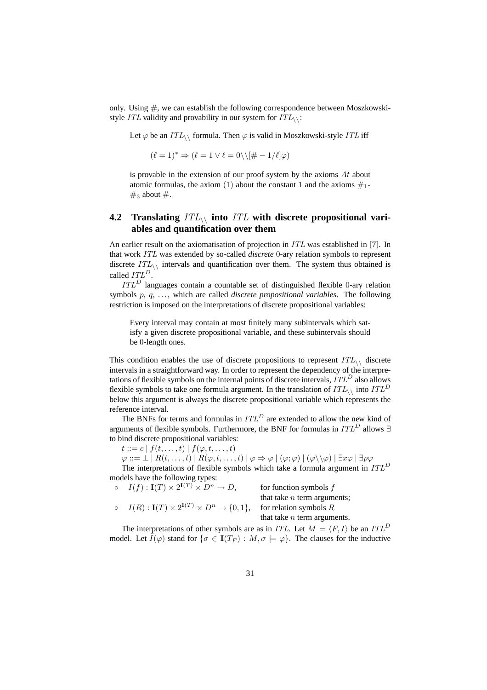only. Using  $\#$ , we can establish the following correspondence between Moszkowskistyle ITL validity and provability in our system for  $ITL_{\wedge}$ :

Let  $\varphi$  be an  $ITL_{\wedge}$  formula. Then  $\varphi$  is valid in Moszkowski-style ITL iff

$$
(\ell = 1)^* \Rightarrow (\ell = 1 \lor \ell = 0) \setminus [\# - 1/\ell]\varphi)
$$

is provable in the extension of our proof system by the axioms  $At$  about atomic formulas, the axiom (1) about the constant 1 and the axioms  $\#_1$ - $\#_3$  about  $\#$ .

### **4.2 Translating** ITL\\ **into** ITL **with discrete propositional variables and quantification over them**

An earlier result on the axiomatisation of projection in ITL was established in [7]. In that work ITL was extended by so-called *discrete* 0-ary relation symbols to represent discrete  $ITL_{\wedge}$  intervals and quantification over them. The system thus obtained is called  $ITL<sup>D</sup>$ .

 $ITL<sup>D</sup>$  languages contain a countable set of distinguished flexible 0-ary relation symbols p, q, ..., which are called *discrete propositional variables*. The following restriction is imposed on the interpretations of discrete propositional variables:

Every interval may contain at most finitely many subintervals which satisfy a given discrete propositional variable, and these subintervals should be 0-length ones.

This condition enables the use of discrete propositions to represent  $ITL_{\wedge}$  discrete intervals in a straightforward way. In order to represent the dependency of the interpretations of flexible symbols on the internal points of discrete intervals,  $ITL<sup>D</sup>$  also allows flexible symbols to take one formula argument. In the translation of  $ITL_{\wedge}$  into  $ITL^D$ below this argument is always the discrete propositional variable which represents the reference interval.

The BNFs for terms and formulas in  $ITL<sup>D</sup>$  are extended to allow the new kind of arguments of flexible symbols. Furthermore, the BNF for formulas in  $ITL<sup>D</sup>$  allows ∃ to bind discrete propositional variables:

 $t ::= c | f(t, \ldots, t) | f(\varphi, t, \ldots, t)$ 

 $\varphi ::= \bot \mid R(t, \ldots, t) \mid R(\varphi, t, \ldots, t) \mid \varphi \Rightarrow \varphi \mid (\varphi; \varphi) \mid (\varphi \setminus \varphi) \mid \exists x \varphi \mid \exists p \varphi$ 

The interpretations of flexible symbols which take a formula argument in  $ITL<sup>D</sup>$ models have the following types:  $\Omega$   $\Omega$   $\Omega$   $\Omega$   $\Omega$   $\Omega$   $\Omega$   $\Omega$ 

| $I(f): \mathbf{I}(T) \times 2^{\mathbf{I}(T)} \times D^n \to D,$        | for function symbols $f$      |
|-------------------------------------------------------------------------|-------------------------------|
|                                                                         | that take $n$ term arguments; |
| $I(R): \mathbf{I}(T) \times 2^{\mathbf{I}(T)} \times D^n \to \{0,1\},\$ | for relation symbols $R$      |
|                                                                         | that take $n$ term arguments. |

The interpretations of other symbols are as in ITL. Let  $M = \langle F, I \rangle$  be an ITL<sup>D</sup> model. Let  $\tilde{I}(\varphi)$  stand for  $\{\sigma \in I(T_F) : M, \sigma \models \varphi\}$ . The clauses for the inductive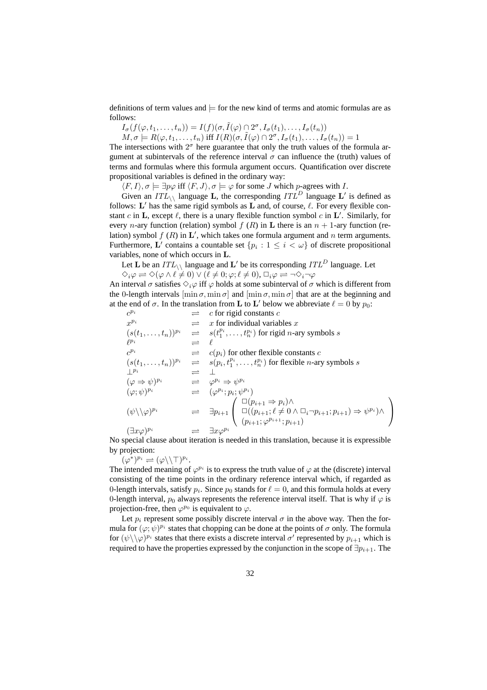definitions of term values and  $\models$  for the new kind of terms and atomic formulas are as follows:

 $I_{\sigma}(f(\varphi, t_1, \ldots, t_n)) = I(f)(\sigma, \tilde{I}(\varphi) \cap 2^{\sigma}, I_{\sigma}(t_1), \ldots, I_{\sigma}(t_n))$ 

 $M, \sigma \models R(\varphi, t_1, \ldots, t_n) \text{ iff } I(R)(\sigma, \tilde{I}(\varphi) \cap 2^{\sigma}, I_{\sigma}(t_1), \ldots, I_{\sigma}(t_n)) = 1$ 

The intersections with  $2^{\sigma}$  here guarantee that only the truth values of the formula argument at subintervals of the reference interval  $\sigma$  can influence the (truth) values of terms and formulas where this formula argument occurs. Quantification over discrete propositional variables is defined in the ordinary way:

 $\langle F, I \rangle, \sigma \models \exists p \varphi$  iff  $\langle F, J \rangle, \sigma \models \varphi$  for some J which p-agrees with I.

Given an  $ITL_{\setminus}$  language **L**, the corresponding  $ITL^D$  language **L**' is defined as follows: L' has the same rigid symbols as L and, of course,  $\ell$ . For every flexible constant c in L, except  $\ell$ , there is a unary flexible function symbol c in L'. Similarly, for every *n*-ary function (relation) symbol  $f(R)$  in **L** there is an  $n + 1$ -ary function (relation) symbol  $f(R)$  in  $\mathbf{L}'$ , which takes one formula argument and n term arguments. Furthermore, L' contains a countable set  $\{p_i : 1 \le i \le \omega\}$  of discrete propositional variables, none of which occurs in L.

Let **L** be an  $ITL_{\setminus}$  language and **L**' be its corresponding  $ITL^D$  language. Let

 $\Diamond_i \varphi \rightleftharpoons \Diamond(\varphi \wedge \ell \neq 0) \vee (\ell \neq 0; \varphi; \ell \neq 0), \Box_i \varphi \rightleftharpoons \neg \Diamond_i \neg \varphi$ 

An interval  $\sigma$  satisfies  $\Diamond_i \varphi$  iff  $\varphi$  holds at some subinterval of  $\sigma$  which is different from the 0-length intervals  $[\min \sigma, \min \sigma]$  and  $[\min \sigma, \min \sigma]$  that are at the beginning and at the end of  $\sigma$ . In the translation from **L** to **L**' below we abbreviate  $\ell = 0$  by  $p_0$ :

 $c^{p_i}$  $\Rightarrow$  c for rigid constants c<br>  $\Rightarrow$  x for individual variables x  $x^{p_i}$   $\implies$  x for individual variables x  $(s(t_1, \ldots, t_n))^{p_i}$   $\Rightarrow$   $s(t_1^{p_i}, \ldots, t_n^{p_i})$  for rigid *n*-ary symbols *s*  $\ell^{p_i}$   $\qquad \qquad \rightleftharpoons \quad \ell$  $c^{p_i}$   $\qquad \qquad \rightleftharpoons \qquad c(p_i)$  for other flexible constants c  $(s(t_1,...,t_n))^{p_i}$   $\Rightarrow$   $s(p_i, t_1^{p_i},..., t_n^{p_i})$  for flexible *n*-ary symbols *s*  $\perp^{p_i}$   $\qquad \qquad \rightleftharpoons \qquad \perp$  $(\varphi \Rightarrow \psi)^{p_i} \qquad \Rightarrow \qquad \varphi^{p_i} \Rightarrow \psi^{p_i}$  $(\varphi; \psi)^{p_i}$   $\qquad \qquad \rightleftharpoons \quad (\varphi^{p_i}; p_i; \psi^{p_i})$  $(\psi \setminus \setminus \varphi)^{p_i} \qquad \Rightarrow \quad \exists p_{i+1}$  $v_i;$  $\overline{1}$  $\Box(p_{i+1} \Rightarrow p_i) \wedge$  $\square((p_{i+1}; \ell \neq 0 \wedge \square_i \neg p_{i+1}; p_{i+1}) \Rightarrow \psi^{p_i}) \wedge$  $(p_{i+1}; \varphi^{p_{i+1}}; p_{i+1})$  $\mathbf{r}$  $\mathbf{I}$  $(\exists x \varphi)^{p_i}$   $\Rightarrow$   $\exists x \varphi^{p_i}$ 

No special clause about iteration is needed in this translation, because it is expressible by projection:

 $(\varphi^*)^{p_i} \rightleftharpoons (\varphi \backslash \backslash \top)^{p_i}.$ 

The intended meaning of  $\varphi^{p_i}$  is to express the truth value of  $\varphi$  at the (discrete) interval consisting of the time points in the ordinary reference interval which, if regarded as 0-length intervals, satisfy  $p_i$ . Since  $p_0$  stands for  $\ell = 0$ , and this formula holds at every 0-length interval,  $p_0$  always represents the reference interval itself. That is why if  $\varphi$  is projection-free, then  $\varphi^{p_0}$  is equivalent to  $\varphi$ .

Let  $p_i$  represent some possibly discrete interval  $\sigma$  in the above way. Then the formula for  $(\varphi; \psi)^{p_i}$  states that chopping can be done at the points of  $\sigma$  only. The formula for  $(\psi \setminus \langle \varphi \rangle)^{p_i}$  states that there exists a discrete interval  $\sigma'$  represented by  $p_{i+1}$  which is required to have the properties expressed by the conjunction in the scope of  $\exists p_{i+1}$ . The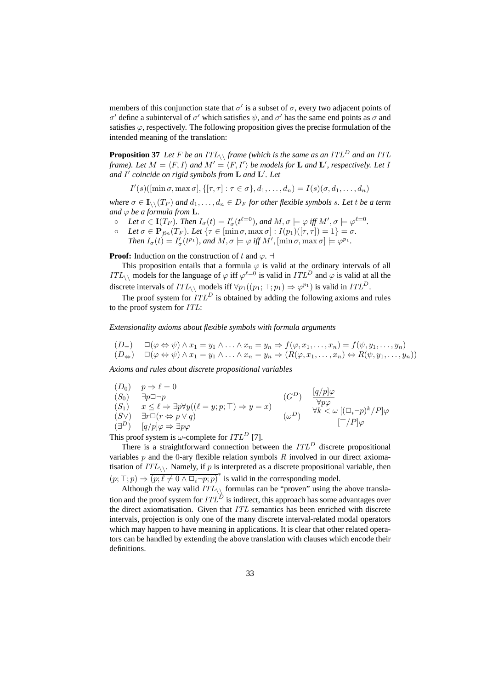members of this conjunction state that  $\sigma'$  is a subset of  $\sigma$ , every two adjacent points of σ' define a subinterval of σ' which satisfies  $\psi$ , and σ' has the same end points as σ and satisfies  $\varphi$ , respectively. The following proposition gives the precise formulation of the intended meaning of the translation:

**Proposition 37** Let F be an  $ITL_{\backslash}$  frame (which is the same as an  $ITL^D$  and an ITL *frame). Let*  $M = \langle F, I \rangle$  *and*  $M' = \langle F, I' \rangle$  *be models for*  ${\bf L}$  *and*  ${\bf L}'$ *, respectively. Let I and* I 0 *coincide on rigid symbols from* L *and* L 0 *. Let*

 $I'(s)(\left[\min \sigma, \max \sigma\right], \{\left[\tau, \tau\right] : \tau \in \sigma\}, d_1, \ldots, d_n) = I(s)(\sigma, d_1, \ldots, d_n)$ 

*where*  $\sigma \in I_{\setminus \setminus}(T_F)$  *and*  $d_1, \ldots, d_n \in D_F$  *for other flexible symbols s. Let t be a term and*  $\varphi$  *be a formula from* **L**.

- $\circ$  Let  $\sigma \in \mathbf{I}(T_F)$ . Then  $I_{\sigma}(t) = I'_{\sigma}(t^{\ell=0})$ , and  $M, \sigma \models \varphi$  iff  $M', \sigma \models \varphi^{\ell=0}$ .
- $\circ$  *Let*  $\sigma \in \mathbf{P}_{fin}(T_F)$ *. Let* { $\tau \in [\min \sigma, \max \sigma] : I(p_1)([\tau, \tau]) = 1$ } =  $\sigma$ *.*
- *Then*  $I_{\sigma}(t) = I'_{\sigma}(t^{p_1})$ *, and*  $M, \sigma \models \varphi$  *iff*  $M'$ *,* [ $\min \sigma$ *,*  $\max \sigma$ ]  $\models \varphi^{p_1}$ *.*

### **Proof:** Induction on the construction of t and  $\varphi$ .  $\vdash$

This proposition entails that a formula  $\varphi$  is valid at the ordinary intervals of all ITL<sub>\\</sub> models for the language of  $\varphi$  iff  $\varphi^{\ell=0}$  is valid in ITL<sup>D</sup> and  $\varphi$  is valid at all the discrete intervals of  $ITL_{\setminus}$  models iff  $\forall p_1((p_1; \top; p_1) \Rightarrow \varphi^{p_1})$  is valid in  $ITL^D$ .

The proof system for  $ITL<sup>D</sup>$  is obtained by adding the following axioms and rules to the proof system for ITL:

*Extensionality axioms about flexible symbols with formula arguments*

$$
(D_{\Rightarrow}) \quad \Box(\varphi \Leftrightarrow \psi) \wedge x_1 = y_1 \wedge \ldots \wedge x_n = y_n \Rightarrow f(\varphi, x_1, \ldots, x_n) = f(\psi, y_1, \ldots, y_n)
$$
  

$$
(D_{\Leftrightarrow}) \quad \Box(\varphi \Leftrightarrow \psi) \wedge x_1 = y_1 \wedge \ldots \wedge x_n = y_n \Rightarrow (R(\varphi, x_1, \ldots, x_n) \Leftrightarrow R(\psi, y_1, \ldots, y_n))
$$

*Axioms and rules about discrete propositional variables*

$$
(D_0) \quad p \Rightarrow \ell = 0
$$
  
\n
$$
(S_0) \quad \exists p \Box \neg p
$$
  
\n
$$
(S_1) \quad x \le \ell \Rightarrow \exists p \forall y ((\ell = y; p; \top) \Rightarrow y = x)
$$
  
\n
$$
(S \vee \vee \neg p) \quad \exists r \Box (r \Leftrightarrow p \vee q)
$$
  
\n
$$
(a^D) \quad \frac{[q/p]\varphi}{\forall p \varphi}
$$
  
\n
$$
(a^D) \quad \frac{[q/p]\varphi}{\forall k \le \omega} \quad \frac{[(\Box_i \neg p)^k / P]\varphi}{[\top / P]\varphi}
$$

This proof system is  $\omega$ -complete for  $ITL<sup>D</sup>$  [7].

There is a straightforward connection between the  $ITL<sup>D</sup>$  discrete propositional variables  $p$  and the 0-ary flexible relation symbols  $R$  involved in our direct axiomatisation of  $ITL_{\wedge}$ . Namely, if p is interpreted as a discrete propositional variable, then  $(p; \top; p) \Rightarrow (p; \ell \neq 0 \land \Box_i \neg p; p)^*$  is valid in the corresponding model.

Although the way valid  $ITL_{\wedge}$  formulas can be "proven" using the above translation and the proof system for  $ITL^D$  is indirect, this approach has some advantages over the direct axiomatisation. Given that ITL semantics has been enriched with discrete intervals, projection is only one of the many discrete interval-related modal operators which may happen to have meaning in applications. It is clear that other related operators can be handled by extending the above translation with clauses which encode their definitions.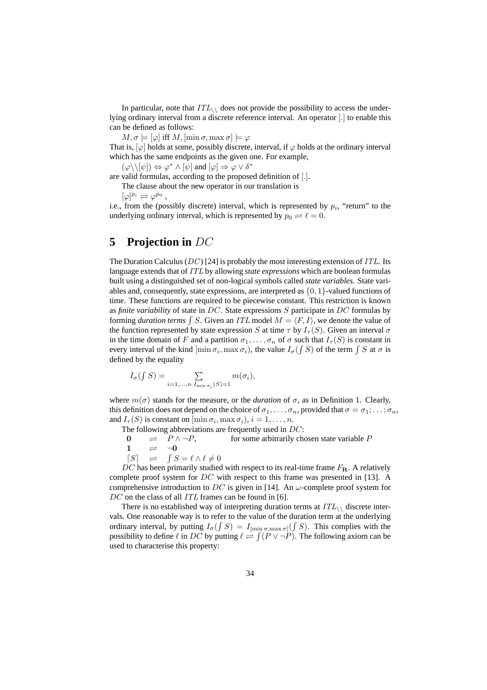In particular, note that  $ITL_{\wedge}$  does not provide the possibility to access the underlying ordinary interval from a discrete reference interval. An operator [.] to enable this can be defined as follows:

 $M, \sigma \models [\varphi]$  iff  $M, [\min \sigma, \max \sigma] \models \varphi$ 

That is,  $[\varphi]$  holds at some, possibly discrete, interval, if  $\varphi$  holds at the ordinary interval which has the same endpoints as the given one. For example,

 $(\varphi \setminus [\psi]) \Leftrightarrow \varphi^* \wedge [\psi]$  and  $[\varphi] \Rightarrow \varphi \vee \delta^*$ 

are valid formulas, according to the proposed definition of [.].

The clause about the new operator in our translation is

 $[\varphi]^{p_i} \rightleftharpoons \varphi^{p_0}$ ,

i.e., from the (possibly discrete) interval, which is represented by  $p_i$ , "return" to the underlying ordinary interval, which is represented by  $p_0 \rightleftharpoons \ell = 0$ .

# **5 Projection in** DC

The Duration Calculus ( $DC$ ) [24] is probably the most interesting extension of *ITL*. Its language extends that of ITL by allowing *state expressions* which are boolean formulas built using a distinguished set of non-logical symbols called *state variables*. State variables and, consequently, state expressions, are interpreted as  $\{0, 1\}$ -valued functions of time. These functions are required to be piecewise constant. This restriction is known as *finite variability* of state in DC. State expressions S participate in DC formulas by as *finite variability* of state in *DC*. State expressions 5 participate in *DC* formulas by<br>forming *duration terms*  $\int S$ . Given an *ITL* model  $M = \langle F, I \rangle$ , we denote the value of the function represented by state expression S at time  $\tau$  by  $I_{\tau}(S)$ . Given an interval  $\sigma$ in the time domain of F and a partition  $\sigma_1, \ldots, \sigma_n$  of  $\sigma$  such that  $I_\tau(S)$  is constant in in the time domain of F and a partition  $\sigma_1, \ldots, \sigma_n$  or  $\sigma$  such that  $I_{\tau}(S)$  is constant in every interval of the kind  $[\min \sigma_i, \max \sigma_i]$ , the value  $I_{\sigma}(\int S)$  of the term  $\int S$  at  $\sigma$  is defined by the equality

$$
I_{\sigma}(\int S) = \sum_{i=1,\dots,n \ I_{\min \sigma_i}(S)=1} m(\sigma_i),
$$

where  $m(\sigma)$  stands for the measure, or the *duration* of  $\sigma$ , as in Definition 1. Clearly, this definition does not depend on the choice of  $\sigma_1, \ldots, \sigma_n$ , provided that  $\sigma = \sigma_1; \ldots; \sigma_n$ , and  $I_{\tau}(S)$  is constant on  $[\min \sigma_i, \max \sigma_i], i = 1, \ldots, n$ .

The following abbreviations are frequently used in DC:

 $0 \Rightarrow P \wedge \neg P$ , for some arbitrarily chosen state variable P

- $\frac{1}{2}$   $\Rightarrow$   $\frac{1}{2}$
- $[S] \Rightarrow$  $\int S = \ell \wedge \ell \neq 0$

DC has been primarily studied with respect to its real-time frame  $F_{\text{R}}$ . A relatively complete proof system for DC with respect to this frame was presented in [13]. A comprehensive introduction to DC is given in [14]. An  $\omega$ -complete proof system for DC on the class of all ITL frames can be found in [6].

There is no established way of interpreting duration terms at  $ITL_{\setminus}$  discrete intervals. One reasonable way is to refer to the value of the duration term at the underlying ordinary interval, by putting  $I_{\sigma}(\int S) = I_{\text{min }\sigma,\max \sigma}(\int S)$ . This complies with the possibility to define  $\ell$  in DC by putting  $\ell \rightleftharpoons$ ij  $(P \vee \neg P)$ . The following axiom can be used to characterise this property: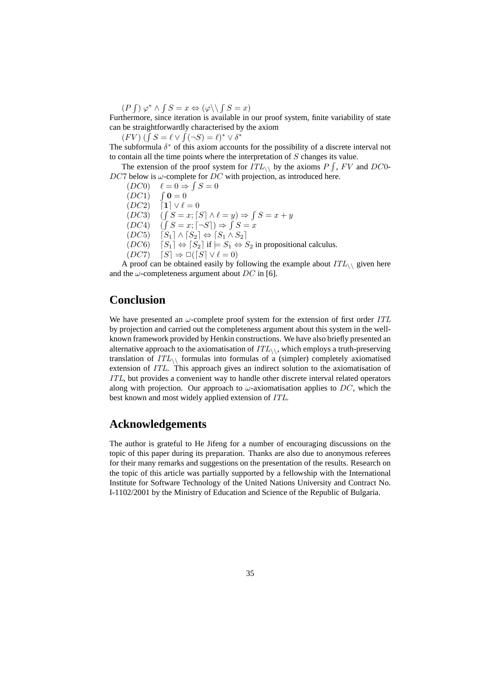$(P$ R  $\varphi^* \wedge \int S = x \Leftrightarrow (\varphi \setminus \int S = x)$ 

Furthermore, since iteration is available in our proof system, finite variability of state can be straightforwardly characterised by the axiom

be straightforwardly characterised by<br>  $(FV)$   $(\int S = \ell \vee \int (\neg S) = \ell^* \vee \delta^*$ 

The subformula  $\delta^*$  of this axiom accounts for the possibility of a discrete interval not to contain all the time points where the interpretation of  $S$  changes its value.

The extension of the proof system for  $ITL_{\wedge}$  by the axioms  $P \int$ ,  $FV$  and  $DC0$ - $DC7$  below is  $\omega$ -complete for  $DC$  with projection, as introduced here.

R

 $(DC0)$   $\ell = 0 \Rightarrow \int S = 0$ 

- $(DC1)$  $\int \mathbf{0} = 0$
- $(DC2)$  [1]  $\vee \ell = 0$
- $(DC3)$  $S = x$ ;  $[S] \wedge \ell = y$ )  $\Rightarrow$  $S = x + y$  $\ddot{\cdot}$

 $(DC4)$  $S = x; \lceil \neg S \rceil) \Rightarrow$  $S = x$ 

 $(DC5)$   $[S_1] \wedge [S_2] \Leftrightarrow [S_1 \wedge S_2]$ 

 $(DC6)$   $[S_1] \Leftrightarrow [S_2]$  if  $\models S_1 \Leftrightarrow S_2$  in propositional calculus.

 $(DC7)$   $[S] \Rightarrow \Box([S] \vee \ell = 0)$ 

A proof can be obtained easily by following the example about  $ITL_{\wedge}$  given here and the  $\omega$ -completeness argument about DC in [6].

# **Conclusion**

We have presented an  $\omega$ -complete proof system for the extension of first order ITL by projection and carried out the completeness argument about this system in the wellknown framework provided by Henkin constructions. We have also briefly presented an alternative approach to the axiomatisation of  $ITL_{\wedge}$ , which employs a truth-preserving translation of  $ITL_{\wedge}$  formulas into formulas of a (simpler) completely axiomatised extension of ITL. This approach gives an indirect solution to the axiomatisation of ITL, but provides a convenient way to handle other discrete interval related operators along with projection. Our approach to  $\omega$ -axiomatisation applies to DC, which the best known and most widely applied extension of ITL.

# **Acknowledgements**

The author is grateful to He Jifeng for a number of encouraging discussions on the topic of this paper during its preparation. Thanks are also due to anonymous referees for their many remarks and suggestions on the presentation of the results. Research on the topic of this article was partially supported by a fellowship with the International Institute for Software Technology of the United Nations University and Contract No. I-1102/2001 by the Ministry of Education and Science of the Republic of Bulgaria.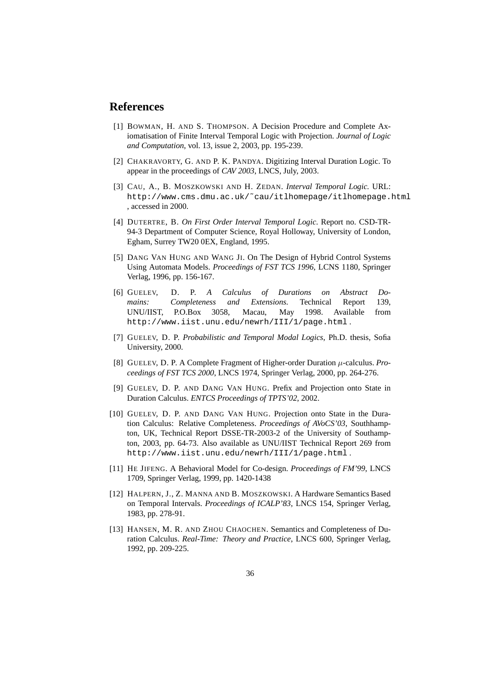# **References**

- [1] BOWMAN, H. AND S. THOMPSON. A Decision Procedure and Complete Axiomatisation of Finite Interval Temporal Logic with Projection. *Journal of Logic and Computation*, vol. 13, issue 2, 2003, pp. 195-239.
- [2] CHAKRAVORTY, G. AND P. K. PANDYA. Digitizing Interval Duration Logic. To appear in the proceedings of *CAV 2003*, LNCS, July, 2003.
- [3] CAU, A., B. MOSZKOWSKI AND H. ZEDAN. *Interval Temporal Logic.* URL: http://www.cms.dmu.ac.uk/˜cau/itlhomepage/itlhomepage.html , accessed in 2000.
- [4] DUTERTRE, B. *On First Order Interval Temporal Logic*. Report no. CSD-TR-94-3 Department of Computer Science, Royal Holloway, University of London, Egham, Surrey TW20 0EX, England, 1995.
- [5] DANG VAN HUNG AND WANG JI. On The Design of Hybrid Control Systems Using Automata Models. *Proceedings of FST TCS 1996*, LCNS 1180, Springer Verlag, 1996, pp. 156-167.
- [6] GUELEV, D. P. *A Calculus of Durations on Abstract Domains: Completeness and Extensions.* Technical Report 139, UNU/IIST, P.O.Box 3058, Macau, May 1998. Available from http://www.iist.unu.edu/newrh/III/1/page.html .
- [7] GUELEV, D. P. *Probabilistic and Temporal Modal Logics*, Ph.D. thesis, Sofia University, 2000.
- [8] GUELEV, D. P. A Complete Fragment of Higher-order Duration µ-calculus. *Proceedings of FST TCS 2000*, LNCS 1974, Springer Verlag, 2000, pp. 264-276.
- [9] GUELEV, D. P. AND DANG VAN HUNG. Prefix and Projection onto State in Duration Calculus. *ENTCS Proceedings of TPTS'02*, 2002.
- [10] GUELEV, D. P. AND DANG VAN HUNG. Projection onto State in the Duration Calculus: Relative Completeness. *Proceedings of AVoCS'03*, Southhampton, UK, Technical Report DSSE-TR-2003-2 of the University of Southampton, 2003, pp. 64-73. Also available as UNU/IIST Technical Report 269 from http://www.iist.unu.edu/newrh/III/1/page.html .
- [11] HE JIFENG. A Behavioral Model for Co-design. *Proceedings of FM'99*, LNCS 1709, Springer Verlag, 1999, pp. 1420-1438
- [12] HALPERN, J., Z. MANNA AND B. MOSZKOWSKI. A Hardware Semantics Based on Temporal Intervals. *Proceedings of ICALP'83*, LNCS 154, Springer Verlag, 1983, pp. 278-91.
- [13] HANSEN, M. R. AND ZHOU CHAOCHEN. Semantics and Completeness of Duration Calculus. *Real-Time: Theory and Practice*, LNCS 600, Springer Verlag, 1992, pp. 209-225.